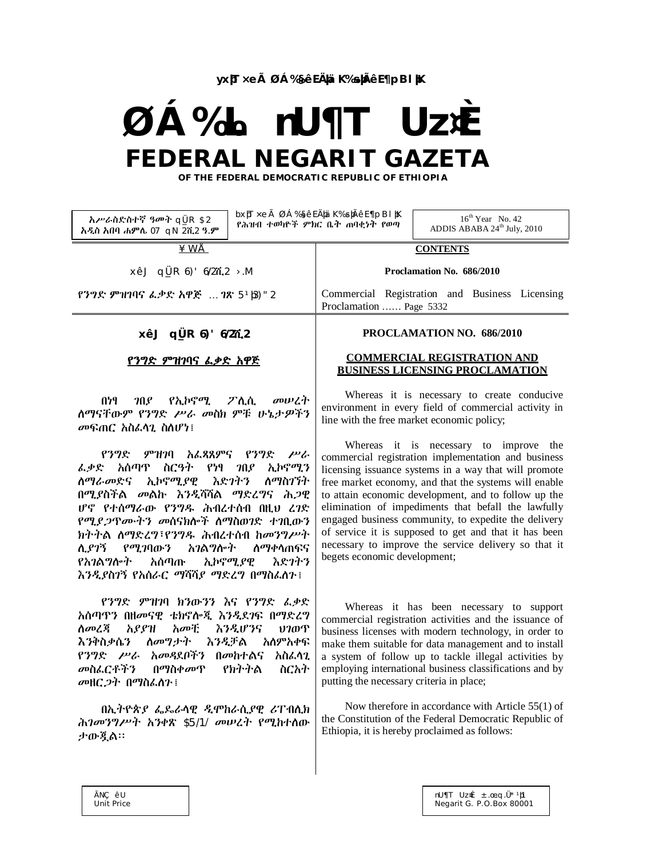**yxþT×eà ØÁ‰§êE ÄþäK‰sþÃêE ¶pBlþK**

# **ØÁ‰L nU¶T Uz¤È FEDERAL NEGARIT GAZETA**

 **OF THE FEDERAL DEMOCRATIC REPUBLIC OF ETHIOPIA**

| አሥራስድስተኛ ዓመት qLR \$2<br>አዲስ አበባ ሐምሌ 07 gN 2ሺ2 ዓ.ም                                                                                                                                                                                                                                                                                     | bx)П×еà ØÁ‰§ếЕÄ)¤i K‰s)ıÃêЕ ¶рВІ  К<br>$16^{th}$ Year No. 42<br>የሕዝብ ተወካዮች ምክር ቤት ጠባቂነት የወጣ<br>ADDIS ABABA 24 <sup>th</sup> July, 2010                                                                                                                                                                                                                                                                                                                                                                  |
|---------------------------------------------------------------------------------------------------------------------------------------------------------------------------------------------------------------------------------------------------------------------------------------------------------------------------------------|---------------------------------------------------------------------------------------------------------------------------------------------------------------------------------------------------------------------------------------------------------------------------------------------------------------------------------------------------------------------------------------------------------------------------------------------------------------------------------------------------------|
| <u>¥WÅ</u>                                                                                                                                                                                                                                                                                                                            | <b>CONTENTS</b>                                                                                                                                                                                                                                                                                                                                                                                                                                                                                         |
| xêJ qi R 6)' 6/27, 2 > M                                                                                                                                                                                                                                                                                                              | Proclamation No. 686/2010                                                                                                                                                                                                                                                                                                                                                                                                                                                                               |
| የንግድ ምዝገባና ፌቃድ አዋጅ  ገጽ 51β)" 2                                                                                                                                                                                                                                                                                                        | Commercial Registration and Business Licensing<br>Proclamation  Page 5332                                                                                                                                                                                                                                                                                                                                                                                                                               |
| $xêJ$ q[R 6)' $6/2\pi$ <sub>2</sub>                                                                                                                                                                                                                                                                                                   | PROCLAMATION NO. 686/2010                                                                                                                                                                                                                                                                                                                                                                                                                                                                               |
| <u>የንግድ ምዝገባና ፌቃድ አዋጅ</u>                                                                                                                                                                                                                                                                                                             | <b>COMMERCIAL REGISTRATION AND</b><br><b>BUSINESS LICENSING PROCLAMATION</b>                                                                                                                                                                                                                                                                                                                                                                                                                            |
| <i>ገ</i> በያ የኢኮኖሚ ፖሊሲ<br>መሠረት<br>በነፃ<br>ስማናቸውም የንግድ ሥራ መስክ ምቹ ሁኔታዎችን<br>መፍጠር አስፌሳጊ ስስሆነ፤                                                                                                                                                                                                                                              | Whereas it is necessary to create conducive<br>environment in every field of commercial activity in<br>line with the free market economic policy;                                                                                                                                                                                                                                                                                                                                                       |
| <i>ምዝገ</i> ባ አፌጻጸምና የንግድ <i>ሥራ</i><br>የንግድ<br><i>ፌቃ</i> ድ አሰጣጥ ስርዓት የነፃ <i>ገ</i> በያ ኢኮኖሚን<br><i>ስማራመ</i> ድና ኢኮኖሚ <i>ያ</i> ዊ እድ <i>ገ</i> ትን ስማስገኘት<br>በሚያስችል መልኩ እንዲሻሻል ማድረግና ሕጋዊ<br>ሆኖ የተሰማራው የንግዱ ሕብረተሰብ በዚህ ረገድ<br>የሚያ <i>ጋ</i> ዋሙትን መሰናክሎች ስማስወገድ ተገቢውን<br>ክትትል ስማድረግ፣የንግዱ ሕብረተሰብ ከመንግሥት<br>ሲያገኝ የሚገባውን አገልግሎት<br>ለ <i>ማቀ</i> ሳጠፍና | Whereas it is necessary to improve the<br>commercial registration implementation and business<br>licensing issuance systems in a way that will promote<br>free market economy, and that the systems will enable<br>to attain economic development, and to follow up the<br>elimination of impediments that befall the lawfully<br>engaged business community, to expedite the delivery<br>of service it is supposed to get and that it has been<br>necessary to improve the service delivery so that it |
| የአ <i>ገ</i> ልግሎት አሰጣጡ ኢኮኖሚ <i>ያ</i> ዊ<br>እድንትን                                                                                                                                                                                                                                                                                        | begets economic development;                                                                                                                                                                                                                                                                                                                                                                                                                                                                            |

የንግድ ምዝገባ ክንውንን እና የንግድ ፈቃድ አሰጣጥን በዘመናዊ ቴክኖሎጂ እንዲደገፍ በማድረግ <mark>ለመረጃ አያያዝ አመቺ እንዲሆንና ህገወጥ</mark><br>እንቅስቃሴን ለመግታት እንዲቻል አለምአቀፍ እንቅስቃሴን ለመግታት እንዲቻል የንግድ ሥራ አመዳደቦችን በመከተልና አስፈላጊ መስፈርቶችን በማስቀመጥ የክትትል ስርአት መዘርጋት በማስፈለጉ፤

እንዲያስገኝ የአሰራር ማሻሻያ ማድረግ በማስፈለጉ፤

በኢትዮጵያ ፌዴራላዊ ዲሞከራሲያዊ ሪፐብሊክ ሕገመንግሥት አንቀጽ \$5/1/ መሠረት የሚከተለው ታውጇል፡፡

Whereas it has been necessary to support commercial registration activities and the issuance of business licenses with modern technology, in order to make them suitable for data management and to install a system of follow up to tackle illegal activities by employing international business classifications and by putting the necessary criteria in place;

Now therefore in accordance with Article 55(1) of the Constitution of the Federal Democratic Republic of Ethiopia, it is hereby proclaimed as follows: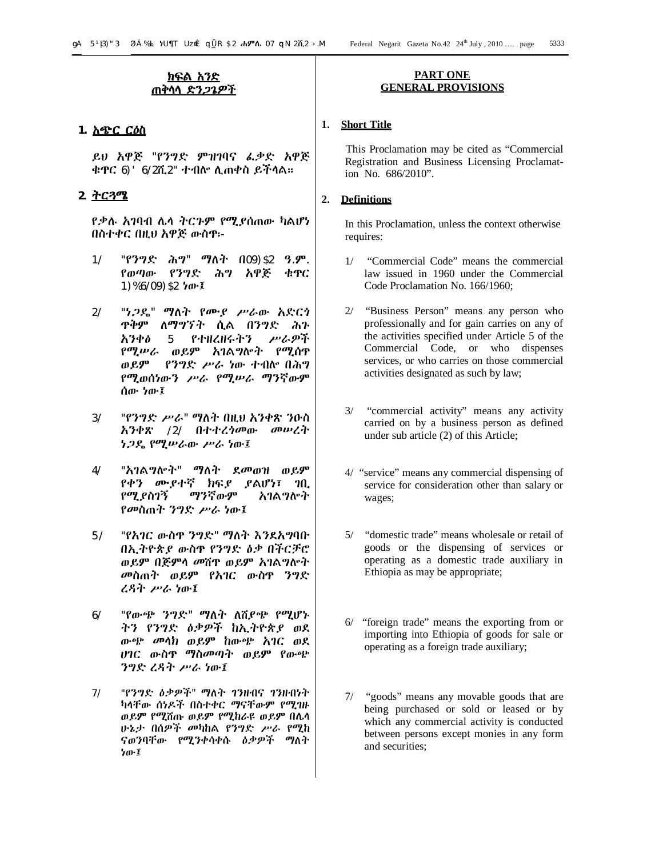# **ክፍል አንድ ጠቅላላ ድንጋጌዎች**

# **1. አጭር ርዕስ**

ይህ አዋጅ "የንግድ ምዝገባና ፈቃድ አዋጅ ቁጥር 6)'6/2ሺ2" ተብሎ ሊጠቀስ ይችላል፡፡

# **2. ትርጓሜ**

የቃሉ አገባብ ሌላ ትርጉም የሚያሰጠው ካልሆነ በስተቀር በዚህ አዋጅ ውስጥ፡-

- 1/ "የንግድ ሕግ" ማለት በ09)\$2 ዓ.ም. የወጣው የንግድ ሕግ አዋጅ ቁጥር 1)%6/09)\$2 ነው፤
- 2/ "ነጋዴ" ማለት የሙያ ሥራው አድርጎ ጥቅም ለማግኘት ሲል በንግድ ሕጉ አንቀፅ 5 የተዘረዘሩትን ሥራዎች የሚሠራ ወይም አገልግሎት የሚሰጥ ወይም የንግድ ሥራ ነው ተብሎ በሕግ የሚወሰነውን ሥራ የሚሠራ ማንኛውም ሰው ነው፤
- 3/ "የንግድ ሥራ" ማለት በዚህ አንቀጽ ንዑስ አንቀጽ /2/ በተተረጎመው መሠረት ነጋዴ የሚሠራው ሥራ ነው፤
- 4/ "አገልግሎት" ማለት ደመወዝ ወይም የቀን ሙያተኛ ክፍያ ያልሆነ፣ ገቢ የሚያስገኝ ማንኛውም አገልግሎት የመስጠት ንግድ ሥራ ነው፤
- 5/ "የአገር ውስጥ ንግድ" ማለት እንደአግባቡ በኢትዮጵያ ውስጥ የንግድ ዕቃ በችርቻሮ ወይም በጅምላ መሸጥ ወይም አገልግሎት መስጠት ወይም የአገር ውስጥ ንግድ ረዳት ሥራ ነው፤
- 6/ "የውጭ ንግድ" ማለት ለሸያጭ የሚሆኑ ትን የንግድ ዕቃዎች ከኢትዮጵያ ወደ ውጭ መላክ ወይም ከውጭ አገር ወደ ሀገር ውስጥ ማስመጣት ወይም የውጭ ንግድ ረዳት ሥራ ነው፤
- 7/ "የንግድ ዕቃዎች" ማለት ገንዘብና ገንዘብነት ካላቸው ሰነዶች በስተቀር ማናቸውም የሚገዙ ወይም የሚሸጡ ወይም የሚከራዩ ወይም በሌላ ሁኔታ በሰዎች መካከል የንግድ ሥራ የሚከ ናወንባቸው የሚንቀሳቀሱ ዕቃዎች ማለት ነው፤

#### **PART ONE GENERAL PROVISIONS**

# **1. Short Title**

 This Proclamation may be cited as "Commercial Registration and Business Licensing Proclamation No. 686/2010".

# **2. Definitions**

In this Proclamation, unless the context otherwise requires:

- 1/ "Commercial Code" means the commercial law issued in 1960 under the Commercial Code Proclamation No. 166/1960;
- 2/ "Business Person" means any person who professionally and for gain carries on any of the activities specified under Article 5 of the Commercial Code, or who dispenses services, or who carries on those commercial activities designated as such by law;
- 3/ "commercial activity" means any activity carried on by a business person as defined under sub article (2) of this Article;
- 4/ "service" means any commercial dispensing of service for consideration other than salary or wages;
- 5/ "domestic trade" means wholesale or retail of goods or the dispensing of services or operating as a domestic trade auxiliary in Ethiopia as may be appropriate;
- 6/ "foreign trade" means the exporting from or importing into Ethiopia of goods for sale or operating as a foreign trade auxiliary;
- 7/ "goods" means any movable goods that are being purchased or sold or leased or by which any commercial activity is conducted between persons except monies in any form and securities;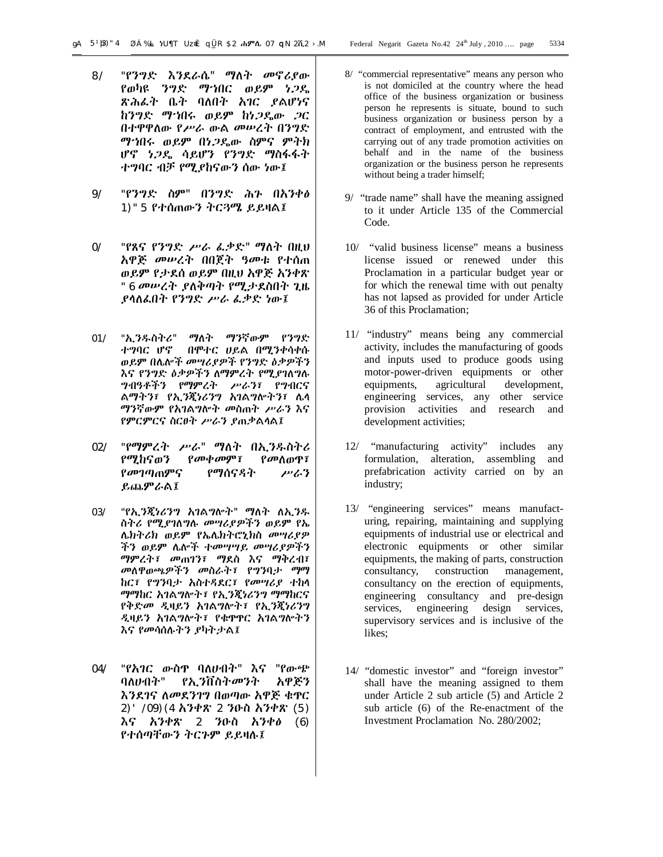- 8/ "የንግድ እንደራሴ" ማለት መኖሪያው የወካዩ ንግድ ማኀበር ወይም ነጋዴ ጽሕፈት ቤት ባለበት አገር ያልሆነና ከንግድ ማኀበሩ ወይም ከነጋዴው ጋር በተዋዋለው የሥራ ውል መሠረት በንግድ ማኀበሩ ወይም በነጋዴው ስምና ምትክ ሆኖ ነጋዴ ሳይሆን የንግድ ማስፋፋት ተግባር ብቻ የሚያከናውን ሰው ነው፤
- 9/ "የንግድ ስም" በንግድ ሕጉ በአንቀፅ 1)"5 የተሰጠውን ትርጓሜ ይይዛል፤
- 0/ "የጸና የንግድ ሥራ ፈቃድ" ማለት በዚህ አዋጅ መሠረት በበጀት ዓመቱ የተሰጠ ወይም የታደሰ ወይም በዚህ አዋጅ አንቀጽ "6 መሠረት ያለቅጣት የሚታደስበት ጊዜ ያላለፈበት የንግድ ሥራ ፈቃድ ነው፤
- 01/ "ኢንዱስትሪ" ማለት ማንኛውም የንግድ ተግባር ሆኖ በሞተር ሀይል በሚንቀሳቀሱ ወይም በሌሎች መሣሪያዎች የንግድ ዕቃዎችን እና የንግድ ዕቃዎችን ለማምረት የሚያገለግሉ ግብዓቶችን የማምረት ሥራን፣ የግብርና ልማትን፣ የኢንጂነሪንግ አገልግሎትን፣ ሌላ ማንኛውም የአገልግሎት መስጠት ሥራን እና የምርምርና ስርፀት ሥራን ያጠቃልላል፤
- 02/ "የማምረት ሥራ" ማለት በኢንዱስትሪ የሚከናወን የመቀመም፣ የመለወጥ፣ የመገጣጠምና የማሰናዳት ሥራን ይጨምራል፤
- 03/ "የኢንጂነሪንግ አገልግሎት" ማለት ለኢንዱ ስትሪ የሚያገለግሉ መሣሪያዎችን ወይም የኤ ሌክትሪክ ወይም የኤሌክትሮኒክስ መሣሪያዎ ችን ወይም ሌሎች ተመሣሣይ መሣሪያዎችን ማምረት፣ መጠገን፣ ማደስ እና ማቅረብ፣ መለዋወጫዎችን መስራት፣ የግንባታ ማማ ከር፣ የግንባታ አስተዳደር፣ የመሣሪያ ተከላ ማማከር አገልግሎት፣ የኢንጂነሪንግ ማማከርና የቅድመ ዲዛይን አገልግሎት፣ የኢንጂነሪንግ ዲዛይን አገልግሎት፣ የቁጥጥር አገልግሎትን እና የመሳሰሉትን ያካትታል፤
- 04/ "የአገር ውስጥ ባለሀብት" እና "የውጭ ባለሀብት" የኢንቨስትመንት አዋጅን እንደገና ለመደንገግ በወጣው አዋጅ ቁጥር 2)' /09)(4 አንቀጽ 2 ንዑስ አንቀጽ (5) እና አንቀጽ 2 ንዑስ አንቀፅ (6) የተሰጣቸውን ትርጉም ይይዛሉ፤
- 8/ "commercial representative" means any person who is not domiciled at the country where the head office of the business organization or business person he represents is situate, bound to such business organization or business person by a contract of employment, and entrusted with the carrying out of any trade promotion activities on behalf and in the name of the business organization or the business person he represents without being a trader himself;
- 9/ "trade name" shall have the meaning assigned to it under Article 135 of the Commercial Code.
- 10/ "valid business license" means a business license issued or renewed under this Proclamation in a particular budget year or for which the renewal time with out penalty has not lapsed as provided for under Article 36 of this Proclamation;
- 11/ "industry" means being any commercial activity, includes the manufacturing of goods and inputs used to produce goods using motor-power-driven equipments or other equipments, agricultural development, engineering services, any other service provision activities and research and development activities;
- 12/ "manufacturing activity" includes any formulation, alteration, assembling and prefabrication activity carried on by an industry;
- 13/ "engineering services" means manufacturing, repairing, maintaining and supplying equipments of industrial use or electrical and electronic equipments or other similar equipments, the making of parts, construction consultancy, construction management, consultancy on the erection of equipments, engineering consultancy and pre-design services, engineering design services, supervisory services and is inclusive of the likes;
- 14/ "domestic investor" and "foreign investor" shall have the meaning assigned to them under Article 2 sub article (5) and Article 2 sub article (6) of the Re-enactment of the Investment Proclamation No. 280/2002;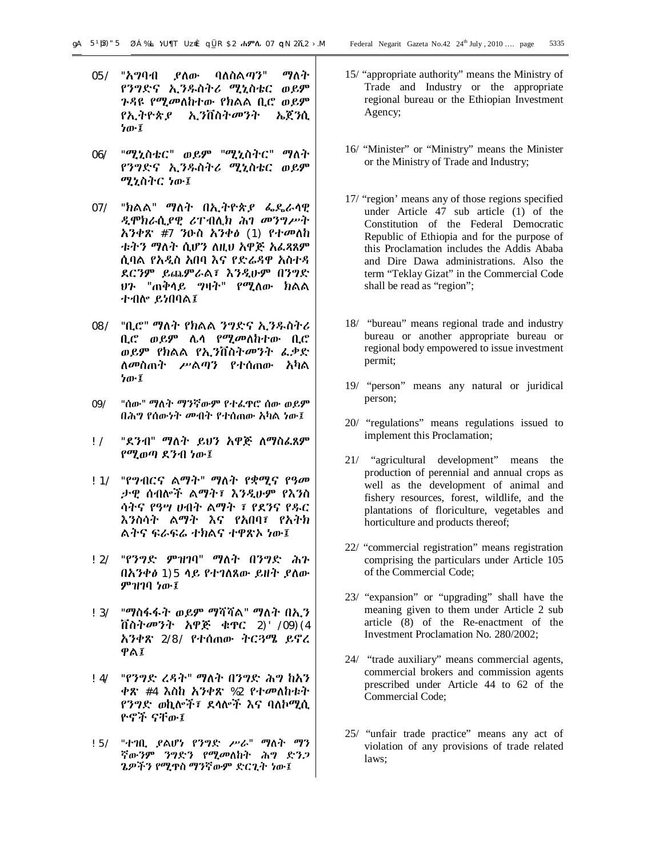- 05/ "አግባብ ያለው ባለስልጣን" ማለት የንግድና ኢንዱስትሪ ሚኒስቴር ወይም ጉዳዩ የሚመለከተው የክልል ቢሮ ወይም የኢትዮጵያ ኢንቨስትመንት ኤጀንሲ ነው፤
- 06/ "ሚኒስቴር" ወይም "ሚኒስትር" ማለት የንግድና ኢንዱስትሪ ሚኒስቴር ወይም ሚኒስትር ነው፤
- 07/ "ክልል" ማለት በኢትዮጵያ ፌዴራላዊ ዲሞክራሲያዊ ሪፐብሊክ ሕገ መንግሥት አንቀጽ #7 ንዑስ አንቀፅ (1) የተመለከ ቱትን ማለት ሲሆን ለዚህ አዋጅ አፈጻጸም ሲባል የአዲስ አበባ እና የድሬዳዋ አስተዳ ደርንም ይጨምራል፣ እንዲሁም በንግድ ህጉ "ጠቅላይ ግዛት" የሚለው ክልል ተብሎ ይነበባል፤
- 08/ "ቢሮ" ማለት የክልል ንግድና ኢንዱስትሪ ቢሮ ወይም ሌላ የሚመለከተው ቢሮ ወይም የክልል የኢንቨስትመንት ፈቃድ ለመስጠት ሥልጣን የተሰጠው አካል ነው፤
- 09/ "ሰው" ማለት ማንኛውም የተፈጥሮ ሰው ወይም በሕግ የሰውነት መብት የተሰጠው አካል ነው፤
- !/ "ደንብ" ማለት ይህን አዋጅ ለማስፈጸም የሚወጣ ደንብ ነው፤
- !1/ "የግብርና ልማት" ማለት የቋሚና የዓመ ታዊ ሰብሎች ልማት፣ እንዲሁም የእንስ ሳትና የዓሣ ሀብት ልማት ፣ የደንና የዱር እንስሳት ልማት እና የአበባ፣ የአትክ ልትና ፍራፍሬ ተክልና ተዋጽኦ ነው፤
- !2/ "የንግድ ምዝገባ" ማለት በንግድ ሕጉ በአንቀፅ 1)5 ላይ የተገለጸው ይዘት ያለው ምዝገባ ነው፤
- !3/ "ማስፋፋት ወይም ማሻሻል" ማለት በኢን ቨስትመንት አዋጅ ቁጥር 2)'/09)(4 አንቀጽ 2/8/ የተሰጠው ትርጓሜ ይኖረ ዋል፤
- !4/ "የንግድ ረዳት" ማለት በንግድ ሕግ ከአን ቀጽ #4 እስከ አንቀጽ %2 የተመለከቱት የንግድ ወኪሎች፣ ደላሎች እና ባለኮሚሲ ዮኖች ናቸው፤
- !5/ "ተገቢ ያልሆነ የንግድ ሥራ" ማለት ማን ኛውንም ንግድን የሚመለከት ሕግ ድንጋ ጌዎችን የሚጥስ ማንኛውም ድርጊት ነው፤
- 15/ "appropriate authority" means the Ministry of Trade and Industry or the appropriate regional bureau or the Ethiopian Investment Agency;
- 16/ "Minister" or "Ministry" means the Minister or the Ministry of Trade and Industry;
- 17/ "region' means any of those regions specified under Article 47 sub article (1) of the Constitution of the Federal Democratic Republic of Ethiopia and for the purpose of this Proclamation includes the Addis Ababa and Dire Dawa administrations. Also the term "Teklay Gizat" in the Commercial Code shall be read as "region";
- 18/ "bureau" means regional trade and industry bureau or another appropriate bureau or regional body empowered to issue investment permit;
- 19/ "person" means any natural or juridical person;
- 20/ "regulations" means regulations issued to implement this Proclamation;
- 21/ "agricultural development" means the production of perennial and annual crops as well as the development of animal and fishery resources, forest, wildlife, and the plantations of floriculture, vegetables and horticulture and products thereof;
- 22/ "commercial registration" means registration comprising the particulars under Article 105 of the Commercial Code;
- 23/ "expansion" or "upgrading" shall have the meaning given to them under Article 2 sub article (8) of the Re-enactment of the Investment Proclamation No. 280/2002;
- 24/ "trade auxiliary" means commercial agents, commercial brokers and commission agents prescribed under Article 44 to 62 of the Commercial Code;
- 25/ "unfair trade practice" means any act of violation of any provisions of trade related laws;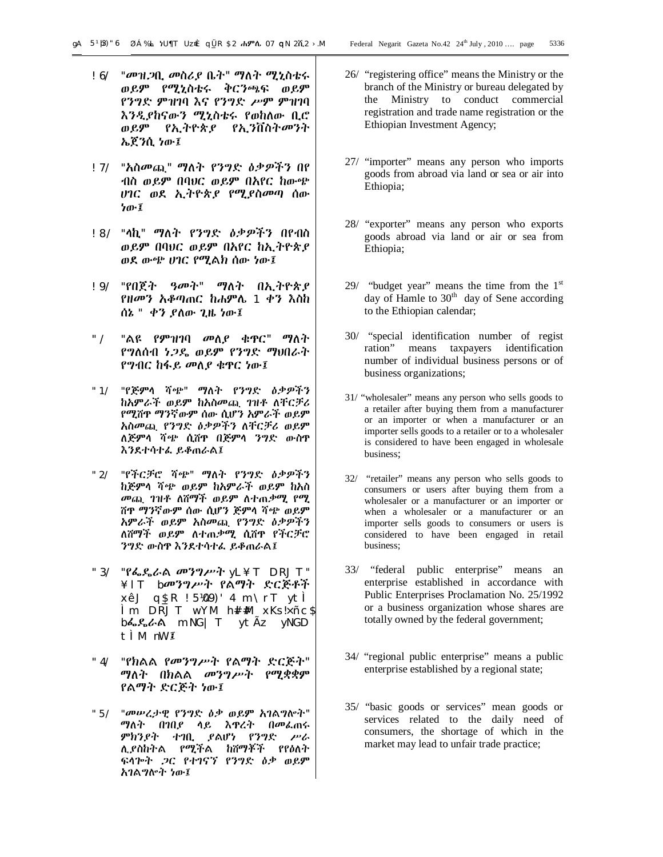- !6/ "መዝጋቢ መስሪያ ቤት" ማለት ሚኒስቴሩ ወይም የሚኒስቴሩ ቅርንጫፍ ወይም የንግድ ምዝገባ እና የንግድ ሥም ምዝገባ እንዲያከናውን ሚኒስቴሩ የወከለው ቢሮ ወይም የኢትዮጵያ የኢንቨስትመንት ኤጀንሲ ነው፤
- !7/ "አስመጪ" ማለት የንግድ ዕቃዎችን በየ ብስ ወይም በባህር ወይም በአየር ከውጭ ሀገር ወደ ኢትዮጵያ የሚያስመጣ ሰው ነው፤
- !8/ "ላኪ" ማለት የንግድ ዕቃዎችን በየብስ ወይም በባህር ወይም በአየር ከኢትዮጵያ ወደ ውጭ ሀገር የሚልክ ሰው ነው፤
- !9/ "የበጀት ዓመት" ማለት በኢትዮጵያ የዘመን አቆጣጠር ከሐምሌ 1 ቀን እስከ ሰኔ " ቀን ያለው ጊዜ ነው፤
- "/ "ልዩ የምዝገባ መለያ ቁጥር" ማለት የግለሰብ ነጋዴ ወይም የንግድ ማህበራት የግብር ከፋይ መለያ ቁጥር ነው፤
- "1/ "የጅምላ ሻጭ" ማለት የንግድ ዕቃዎችን ከአምራች ወይም ከአስመጪ ገዝቶ ለቸርቻሪ የሚሸጥ ማንኛውም ሰው ሲሆን አምራች ወይም አስመጪ የንግድ ዕቃዎችን ለቸርቻሪ ወይም ለጅምላ ሻጭ ሲሸጥ በጅምላ ንግድ ውስጥ እንደተሳተፈ ይቆጠራል፤
- "2/ "የችርቻሮ ሻጭ" ማለት የንግድ ዕቃዎችን ከጅምላ ሻጭ ወይም ከአምራች ወይም ከአስ መጪ ገዝቶ ለሸማች ወይም ለተጠቃሚ የሚ ሸጥ ማንኛውም ሰው ሲሆን ጅምላ ሻጭ ወይም አምራች ወይም አስመጪ የንግድ ዕቃዎችን ለሸማች ወይም ለተጠቃሚ ሲሸጥ የችርቻሮ ንግድ ውስጥ እንደተሳተፈ ይቆጠራል፤
- "3/ "የፌዴራል መንግሥት yL¥T DRJT" ¥lT bመንግሥት የልማት ድርጅቶች xêJ q\$\_R !5¼09)'4 m\rT ytÌ Ìm DRJT wYM h#l#M xKs!×ñc\$ bፌዴራል mNG|T ytÃz yNGD tÌM nW፤
- "4/ "የክልል የመንግሥት የልማት ድርጅት" ማለት በክልል መንግሥት የሚቋቋም የልማት ድርጅት ነው፤
- "5/ "መሠረታዊ የንግድ ዕቃ ወይም አገልግሎት" ማለት በገበያ ላይ እጥረት በመፈጠሩ ምክንያት ተገቢ ያልሆነ የንግድ ሥራ ሊያስከትል የሚችል ከሸማቾች የየዕለት ፍላጐት ጋር የተገናኘ የንግድ ዕቃ ወይም አገልግሎት ነው፤
- 26/ "registering office" means the Ministry or the branch of the Ministry or bureau delegated by the Ministry to conduct commercial registration and trade name registration or the Ethiopian Investment Agency;
- 27/ "importer" means any person who imports goods from abroad via land or sea or air into Ethiopia;
- 28/ "exporter" means any person who exports goods abroad via land or air or sea from Ethiopia;
- 29/ "budget year" means the time from the  $1<sup>st</sup>$ day of Hamle to  $30<sup>th</sup>$  day of Sene according to the Ethiopian calendar;
- 30/ "special identification number of regist ration" means taxpayers identification number of individual business persons or of business organizations;
- 31/ "wholesaler" means any person who sells goods to a retailer after buying them from a manufacturer or an importer or when a manufacturer or an importer sells goods to a retailer or to a wholesaler is considered to have been engaged in wholesale business;
- 32/ "retailer" means any person who sells goods to consumers or users after buying them from a wholesaler or a manufacturer or an importer or when a wholesaler or a manufacturer or an importer sells goods to consumers or users is considered to have been engaged in retail business;
- 33/ "federal public enterprise" means an enterprise established in accordance with Public Enterprises Proclamation No. 25/1992 or a business organization whose shares are totally owned by the federal government;
- 34/ "regional public enterprise" means a public enterprise established by a regional state;
- 35/ "basic goods or services" mean goods or services related to the daily need of consumers, the shortage of which in the market may lead to unfair trade practice;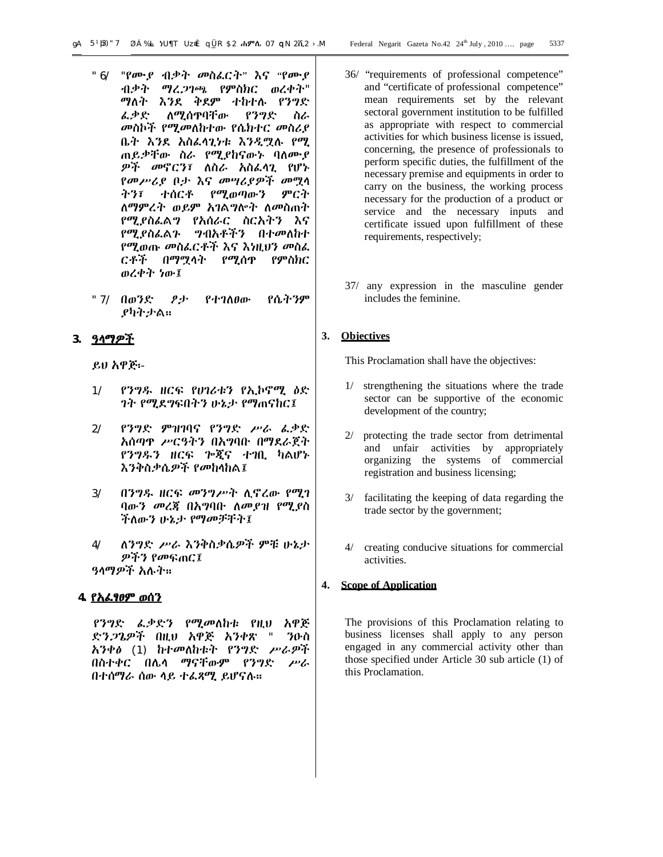- "6/ "የሙያ ብቃት መስፈርት" እና "የሙያ ብቃት ማረጋገጫ የምስክር ወረቀት" ማለት እንደ ቅደም ተከተሉ የንግድ ፈቃድ ለሚሰጥባቸው የንግድ ስራ መስኮች የሚመለከተው የሴክተር መስሪያ ቤት እንደ አስፈላጊነቱ እንዲሟሉ የሚ ጠይቃቸው ስራ የሚያከናውኑ ባለሙያ ዎች መኖርን፣ ለስራ አስፈላጊ የሆኑ የመሥሪያ ቦታ እና መሣሪያዎች መሟላ ትን፣ ተሰርቶ የሚወጣውን ምርት ለማምረት ወይም አገልግሎት ለመስጠት የሚያስፈልግ የአሰራር ስርአትን እና የሚያስፈልጉ ግብአቶችን በተመለከተ የሚወጡ መስፈርቶች እና እነዚህን መስፈ ርቶች በማሟላት የሚሰጥ የምስክር ወረቀት ነው፤
- "7/ በወንድ ፆታ የተገለፀው የሴትንም ያካትታል፡፡

# **3. ዓላማዎች**

ይህ አዋጅ፡-

- 1/ የንግዱ ዘርፍ የሀገሪቱን የኢኮኖሚ ዕድ ገት የሚደግፍበትን ሁኔታ የማጠናከር፤
- 2/ የንግድ ምዝገባና የንግድ ሥራ ፈቃድ አሰጣጥ ሥርዓትን በአግባቡ በማደራጀት የንግዱን ዘርፍ ጐጂና ተገቢ ካልሆኑ እንቅስቃሴዎች የመከላከል፤
- 3/ በንግዱ ዘርፍ መንግሥት ሊኖረው የሚገ ባውን መረጃ በአግባቡ ለመያዝ የሚያስ ችለውን ሁኔታ የማመቻቸት፤
- 4/ ለንግድ ሥራ እንቅስቃሴዎች ምቹ ሁኔታ ዎችን የመፍጠር፤ ዓላማዎች አሉት፡፡

# **4. የአፈፃፀም ወሰን**

 የንግድ ፈቃድን የሚመለከቱ የዚህ አዋጅ ድንጋጌዎች በዚህ አዋጅ አንቀጽ " ንዑስ አንቀፅ (1) ከተመለከቱት የንግድ ሥራዎች በስተቀር በሌላ ማናቸውም የንግድ ሥራ በተሰማራ ሰው ላይ ተፈጻሚ ይሆናሉ፡፡

- 36/ "requirements of professional competence" and "certificate of professional competence" mean requirements set by the relevant sectoral government institution to be fulfilled as appropriate with respect to commercial activities for which business license is issued, concerning, the presence of professionals to perform specific duties, the fulfillment of the necessary premise and equipments in order to carry on the business, the working process necessary for the production of a product or service and the necessary inputs and certificate issued upon fulfillment of these requirements, respectively;
- 37/ any expression in the masculine gender includes the feminine.

# **3. Objectives**

This Proclamation shall have the objectives:

- 1/ strengthening the situations where the trade sector can be supportive of the economic development of the country;
- 2/ protecting the trade sector from detrimental and unfair activities by appropriately organizing the systems of commercial registration and business licensing;
- 3/ facilitating the keeping of data regarding the trade sector by the government;
- 4/ creating conducive situations for commercial activities.

# **4. Scope of Application**

The provisions of this Proclamation relating to business licenses shall apply to any person engaged in any commercial activity other than those specified under Article 30 sub article (1) of this Proclamation.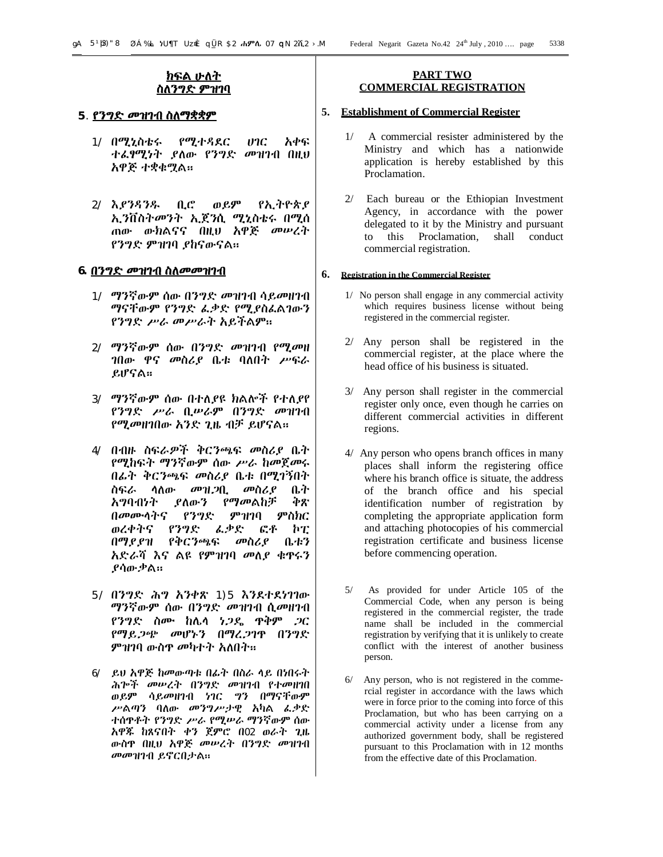# **ክፍል ሁለት ስለንግድ ምዝገባ**

#### **5**. **የንግድ መዝገብ ስለማቋቋም**

- 1/ በሚኒስቴሩ የሚተዳደር ሀገር አቀፍ ተፈፃሚነት ያለው የንግድ መዝገብ በዚህ አዋጅ ተቋቁሟል፡፡
- 2/ እያንዳንዱ ቢሮ ወይም የኢትዮጵያ ኢንቨስትመንት ኢጀንሲ ሚኒስቴሩ በሚሰ ጠው ውክልናና በዚህ አዋጅ መሠረት የንግድ ምዝገባ ያከናውናል፡፡

#### **6. በንግድ መዝገብ ስለመመዝገብ**

- 1/ ማንኛውም ሰው በንግድ መዝገብ ሳይመዘገብ ማናቸውም የንግድ ፈቃድ የሚያስፈልገውን የንግድ ሥራ መሥራት አይችልም፡፡
- 2/ ማንኛውም ሰው በንግድ መዝገብ የሚመዘ ገበው ዋና መስሪያ ቤቱ ባለበት ሥፍራ ይሆናል፡፡
- 3/ ማንኛውም ሰው በተለያዩ ክልሎች የተለያየ የንግድ ሥራ ቢሠራም በንግድ መዝገብ የሚመዘገበው አንድ ጊዜ ብቻ ይሆናል፡፡
- 4/ በብዙ ስፍራዎች ቅርንጫፍ መስሪያ ቤት የሚከፍት ማንኛውም ሰው ሥራ ከመጀመሩ በፊት ቅርንጫፍ መስሪያ ቤቱ በሚገኝበት ስፍራ ላለው መዝጋቢ መስሪያ ቤት አግባብነት ያለውን የማመልከቻ ቅጽ በመሙላትና የንግድ ምዝገባ ምስክር ወረቀትና የንግድ ፈቃድ ፎቶ ኮፒ በማያያዝ የቅርንጫፍ መስሪያ ቤቱን አድራሻ እና ልዩ የምዝገባ መለያ ቁጥሩን ያሳውቃል፡፡
- 5/ በንግድ ሕግ አንቀጽ 1)5 እንደተደነገገው ማንኛውም ሰው በንግድ መዝገብ ሲመዘገብ የንግድ ስሙ ከሌላ ነጋዴ ጥቅም ጋር የማይጋጭ መሆኑን በማረጋገጥ በንግድ ምዝገባ ውስጥ መካተት አለበት፡፡
- 6/ ይህ አዋጅ ከመውጣቱ በፊት በስራ ላይ በነበሩት ሕጐች መሠረት በንግድ መዝገብ የተመዘገበ ወይም ሳይመዘገብ ነገር ግን በማናቸውም ሥልጣን ባለው መንግሥታዊ አካል ፈቃድ ተሰጥቶት የንግድ ሥራ የሚሠራ ማንኛውም ሰው አዋጁ ከጸናበት ቀን ጀምሮ በ02 ወራት ጊዜ ውስጥ በዚህ አዋጅ መሠረት በንግድ መዝገብ መመዝገብ ይኖርበታል፡፡

#### **PART TWO COMMERCIAL REGISTRATION**

#### **5. Establishment of Commercial Register**

- 1/ A commercial resister administered by the Ministry and which has a nationwide application is hereby established by this Proclamation.
- 2/ Each bureau or the Ethiopian Investment Agency, in accordance with the power delegated to it by the Ministry and pursuant to this Proclamation, shall conduct commercial registration.

#### **6. Registration in the Commercial Register**

- 1/ No person shall engage in any commercial activity which requires business license without being registered in the commercial register.
- 2/ Any person shall be registered in the commercial register, at the place where the head office of his business is situated.
- 3/ Any person shall register in the commercial register only once, even though he carries on different commercial activities in different regions.
- 4/ Any person who opens branch offices in many places shall inform the registering office where his branch office is situate, the address of the branch office and his special identification number of registration by completing the appropriate application form and attaching photocopies of his commercial registration certificate and business license before commencing operation.
- 5/ As provided for under Article 105 of the Commercial Code, when any person is being registered in the commercial register, the trade name shall be included in the commercial registration by verifying that it is unlikely to create conflict with the interest of another business person.
- 6/ Any person, who is not registered in the commercial register in accordance with the laws which were in force prior to the coming into force of this Proclamation, but who has been carrying on a commercial activity under a license from any authorized government body, shall be registered pursuant to this Proclamation with in 12 months from the effective date of this Proclamation.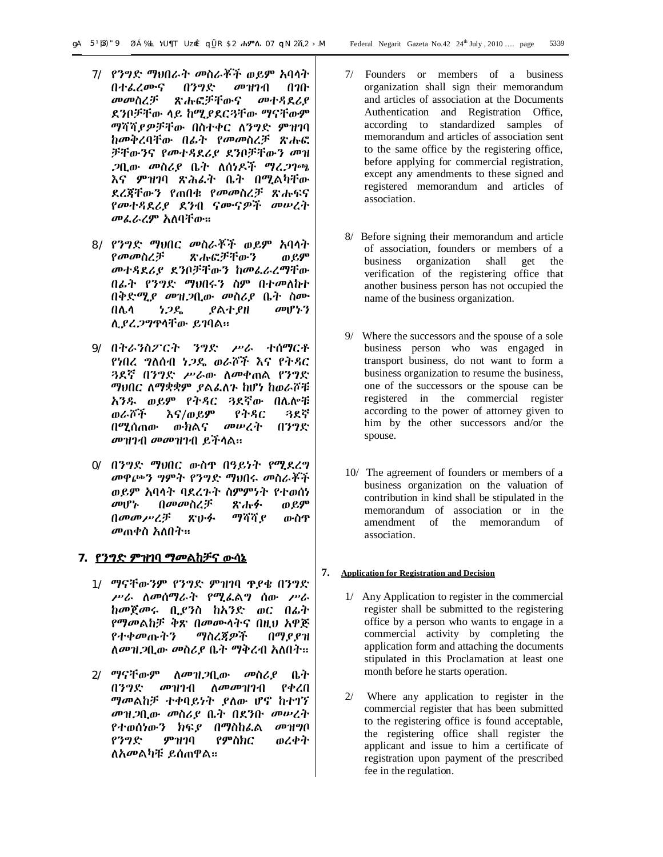- 7/ የንግድ ማህበራት መስራቾች ወይም አባላት በተፈረሙና በንግድ መዝገብ በገቡ<br>መመስረቻ ጽሑፎቻቸውና መተዳደሪደ ጽሑፎቻቸውና መተዳደሪያ ደንቦቻቸው ላይ ከሚያደርጓቸው ማናቸውም ማሻሻያዎቻቸው በስተቀር ለንግድ ምዝገባ ከመቅረባቸው በፊት የመመስረቻ ጽሑፎ ቻቸውንና የመተዳደሪያ ደንቦቻቸውን መዝ ጋቢው መስሪያ ቤት ለሰነዶች ማረጋገጫ እና ምዝገባ ጽሕፈት ቤት በሚልካቸው ደረጃቸውን የጠበቁ የመመስረቻ ጽሑፍና የመተዳደሪያ ደንብ ናሙናዎች መሠረት መፈራረም አለባቸው፡፡
- 8/ የንግድ ማህበር መስራቾች ወይም አባላት<br>የመመስረቻ ጽሑፎቻቸውን ወይም ጽሑፎቻቸውን ወይም መተዳደሪያ ደንቦቻቸውን ከመፈራረማቸው በፊት የንግድ ማህበሩን ስም በተመለከተ በቅድሚያ መዝጋቢው መስሪያ ቤት ስሙ በሌላ ነጋዴ ያልተያዘ መሆኑን ሊያረጋግጥላቸው ይገባል፡፡
- 9/ በትራንስፖርት ንግድ ሥራ ተሰማርቶ የነበረ ግለሰብ ነጋዴ ወራሾች እና የትዳር ጓደኛ በንግድ ሥራው ለመቀጠል የንግድ ማህበር ለማቋቋም ያልፈለጉ ከሆነ ከወራሾቹ አንዱ ወይም የትዳር ጓደኛው በሌሎቹ ወራሾች እና/ወይም የትዳር ጓደኛ በሚሰጠው ውክልና መሠረት በንግድ መዝገብ መመዝገብ ይችላል፡፡
- 0/ በንግድ ማህበር ውስጥ በዓይነት የሚደረግ መዋጮን ግምት የንግድ ማህበሩ መስራቾች ወይም አባላት ባደረጉት ስምምነት የተወሰነ መሆኑ በመመስረቻ ጽሑፉ ወይም በመመሥረቻ ጽሁፉ ማሻሻያ ውስጥ መጠቀስ አለበት፡፡

# **7. የንግድ ምዝገባ ማመልከቻና ውሳኔ**

- 1/ ማናቸውንም የንግድ ምዝገባ ጥያቄ በንግድ ሥራ ለመሰማራት የሚፈልግ ሰው ሥራ ከመጀመሩ ቢያንስ ከአንድ ወር በፊት የማመልከቻ ቅጽ በመሙላትና በዚህ አዋጅ የተቀመጡትን ማስረጃዎች በማያያዝ ለመዝጋቢው መስሪያ ቤት ማቅረብ አለበት፡፡
- 2/ ማናቸውም ለመዝጋቢው መስሪያ ቤት በንግድ መዝገብ ለመመዝገብ የቀረበ ማመልከቻ ተቀባይነት ያለው ሆኖ ከተገኘ መዝጋቢው መስሪያ ቤት በደንቡ መሠረት የተወሰነውን ክፍያ በማስከፈል መዝግቦ የንግድ ምዝገባ የምስክር ወረቀት ለአመልካቹ ይሰጠዋል፡፡
- 7/ Founders or members of a business organization shall sign their memorandum and articles of association at the Documents Authentication and Registration Office, according to standardized samples of memorandum and articles of association sent to the same office by the registering office, before applying for commercial registration, except any amendments to these signed and registered memorandum and articles of association.
- 8/ Before signing their memorandum and article of association, founders or members of a business organization shall get the verification of the registering office that another business person has not occupied the name of the business organization.
- 9/ Where the successors and the spouse of a sole business person who was engaged in transport business, do not want to form a business organization to resume the business, one of the successors or the spouse can be registered in the commercial register according to the power of attorney given to him by the other successors and/or the spouse.
- 10/ The agreement of founders or members of a business organization on the valuation of contribution in kind shall be stipulated in the memorandum of association or in the amendment of the memorandum of association.

#### **7. Application for Registration and Decision**

- 1/ Any Application to register in the commercial register shall be submitted to the registering office by a person who wants to engage in a commercial activity by completing the application form and attaching the documents stipulated in this Proclamation at least one month before he starts operation.
- 2/ Where any application to register in the commercial register that has been submitted to the registering office is found acceptable, the registering office shall register the applicant and issue to him a certificate of registration upon payment of the prescribed fee in the regulation.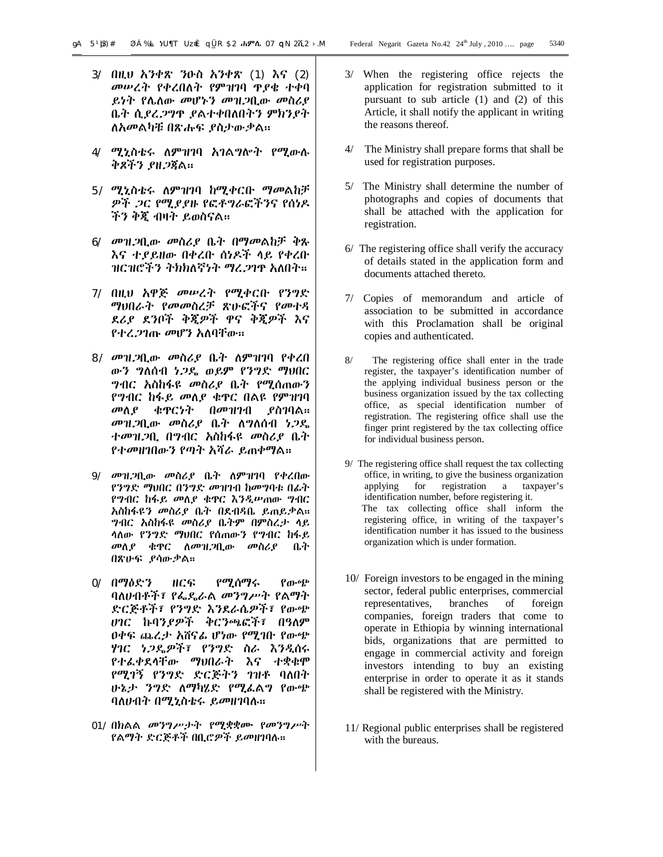- 3/ በዚህ አንቀጽ ንዑስ አንቀጽ (1) እና (2) መሠረት የቀረበለት የምዝገባ ጥያቄ ተቀባ ይነት የሌለው መሆኑን መዝጋቢው መስሪያ ቤት ሲያረጋግጥ ያልተቀበለበትን ምክንያት ለአመልካቹ በጽሑፍ ያስታውቃል፡፡
- 4/ ሚኒስቴሩ ለምዝገባ አገልግሎት የሚውሉ ቅጾችን ያዘጋጃል፡፡
- 5/ ሚኒስቴሩ ለምዝገባ ከሚቀርቡ ማመልከቻ ዎች ጋር የሚያያዙ የፎቶግራፎችንና የሰነዶ ችን ቅጂ ብዛት ይወስናል፡፡
- 6/ መዝጋቢው መስሪያ ቤት በማመልከቻ ቅጹ እና ተያይዘው በቀረቡ ሰነዶች ላይ የቀረቡ ዝርዝሮችን ትክክለኛነት ማረጋገጥ አለበት፡፡
- 7/ በዚህ አዋጅ መሠረት የሚቀርቡ የንግድ ማህበራት የመመስረቻ ጽሁፎችና የመተዳ ደሪያ ደንቦች ቅጂዎች ዋና ቅጂዎች እና የተረጋገጡ መሆን አለባቸው፡፡
- 8/ መዝጋቢው መስሪያ ቤት ለምዝገባ የቀረበ ውን ግለሰብ ነጋዴ ወይም የንግድ ማህበር ግብር አስከፋዩ መስሪያ ቤት የሚሰጠውን የግብር ከፋይ መለያ ቁጥር በልዩ የምዝገባ መለያ ቁጥርነት በመዝገብ ያስገባል፡፡ መዝጋቢው መስሪያ ቤት ለግለሰብ ነጋዴ ተመዝጋቢ በግብር አስከፋዩ መስሪያ ቤት የተመዘገበውን የጣት አሻራ ይጠቀማል፡፡
- 9/ መዝጋቢው መስሪያ ቤት ለምዝገባ የቀረበው የንግድ ማህበር በንግድ መዝገብ ከመግባቱ በፊት የግብር ከፋይ መለያ ቁጥር እንዲሠጠው ግብር አስከፋዩን መስሪያ ቤት በደብዳቤ ይጠይቃል፡፡ ግብር አስከፋዩ መስሪያ ቤትም በምስረታ ላይ ላለው የንግድ ማህበር የሰጠውን የግብር ከፋይ መለያ ቁጥር ለመዝጋቢው መስሪያ ቤት በጽሁፍ ያሳውቃል፡፡
- 0/ በማዕድን ዘርፍ የሚሰማሩ የውጭ ባለሀብቶች፣ የፌዴራል መንግሥት የልማት ድርጅቶች፣ የንግድ እንደራሴዎች፣ የውጭ ሀገር ኩባንያዎች ቅርንጫፎች፣ በዓለም ዐቀፍ ጨረታ አሸናፊ ሆነው የሚገቡ የውጭ ሃገር ነጋዴዎች፣ የንግድ ስራ እንዲሰሩ የተፈቀደላቸው ማህበራት እና ተቋቁሞ የሚገኝ የንግድ ድርጅትን ገዝቶ ባለበት ሁኔታ ንግድ ለማካሄድ የሚፈልግ የውጭ ባለሀብት በሚኒስቴሩ ይመዘገባሉ፡፡
- 01/ በክልል መንግሥታት የሚቋቋሙ የመንግሥት የልማት ድርጅቶች በቢሮዎች ይመዘገባሉ፡፡
- 3/ When the registering office rejects the application for registration submitted to it pursuant to sub article (1) and (2) of this Article, it shall notify the applicant in writing the reasons thereof.
- 4/ The Ministry shall prepare forms that shall be used for registration purposes.
- 5/ The Ministry shall determine the number of photographs and copies of documents that shall be attached with the application for registration.
- 6/ The registering office shall verify the accuracy of details stated in the application form and documents attached thereto.
- 7/ Copies of memorandum and article of association to be submitted in accordance with this Proclamation shall be original copies and authenticated.
- 8/ The registering office shall enter in the trade register, the taxpayer's identification number of the applying individual business person or the business organization issued by the tax collecting office, as special identification number of registration. The registering office shall use the finger print registered by the tax collecting office for individual business person.
- 9/ The registering office shall request the tax collecting office, in writing, to give the business organization applying for registration a taxpayer's identification number, before registering it. The tax collecting office shall inform the registering office, in writing of the taxpayer's identification number it has issued to the business organization which is under formation.
- 10/ Foreign investors to be engaged in the mining sector, federal public enterprises, commercial representatives, branches of foreign companies, foreign traders that come to operate in Ethiopia by winning international bids, organizations that are permitted to engage in commercial activity and foreign investors intending to buy an existing enterprise in order to operate it as it stands shall be registered with the Ministry.
- 11/ Regional public enterprises shall be registered with the bureaus.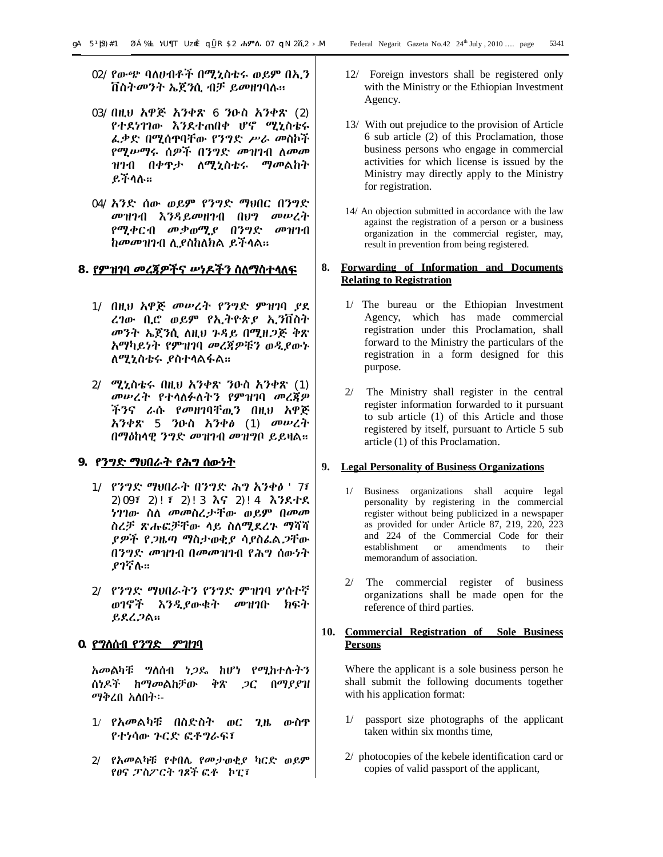- 02/ የውጭ ባለሀብቶች በሚኒስቴሩ ወይም በኢን ቨስትመንት ኤጀንሲ ብቻ ይመዘገባሉ፡፡
- 03/ በዚህ አዋጅ አንቀጽ 6 ንዑስ አንቀጽ (2) የተደነገገው እንደተጠበቀ ሆኖ ሚኒስቴሩ ፈቃድ በሚሰጥባቸው የንግድ ሥራ መስኮች የሚሠማሩ ሰዎች በንግድ መዝገብ ለመመ ዝገብ በቀጥታ ለሚኒስቴሩ ማመልከት ይችላሉ፡፡
- 04/ አንድ ሰው ወይም የንግድ ማህበር በንግድ መዝገብ እንዳይመዘገብ በህግ መሠረት የሚቀርብ መቃወሚያ በንግድ መዝገብ ከመመዝገብ ሊያስከለክል ይችላል፡፡

# **8. የምዝገባ መረጃዎችና ሠነዶችን ስለማስተላለፍ**

- 1/ በዚህ አዋጅ መሠረት የንግድ ምዝገባ ያደ ረገው ቢሮ ወይም የኢትዮጵያ ኢንቨስት መንት ኤጀንሲ ለዚህ ጉዳይ በሚዘጋጅ ቅጽ አማካይነት የምዝገባ መረጃዎቹን ወዲያውኑ ለሚኒስቴሩ ያስተላልፋል፡፡
- 2/ ሚኒስቴሩ በዚህ አንቀጽ ንዑስ አንቀጽ (1) መሠረት የተላለፉለትን የምዝገባ መረጃዎ ችንና ራሱ የመዘገባቸዉን በዚህ አዋጅ አንቀጽ 5 ንዑስ አንቀፅ (1) መሠረት በማዕከላዊ ንግድ መዝገብ መዝግቦ ይይዛል፡፡

# **9. የንግድ ማህበራት የሕግ ሰውነት**

- 1/ የንግድ ማህበራት በንግድ ሕግ አንቀፅ '7፣ 2)09፣ 2)!፣ 2)!3 እና 2)!4 እንደተደ ነገገው ስለ መመስረታቸው ወይም በመመ ስረቻ ጽሑፎቻቸው ላይ ስለሚደረጉ ማሻሻ ያዎች የጋዜጣ ማስታወቂያ ሳያስፈልጋቸው በንግድ መዝገብ በመመዝገብ የሕግ ሰውነት ያገኛሉ፡፡
- 2/ የንግድ ማህበራትን የንግድ ምዝገባ ሦሰተኛ ወገኖች እንዲያውቁት መዝገቡ ክፍት ይደረጋል፡፡

# **0. የግለሰብ የንግድ ምዝገባ**

አመልካቹ ግለሰብ ነጋዴ ከሆነ የሚከተሉትን ሰነዶች ከማመልከቻው ቅጽ ጋር በማያያዝ ማቅረበ አለበት፡-

- 1/ የአመልካቹ በስድስት ወር ጊዜ ውስጥ የተነሳው ጉርድ ፎቶግራፍ፣
- 2/ የአመልካቹ የቀበሌ የመታወቂያ ካርድ ወይም የፀና ፓስፖርት ገጾች ፎቶ ኮፒ፣
- 12/ Foreign investors shall be registered only with the Ministry or the Ethiopian Investment Agency.
- 13/ With out prejudice to the provision of Article 6 sub article (2) of this Proclamation, those business persons who engage in commercial activities for which license is issued by the Ministry may directly apply to the Ministry for registration.
- 14/ An objection submitted in accordance with the law against the registration of a person or a business organization in the commercial register, may, result in prevention from being registered.

# **8. Forwarding of Information and Documents Relating to Registration**

- 1/ The bureau or the Ethiopian Investment Agency, which has made commercial registration under this Proclamation, shall forward to the Ministry the particulars of the registration in a form designed for this purpose.
- 2/ The Ministry shall register in the central register information forwarded to it pursuant to sub article (1) of this Article and those registered by itself, pursuant to Article 5 sub article (1) of this Proclamation.

# **9. Legal Personality of Business Organizations**

- 1/ Business organizations shall acquire legal personality by registering in the commercial register without being publicized in a newspaper as provided for under Article 87, 219, 220, 223 and 224 of the Commercial Code for their establishment or amendments to their memorandum of association.
- 2/ The commercial register of business organizations shall be made open for the reference of third parties.

# **10. Commercial Registration of Sole Business Persons**

Where the applicant is a sole business person he shall submit the following documents together with his application format:

- passport size photographs of the applicant taken within six months time,
- 2/ photocopies of the kebele identification card or copies of valid passport of the applicant,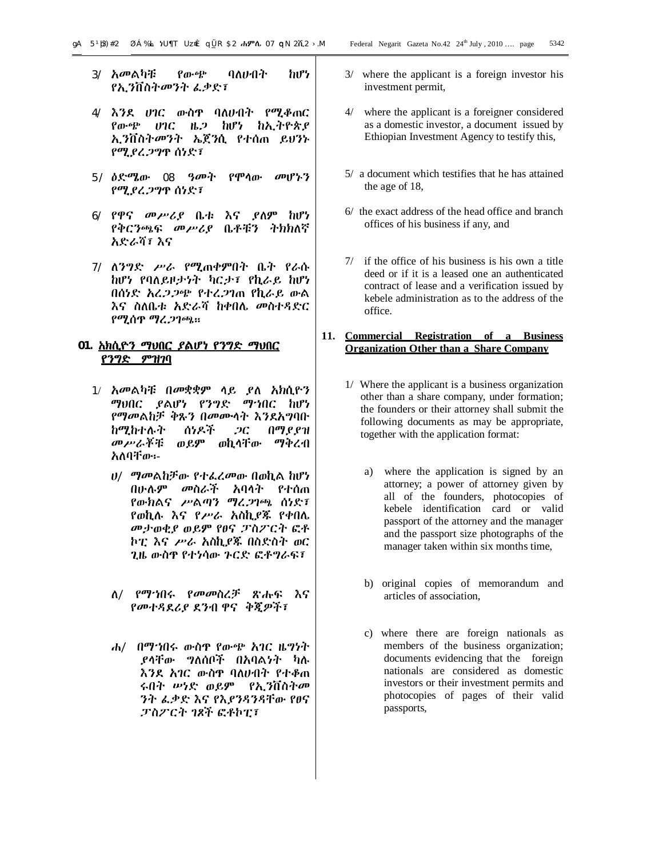- 3/ አመልካቹ የውጭ ባለሀብት ከሆነ የኢንቨስትመንት ፈቃድ፣
- 4/ እንደ ሀገር ውስጥ ባለሀብት የሚቆጠር የውጭ ሀገር ዜጋ ከሆነ ከኢትዮጵያ ኢንቨስትመንት ኤጀንሲ የተሰጠ ይህንኑ የሚያረጋግጥ ሰነድ፣
- 5/ ዕድሜው 08 ዓመት የሞላው መሆኑን የሚያረጋግጥ ሰነድ፣
- 6/ የዋና መሥሪያ ቤቱ እና ያለም ከሆነ የቅርንጫፍ መሥሪያ ቤቶቹን ትክክለኛ አድራሻ፣ እና
- 7/ ለንግድ ሥራ የሚጠቀምበት ቤት የራሱ ከሆነ የባለይዞታነት ካርታ፣ የኪራይ ከሆነ በሰነድ አረጋጋጭ የተረጋገጠ የኪራይ ውል እና ስለቤቱ አድራሻ ከቀበሌ መስተዳድር የሚሰጥ ማረጋገጫ፡፡

# **01. አክሲዮን ማህበር ያልሆነ የንግድ ማህበር የንግድ ምዝገባ**

- 1/ አመልካቹ በመቋቋም ላይ ያለ አክሲዮን ማህበር ያልሆነ የንግድ ማኀበር ከሆነ የማመልከቻ ቅጹን በመሙላት እንደአግባቡ ከሚከተሉት ሰነዶች ጋር በማያያዝ መሥራቾቹ ወይም ወኪላቸው ማቅረብ አለባቸው፡-
	- ሀ/ ማመልከቻው የተፈረመው በወኪል ከሆነ በሁሉም መስራች አባላት የተሰጠ የውክልና ሥልጣን ማረጋገጫ ሰነድ፣ የወኪሉ እና የሥራ አስኪያጁ የቀበሌ መታወቂያ ወይም የፀና ፓስፖርት ፎቶ ኮፒ እና ሥራ አስኪያጁ በስድስት ወር ጊዜ ውስጥ የተነሳው ጉርድ ፎቶግራፍ፣
	- ለ/ የማኀበሩ የመመስረቻ ጽሑፍ እና የመተዳደሪያ ደንብ ዋና ቅጂዎች፣
	- ሐ/ በማኀበሩ ውስጥ የውጭ አገር ዜግነት ያላቸው ግለሰቦች በአባልነት ካሉ እንደ አገር ውስጥ ባለሀብት የተቆጠ ሩበት ሠነድ ወይም የኢንቨስትመ ንት ፈቃድ እና የእያንዳንዳቸው የፀና ፓስፖርት ገጾች ፎቶኮፒ፣
- 3/ where the applicant is a foreign investor his investment permit,
- 4/ where the applicant is a foreigner considered as a domestic investor, a document issued by Ethiopian Investment Agency to testify this,
- 5/ a document which testifies that he has attained the age of 18,
- 6/ the exact address of the head office and branch offices of his business if any, and
- 7/ if the office of his business is his own a title deed or if it is a leased one an authenticated contract of lease and a verification issued by kebele administration as to the address of the office.

# **11. Commercial Registration of a Business Organization Other than a Share Company**

- 1/ Where the applicant is a business organization other than a share company, under formation; the founders or their attorney shall submit the following documents as may be appropriate, together with the application format:
	- a) where the application is signed by an attorney; a power of attorney given by all of the founders, photocopies of kebele identification card or valid passport of the attorney and the manager and the passport size photographs of the manager taken within six months time,
	- b) original copies of memorandum and articles of association,
	- c) where there are foreign nationals as members of the business organization; documents evidencing that the foreign nationals are considered as domestic investors or their investment permits and photocopies of pages of their valid passports,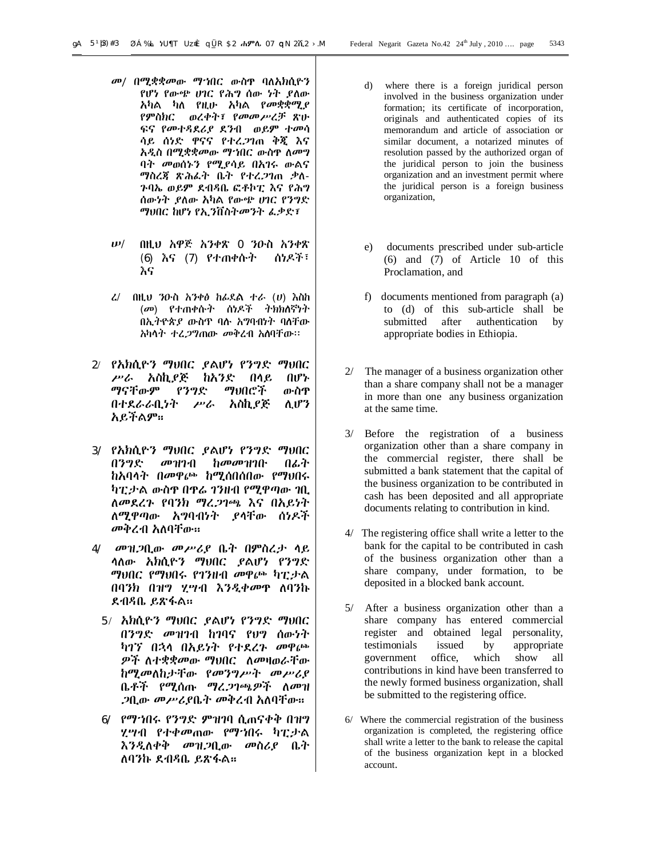- መ/ በሚቋቋመው ማኀበር ውስጥ ባለአክሲዮን የሆነ የውጭ ሀገር የሕግ ሰው ነት ያለው አካል ካለ የዚሁ አካል የመቋቋሚያ የምስክር ወረቀት፣ የመመሥረቻ ጽሁ ፍና የመተዳደሪያ ደንብ ወይም ተመሳ ሳይ ሰነድ ዋናና የተረጋገጠ ቅጂ እና አዲስ በሚቋቋመው ማኀበር ውስጥ ለመግ ባት መወሰኑን የሚያሳይ በአገሩ ውልና ማስረጃ ጽሕፈት ቤት የተረጋገጠ ቃለ-ጉባኤ ወይም ደብዳቤ ፎቶኮፒ እና የሕግ ሰውነት ያለው አካል የውጭ ሀገር የንግድ ማህበር ከሆነ የኢንቨስትመንት ፈቃድ፣
- ሠ/ በዚህ አዋጅ አንቀጽ 0 ንዑስ አንቀጽ (6) እና (7) የተጠቀሱት ሰነዶች፣ እና
- ረ/ በዚህ ንዑስ አንቀፅ ከፊደል ተራ (ሀ) እስከ (መ) የተጠቀሱት ሰነዶች ትክክለኛነት በኢትዮጵያ ውስጥ ባሉ አግባብነት ባለቸው አካላት ተረጋግጠው መቅረብ አለባቸው፡፡
- 2/ የአክሲዮን ማህበር ያልሆነ የንግድ ማህበር ሥራ አስኪያጅ ከአንድ በላይ በሆኑ ማናቸውም የንግድ ማህበሮች ውስጥ በተደራራቢነት ሥራ አስኪያጅ ሊሆን አይችልም፡፡
- 3/ የአክሲዮን ማህበር ያልሆነ የንግድ ማህበር በንግድ መዝገብ ከመመዝገቡ በፊት ከአባላት በመዋጮ ከሚሰበሰበው የማህበሩ ካፒታል ውስጥ በጥሬ ገንዘብ የሚዋጣው ገቢ ለመደረጉ የባንክ ማረጋገጫ እና በአይነት ለሚዋጣው አግባብነት ያላቸው ሰነዶች መቅረብ አለባቸው፡፡
- 4/ መዝጋቢው መሥሪያ ቤት በምስረታ ላይ ላለው አክሲዮን ማህበር ያልሆነ የንግድ ማህበር የማህበሩ የገንዘብ መዋጮ ካፒታል በባንክ በዝግ ሂሣብ እንዲቀመጥ ለባንኩ ደብዳቤ ይጽፋል፡፡
	- 5/ አክሲዮን ማህበር ያልሆነ የንግድ ማህበር በንግድ መዝገብ ከገባና የህግ ሰውነት ካገኘ በኋላ በአይነት የተደረጉ መዋጮ ዎች ለተቋቋመው ማህበር ለመዛወራቸው ከሚመለከታቸው የመንግሥት መሥሪያ ቤቶች የሚሰጡ ማረጋገጫዎች ለመዝ ጋቢው መሥሪያቤት መቅረብ አለባቸው፡፡
	- 6/ የማኀበሩ የንግድ ምዝገባ ሲጠናቀቅ በዝግ ሂሣብ የተቀመጠው የማኀበሩ ካፒታል እንዲለቀቅ መዝጋቢው መስሪያ ቤት ለባንኩ ደብዳቤ ይጽፋል፡፡
- d) where there is a foreign juridical person involved in the business organization under formation; its certificate of incorporation, originals and authenticated copies of its memorandum and article of association or similar document, a notarized minutes of resolution passed by the authorized organ of the juridical person to join the business organization and an investment permit where the juridical person is a foreign business organization,
- e) documents prescribed under sub-article (6) and (7) of Article 10 of this Proclamation, and
- f) documents mentioned from paragraph (a) to (d) of this sub-article shall be submitted after authentication by appropriate bodies in Ethiopia.
- 2/ The manager of a business organization other than a share company shall not be a manager in more than one any business organization at the same time.
- 3/ Before the registration of a business organization other than a share company in the commercial register, there shall be submitted a bank statement that the capital of the business organization to be contributed in cash has been deposited and all appropriate documents relating to contribution in kind.
- 4/ The registering office shall write a letter to the bank for the capital to be contributed in cash of the business organization other than a share company, under formation, to be deposited in a blocked bank account.
- 5/ After a business organization other than a share company has entered commercial register and obtained legal personality, testimonials issued by appropriate government office, which show all contributions in kind have been transferred to the newly formed business organization, shall be submitted to the registering office.
- 6/ Where the commercial registration of the business organization is completed, the registering office shall write a letter to the bank to release the capital of the business organization kept in a blocked account.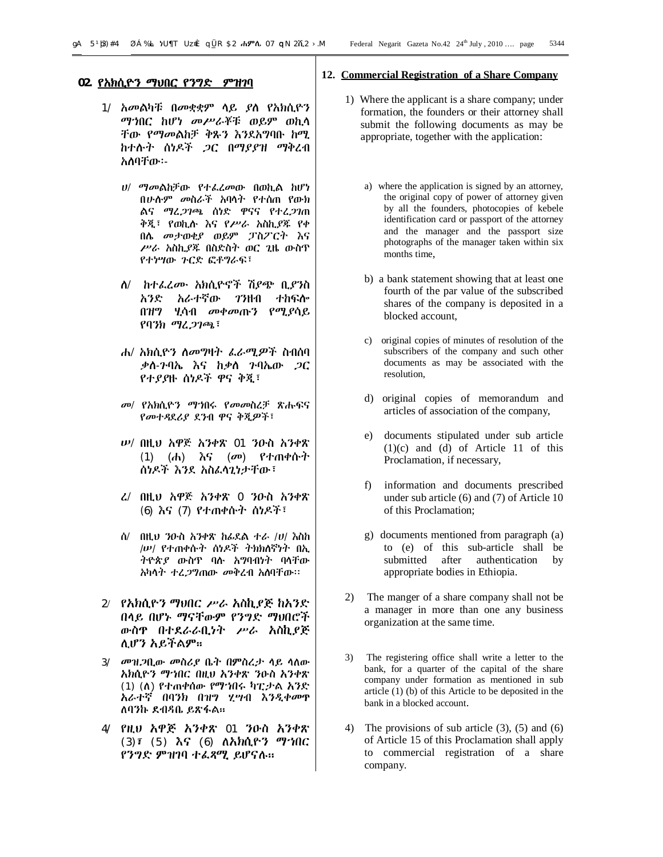#### **02. የአክሲዮን ማህበር የንግድ ምዝገባ**

- 1/ አመልካቹ በመቋቋም ላይ ያለ የአክሲዮን ማኀበር ከሆነ መሥራቾቹ ወይም ወኪላ ቸው የማመልከቻ ቅጹን እንደአግባቡ ከሚ ከተሉት ሰነዶች ጋር በማያያዝ ማቅረብ አለባቸው፡-
	- ሀ/ ማመልከቻው የተፈረመው በወኪል ከሆነ በሁሉም መስራች አባላት የተሰጠ የውክ ልና ማረጋገጫ ሰነድ ዋናና የተረጋገጠ ቅጂ፣ የወኪሉ እና የሥራ አስኪያጁ የቀ በሌ መታወቂያ ወይም ፓስፖርት እና ሥራ አስኪያጁ በስድስት ወር ጊዜ ውስጥ የተነሣው ጉርድ ፎቶግራፍ፣
	- ለ/ ከተፈረሙ አክሲዮኖች ሽያጭ ቢያንስ አንድ አራተኛው ገንዘብ ተከፍሎ በዝግ ሂሳብ መቀመጡን የሚያሳይ የባንክ ማረጋገጫ፣
	- ሐ/ አክሲዮን ለመግዛት ፈራሚዎች ስብሰባ ቃለ-ጉባኤ እና ከቃለ ጉባኤው ጋር የተያያዙ ሰነዶች ዋና ቅጂ፣
	- መ/ የአክሲዮን ማኀበሩ የመመስረቻ ጽሑፍና የመተዳደሪያ ደንብ ዋና ቅጂዎች፣
	- ሠ/ በዚህ አዋጅ አንቀጽ 01 ንዑስ አንቀጽ (1) (ሐ) እና (መ) የተጠቀሱት ሰነዶች እንደ አስፈላጊነታቸው፣
	- ረ/ በዚህ አዋጅ አንቀጽ 0 ንዑስ አንቀጽ (6) እና (7) የተጠቀሱት ሰነዶች፣
	- ሰ/ በዚህ ንዑስ አንቀጽ ከፊደል ተራ /ሀ/ እስከ /ሠ/ የተጠቀሱት ሰነዶች ትክክለኛነት በኢ ትዮጵያ ውስጥ ባሉ አግባብነት ባላቸው አካላት ተረጋግጠው መቅረብ አለባቸው፡፡
- 2/ የአክሲዮን ማህበር ሥራ አስኪያጅ ከአንድ በላይ በሆኑ ማናቸውም የንግድ ማህበሮች ውስጥ በተደራራቢነት ሥራ አስኪያጅ ሊሆን አይችልም፡፡
- 3/ መዝጋቢው መስሪያ ቤት በምስረታ ላይ ላለው አክሲዮን ማኀበር በዚህ አንቀጽ ንዑስ አንቀጽ (1) (ለ) የተጠቀሰው የማኀበሩ ካፒታል አንድ አራተኛ በባንክ በዝግ ሂሣብ እንዲቀመጥ ለባንኩ ደብዳቤ ይጽፋል፡፡
- 4/ የዚህ አዋጅ አንቀጽ 01 ንዑስ አንቀጽ (3)፣ (5) እና (6) ለአክሲዮን ማኀበር የንግድ ምዝገባ ተፈጻሚ ይሆናሉ፡፡

#### **12. Commercial Registration of a Share Company**

- 1) Where the applicant is a share company; under formation, the founders or their attorney shall submit the following documents as may be appropriate, together with the application:
	- a) where the application is signed by an attorney, the original copy of power of attorney given by all the founders, photocopies of kebele identification card or passport of the attorney and the manager and the passport size photographs of the manager taken within six months time,
	- b) a bank statement showing that at least one fourth of the par value of the subscribed shares of the company is deposited in a blocked account,
	- c) original copies of minutes of resolution of the subscribers of the company and such other documents as may be associated with the resolution,
	- d) original copies of memorandum and articles of association of the company,
	- e) documents stipulated under sub article (1)(c) and (d) of Article 11 of this Proclamation, if necessary,
	- f) information and documents prescribed under sub article (6) and (7) of Article 10 of this Proclamation;
	- g) documents mentioned from paragraph (a) to (e) of this sub-article shall be submitted after authentication by appropriate bodies in Ethiopia.
- 2) The manger of a share company shall not be a manager in more than one any business organization at the same time.
- 3) The registering office shall write a letter to the bank, for a quarter of the capital of the share company under formation as mentioned in sub article (1) (b) of this Article to be deposited in the bank in a blocked account.
- 4) The provisions of sub article (3), (5) and (6) of Article 15 of this Proclamation shall apply to commercial registration of a share company.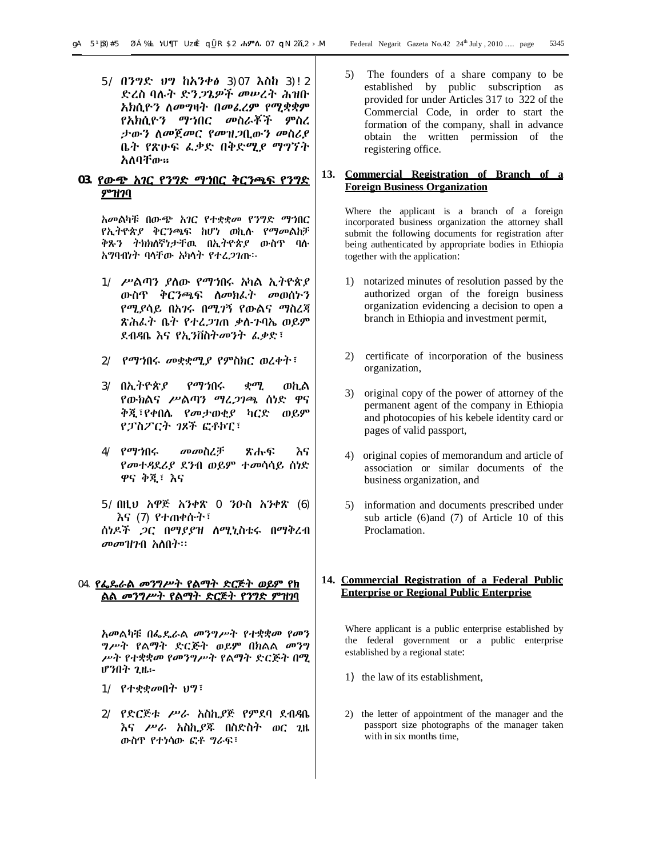5/ በንግድ ህግ ከአንቀፅ 3)07 እስከ 3)!2 ድረስ ባሉት ድንጋጌዎች መሠረት ሕዝቡ አክሲዮን ለመግዛት በመፈረም የሚቋቋም የአክሲዮን ማኀበር መስራቾች ምስረ ታውን ለመጀመር የመዝጋቢውን መስሪያ ቤት የጽሁፍ ፈቃድ በቅድሚያ ማግኘት አለባቸው፡፡

# **03. የውጭ አገር የንግድ ማኀበር ቅርንጫፍ የንግድ ምዝገባ**

አመልካቹ በውጭ አገር የተቋቋመ የንግድ ማኀበር የኢትዮጵያ ቅርንጫፍ ከሆነ ወኪሉ የማመልከቻ ቅጹን ትክክለኛነታቸዉ በኢትዮጵያ ውስጥ ባሉ አግባብነት ባላቸው አካላት የተረጋገጡ፡-

- 1/ ሥልጣን ያለው የማኀበሩ አካል ኢትዮጵያ ውስጥ ቅርንጫፍ ለመክፈት መወሰኑን የሚያሳይ በአገሩ በሚገኝ የውልና ማስረጃ ጽሕፈት ቤት የተረጋገጠ ቃለ-ጉባኤ ወይም ደብዳቤ እና የኢንቨስትመንት ፈቃድ፣
- 2/ የማኀበሩ መቋቋሚያ የምስክር ወረቀት፣
- 3/ በኢትዮጵያ የማኀበሩ ቋሚ ወኪል የውክልና ሥልጣን ማረጋገጫ ሰነድ ዋና ቅጂ፣የቀበሌ የመታወቂያ ካርድ ወይም የፓስፖርት ገጾች ፎቶኮፒ፣
- 4/ የማኀበሩ መመስረቻ ጽሑፍ እና የመተዳደሪያ ደንብ ወይም ተመሳሳይ ሰነድ ዋና ቅጂ፣ እና
- 5/ በዚህ አዋጅ አንቀጽ 0 ንዑስ አንቀጽ (6) እና (7) የተጠቀሱት፣

ሰነዶች ጋር በማያያዝ ለሚኒስቴሩ በማቅረብ መመዝገብ አለበት፡፡

# 04. **የፌዴራል መንግሥት የልማት ድርጅት ወይም የክ ልል መንግሥት የልማት ድርጅት የንግድ ምዝገባ**

አመልካቹ በፌዴራል መንግሥት የተቋቋመ የመን ግሥት የልማት ድርጅት ወይም በክልል መንግ ሥት የተቋቋመ የመንግሥት የልማት ድርጅት በሚ ሆንበት ጊዜ፡-

- 1/ የተቋቋመበት ህግ፣
- 2/ የድርጅቱ ሥራ አስኪያጅ የምደባ ደብዳቤ እና ሥራ አስኪያጁ በስድስት ወር ጊዜ ውስጥ የተነሳው ፎቶ ግራፍ፣

5) The founders of a share company to be established by public subscription as provided for under Articles 317 to 322 of the Commercial Code, in order to start the formation of the company, shall in advance obtain the written permission of the registering office.

# **13. Commercial Registration of Branch of a Foreign Business Organization**

Where the applicant is a branch of a foreign incorporated business organization the attorney shall submit the following documents for registration after being authenticated by appropriate bodies in Ethiopia together with the application:

- 1) notarized minutes of resolution passed by the authorized organ of the foreign business organization evidencing a decision to open a branch in Ethiopia and investment permit,
- 2) certificate of incorporation of the business organization,
- 3) original copy of the power of attorney of the permanent agent of the company in Ethiopia and photocopies of his kebele identity card or pages of valid passport,
- 4) original copies of memorandum and article of association or similar documents of the business organization, and
- 5) information and documents prescribed under sub article (6)and (7) of Article 10 of this Proclamation.

#### **14. Commercial Registration of a Federal Public Enterprise or Regional Public Enterprise**

Where applicant is a public enterprise established by the federal government or a public enterprise established by a regional state:

- 1) the law of its establishment,
- 2) the letter of appointment of the manager and the passport size photographs of the manager taken with in six months time,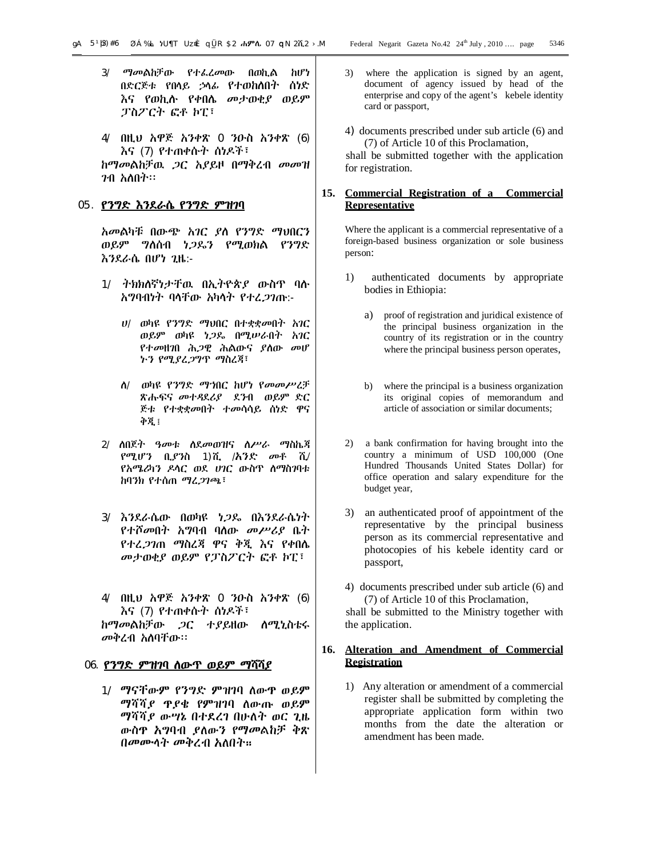- 3/ ማመልከቻው የተፈረመው በወኪል ከሆነ በድርጅቱ የበላይ ኃላፊ የተወከለበት ሰነድ እና የወኪሉ የቀበሌ መታወቂያ ወይም ፓስፖርት ፎቶ ኮፒ፣
- 4/ በዚህ አዋጅ አንቀጽ 0 ንዑስ አንቀጽ (6) እና (7) የተጠቀሱት ሰነዶች፣ ከማመልከቻዉ ጋር አያይዞ በማቅረብ መመዝ

ገብ አለበት፡፡

#### 05. **የንግድ እንደራሴ የንግድ ምዝገባ**

አመልካቹ በውጭ አገር ያለ የንግድ ማህበርን ወይም ግለሰብ ነጋዴን የሚወክል የንግድ እንደራሴ በሆነ ጊዜ:-

- 1/ ትክክለኛነታቸዉ በኢትዮጵያ ውስጥ ባሉ አግባብነት ባላቸው አካላት የተረጋገጡ:-
	- ሀ/ ወካዩ የንግድ ማህበር በተቋቋመበት አገር ወይም ወካዩ ነጋዴ በሚሠራበት አገር የተመዘገበ ሕጋዊ ሕልውና ያለው መሆ ኑን የሚያረጋግጥ ማስረጃ፣
	- ለ/ ወካዩ የንግድ ማኀበር ከሆነ የመመሥረቻ ጽሑፍና መተዳደሪያ ደንብ ወይም ድር ጅቱ የተቋቋመበት ተመሳሳይ ሰነድ ዋና ቅጂ፤
- 2/ ለበጀት ዓመቱ ለደመወዝና ለሥራ ማስኬጃ የሚሆን ቢያንስ 1)ሺ /አንድ መቶ ሺ/ የአሜሪካን ዶላር ወደ ሀገር ውስጥ ለማስገባቱ ከባንክ የተሰጠ ማረጋገጫ፣
- 3/ እንደራሴው በወካዩ ነጋዴ በእንደራሴነት የተሾመበት አግባብ ባለው መሥሪያ ቤት የተረጋገጠ ማስረጃ ዋና ቅጂ እና የቀበሌ መታወቂያ ወይም የፓስፖርት ፎቶ ኮፒ፣
- 4/ በዚህ አዋጅ አንቀጽ 0 ንዑስ አንቀጽ (6) እና (7) የተጠቀሱት ሰነዶች፣

ከማመልከቻው ጋር ተያይዘው ለሚኒስቴሩ መቅረብ አለባቸው፡፡

#### 06. **የንግድ ምዝገባ ለውጥ ወይም ማሻሻያ**

1/ ማናቸውም የንግድ ምዝገባ ለውጥ ወይም ማሻሻያ ጥያቄ የምዝገባ ለውጡ ወይም ማሻሻያ ውሣኔ በተደረገ በሁለት ወር ጊዜ ውስጥ አግባብ ያለውን የማመልከቻ ቅጽ በመሙላት መቅረብ አለበት፡፡

- 3) where the application is signed by an agent, document of agency issued by head of the enterprise and copy of the agent's kebele identity card or passport,
- 4) documents prescribed under sub article (6) and (7) of Article 10 of this Proclamation,

 shall be submitted together with the application for registration.

# **15. Commercial Registration of a Commercial Representative**

Where the applicant is a commercial representative of a foreign-based business organization or sole business person:

- 1) authenticated documents by appropriate bodies in Ethiopia:
	- a) proof of registration and juridical existence of the principal business organization in the country of its registration or in the country where the principal business person operates,
	- b) where the principal is a business organization its original copies of memorandum and article of association or similar documents;
- 2) a bank confirmation for having brought into the country a minimum of USD 100,000 (One Hundred Thousands United States Dollar) for office operation and salary expenditure for the budget year,
- 3) an authenticated proof of appointment of the representative by the principal business person as its commercial representative and photocopies of his kebele identity card or passport,
- 4) documents prescribed under sub article (6) and (7) of Article 10 of this Proclamation,

 shall be submitted to the Ministry together with the application.

# **16. Alteration and Amendment of Commercial Registration**

1) Any alteration or amendment of a commercial register shall be submitted by completing the appropriate application form within two months from the date the alteration or amendment has been made.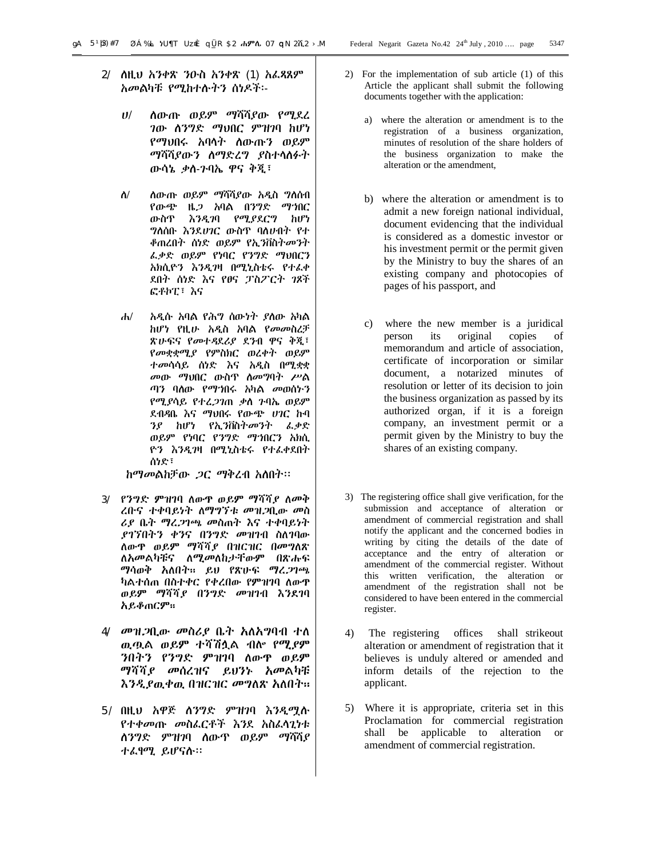- 2/ ለዚህ አንቀጽ ንዑስ አንቀጽ (1) አፈጻጸም አመልካቹ የሚከተሉትን ሰነዶች፡-
	- ሀ/ ለውጡ ወይም ማሻሻያው የሚደረ ገው ለንግድ ማህበር ምዝገባ ከሆነ የማህበሩ አባላት ለውጡን ወይም ማሻሻያውን ለማድረግ ያስተላለፉት ውሳኔ ቃለ-ጉባኤ ዋና ቅጂ፣
	- ለ/ ለውጡ ወይም ማሻሻያው አዲስ ግለሰብ የውጭ ዜጋ አባል በንግድ ማኀበር ውስጥ እንዲገባ የሚያደርግ ከሆነ ግለሰቡ እንደሀገር ውስጥ ባለሀብት የተ ቆጠረበት ሰነድ ወይም የኢንቨስትመንት ፈቃድ ወይም የነባር የንግድ ማህበርን አክሲዮን እንዲገዛ በሚኒስቴሩ የተፈቀ ደበት ሰነድ እና የፀና ፓስፖርት ገጾች ፎቶኮፒ፣ እና
	- ሐ/ አዲሱ አባል የሕግ ሰውነት ያለው አካል ከሆነ የዚሁ አዲስ አባል የመመስረቻ ጽሁፍና የመተዳደሪያ ደንብ ዋና ቅጂ፣ የመቋቋሚያ የምስክር ወረቀት ወይም ተመሳሳይ ሰነድ እና አዲስ በሚቋቋ መው ማህበር ውስጥ ለመግባት ሥል ጣን ባለው የማኀበሩ አካል መወሰኑን የሚያሳይ የተረጋገጠ ቃለ ጉባኤ ወይም ደብዳቤ እና ማህበሩ የውጭ ሀገር ኩባ ንያ ከሆነ የኢንቨስትመንት ፈቃድ ወይም የነባር የንግድ ማኀበርን አክሲ ዮን እንዲገዛ በሚኒስቴሩ የተፈቀደበት ሰነድ፣

ከማመልከቻው ጋር ማቅረብ አለበት፡፡

- 3/ የንግድ ምዝገባ ለውጥ ወይም ማሻሻያ ለመቅ ረቡና ተቀባይነት ለማግኘቱ መዝጋቢው መስ ሪያ ቤት ማረጋገጫ መስጠት እና ተቀባይነት ያገኘበትን ቀንና በንግድ መዝገብ ስለገባው ለውጥ ወይም ማሻሻያ በዝርዝር በመግለጽ ለአመልካቹና ለሚመለከታቸውም በጽሑፍ ማሳወቅ አለበት፡፡ ይህ የጽሁፍ ማረጋገጫ ካልተሰጠ በስተቀር የቀረበው የምዝገባ ለውጥ ወይም ማሻሻያ በንግድ መዝገብ እንደገባ አይቆጠርም፡፡
- 4/ መዝጋቢው መስሪያ ቤት አለአግባብ ተለ ዉጧል ወይም ተሻሽሏል ብሎ የሚያም ንበትን የንግድ ምዝገባ ለውጥ ወይም ማሻሻያ መሰረዝና ይህንኑ አመልካቹ እንዲያዉቀዉ በዝርዝር መግለጽ አለበት፡፡
- 5/ በዚህ አዋጅ ለንግድ ምዝገባ እንዲሟሉ የተቀመጡ መስፈርቶች እንደ አስፈላጊነቱ ለንግድ ምዝገባ ለውጥ ወይም ማሻሻያ ተፈፃሚ ይሆናሉ፡፡
- 2) For the implementation of sub article (1) of this Article the applicant shall submit the following documents together with the application:
	- a) where the alteration or amendment is to the registration of a business organization, minutes of resolution of the share holders of the business organization to make the alteration or the amendment,
	- b) where the alteration or amendment is to admit a new foreign national individual, document evidencing that the individual is considered as a domestic investor or his investment permit or the permit given by the Ministry to buy the shares of an existing company and photocopies of pages of his passport, and
	- c) where the new member is a juridical person its original copies of memorandum and article of association, certificate of incorporation or similar document, a notarized minutes of resolution or letter of its decision to join the business organization as passed by its authorized organ, if it is a foreign company, an investment permit or a permit given by the Ministry to buy the shares of an existing company.
- 3) The registering office shall give verification, for the submission and acceptance of alteration or amendment of commercial registration and shall notify the applicant and the concerned bodies in writing by citing the details of the date of acceptance and the entry of alteration or amendment of the commercial register. Without this written verification, the alteration or amendment of the registration shall not be considered to have been entered in the commercial register.
- 4) The registering offices shall strikeout alteration or amendment of registration that it believes is unduly altered or amended and inform details of the rejection to the applicant.
- 5) Where it is appropriate, criteria set in this Proclamation for commercial registration shall be applicable to alteration or amendment of commercial registration.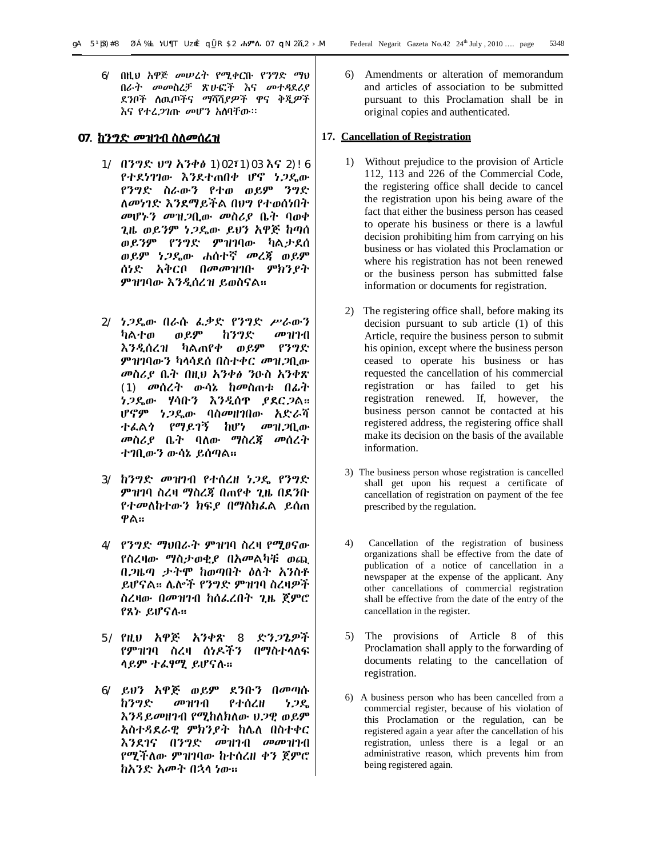6/ በዚህ አዋጅ መሠረት የሚቀርቡ የንግድ ማህ በራት መመስረቻ ጽሁፎች እና መተዳደሪያ ደንቦች ለዉጦችና ማሻሻያዎች ዋና ቅጂዎች እና የተረጋገጡ መሆን አለባቸው፡፡

# **07. ከንግድ መዝገብ ስለመሰረዝ**

- 1/ በንግድ ህግ አንቀፅ 1)02፣1)03 እና 2)!6 የተደነገገው እንደተጠበቀ ሆኖ ነጋዴው የንግድ ስራውን የተወ ወይም ንግድ ለመነገድ እንደማይችል በህግ የተወሰነበት መሆኑን መዝጋቢው መስሪያ ቤት ባወቀ ጊዜ ወይንም ነጋዴው ይህን አዋጅ ከጣሰ ወይንም የንግድ ምዝገባው ካልታደሰ ወይም ነጋዴው ሐሰተኛ መረጃ ወይም ሰነድ አቅርቦ በመመዝገቡ ምክንያት ምዝገባው እንዲሰረዝ ይወስናል፡፡
- 2/ ነጋዴው በራሱ ፈቃድ የንግድ ሥራውን ካልተወ ወይም ከንግድ መዝገብ እንዲሰረዝ ካልጠየቀ ወይም የንግድ ምዝገባውን ካላሳደሰ በስተቀር መዝጋቢው መስሪያ ቤት በዚህ አንቀፅ ንዑስ አንቀጽ (1) መሰረት ውሳኔ ከመስጠቱ በፊት ነጋዴው ሃሳቡን እንዲሰጥ ያደርጋል፡፡ ሆኖም ነጋዴው ባስመዘገበው አድራሻ ተፈልጎ የማይገኝ ከሆነ መዝጋቢው መስሪያ ቤት ባለው ማስረጃ መሰረት ተገቢውን ውሳኔ ይሰጣል፡፡
- 3/ ከንግድ መዝገብ የተሰረዘ ነጋዴ የንግድ ምዝገባ ስረዛ ማስረጃ በጠየቀ ጊዜ በደንቡ የተመለከተውን ክፍያ በማስክፈል ይሰጠ ዋል፡፡
- 4/ የንግድ ማህበራት ምዝገባ ስረዛ የሚፀናው የስረዛው ማስታወቂያ በአመልካቹ ወጪ በጋዜጣ ታትሞ ከወጣበት ዕለት አንስቶ ይሆናል፡፡ ሌሎች የንግድ ምዝገባ ስረዛዎች ስረዛው በመዝገብ ከሰፈረበት ጊዜ ጀምሮ የጸኑ ይሆናሉ፡፡
- 5/ የዚህ አዋጅ አንቀጽ 8 ድንጋጌዎች የምዝገባ ስረዛ ሰነዶችን በማስተላለፍ ላይም ተፈፃሚ ይሆናሉ፡፡
- 6/ ይህን አዋጅ ወይም ደንቡን በመጣሱ ከንግድ መዝገብ የተሰረዘ ነጋዴ እንዳይመዘገብ የሚከለክለው ህጋዊ ወይም አስተዳደራዊ ምክንያት ከሌለ በስተቀር እንደገና በንግድ መዝገብ መመዝገብ የሚችለው ምዝገባው ከተሰረዘ ቀን ጀምሮ ከአንድ አመት በኋላ ነው፡፡

6) Amendments or alteration of memorandum and articles of association to be submitted pursuant to this Proclamation shall be in original copies and authenticated.

#### **17. Cancellation of Registration**

- 1) Without prejudice to the provision of Article 112, 113 and 226 of the Commercial Code, the registering office shall decide to cancel the registration upon his being aware of the fact that either the business person has ceased to operate his business or there is a lawful decision prohibiting him from carrying on his business or has violated this Proclamation or where his registration has not been renewed or the business person has submitted false information or documents for registration.
- 2) The registering office shall, before making its decision pursuant to sub article (1) of this Article, require the business person to submit his opinion, except where the business person ceased to operate his business or has requested the cancellation of his commercial registration or has failed to get his registration renewed. If, however, the business person cannot be contacted at his registered address, the registering office shall make its decision on the basis of the available information.
- 3) The business person whose registration is cancelled shall get upon his request a certificate of cancellation of registration on payment of the fee prescribed by the regulation.
- 4) Cancellation of the registration of business organizations shall be effective from the date of publication of a notice of cancellation in a newspaper at the expense of the applicant. Any other cancellations of commercial registration shall be effective from the date of the entry of the cancellation in the register.
- 5) The provisions of Article 8 of this Proclamation shall apply to the forwarding of documents relating to the cancellation of registration.
- 6) A business person who has been cancelled from a commercial register, because of his violation of this Proclamation or the regulation, can be registered again a year after the cancellation of his registration, unless there is a legal or an administrative reason, which prevents him from being registered again.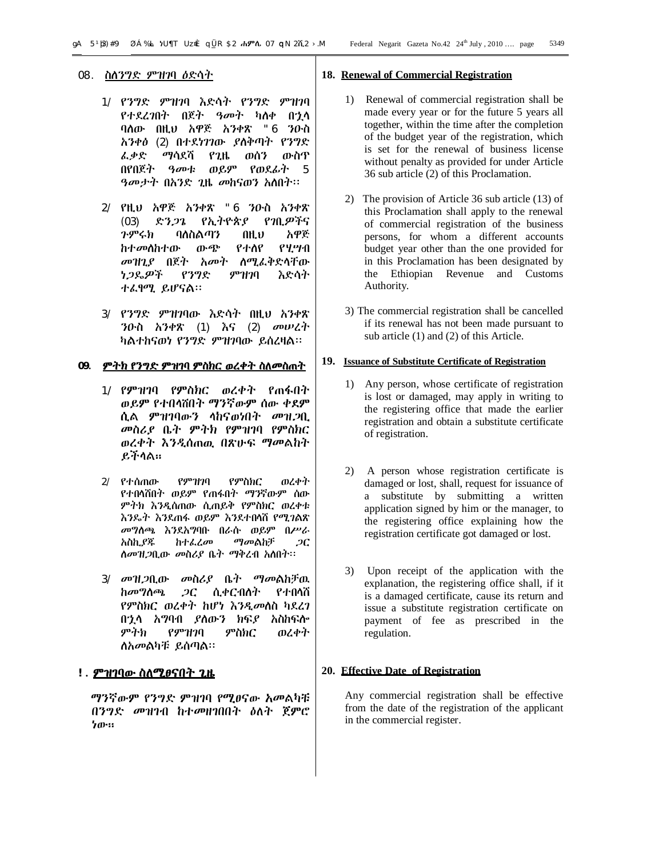- 1/ የንግድ ምዝገባ እድሳት የንግድ ምዝገባ የተደረገበት በጀት ዓመት ካለቀ በኋላ ባለው በዚህ አዋጅ አንቀጽ "6 ንዑስ አንቀፅ (2) በተደነገገው ያለቅጣት የንግድ ፈቃድ ማሳደሻ የጊዜ ወሰን ውስጥ በየበጀት ዓመቱ ወይም የወደፊት 5 ዓመታት በአንድ ጊዜ መከናወን አለበት፡፡
- 2/ የዚህ አዋጅ አንቀጽ "6 ንዑስ አንቀጽ (03) ድንጋጌ የኢትዮጵያ የገቢዎችና ጉምሩክ ባለስልጣን በዚህ አዋጅ ከተመለከተው ውጭ የተለየ የሂሣብ መዝጊያ በጀት አመት ለሚፈቅድላቸው ነጋዴዎች የንግድ ምዝገባ እድሳት ተፈፃሚ ይሆናል፡፡
- 3/ የንግድ ምዝገባው እድሳት በዚህ አንቀጽ ንዑስ አንቀጽ (1) እና (2) መሠረት ካልተከናወነ የንግድ ምዝገባው ይሰረዛል፡፡

#### **09. ምትክ የንግድ ምዝገባ ምስክር ወረቀት ስለመስጠት**

- 1/ የምዝገባ የምስክር ወረቀት የጠፋበት ወይም የተበላሸበት ማንኛውም ሰው ቀደም ሲል ምዝገባውን ላከናወነበት መዝጋቢ መስሪያ ቤት ምትክ የምዝገባ የምስክር ወረቀት እንዲሰጠዉ በጽሁፍ ማመልከት ይችላል፡፡
- 2/ የተሰጠው የምዝገባ የምስክር ወረቀት የተበላሸበት ወይም የጠፋበት ማንኛውም ሰው ምትክ እንዲሰጠው ሲጠይቅ የምስክር ወረቀቱ እንዴት እንደጠፋ ወይም እንደተበላሸ የሚገልጽ መግለጫ እንደአግባቡ በራሱ ወይም በሥራ አስኪያጁ ከተፈረመ ማመልከቻ ጋር ለመዝጋቢው መስሪያ ቤት ማቅረብ አለበት፡፡
- 3/ መዝጋቢው መስሪያ ቤት ማመልከቻዉ ከመግለጫ ጋር ሲቀርብለት የተበላሸ የምስክር ወረቀት ከሆነ እንዲመለስ ካደረገ በኋላ አግባብ ያለውን ክፍያ አስከፍሎ ምትክ የምዝገባ ምስክር ወረቀት ለአመልካቹ ይሰጣል፡፡

# **!. ምዝገባው ስለሚፀናበት ጊዜ**

 ማንኛውም የንግድ ምዝገባ የሚፀናው አመልካቹ በንግድ መዝገብ ከተመዘገበበት ዕለት ጀምሮ ነው፡፡

#### **18. Renewal of Commercial Registration**

- 1) Renewal of commercial registration shall be made every year or for the future 5 years all together, within the time after the completion of the budget year of the registration, which is set for the renewal of business license without penalty as provided for under Article 36 sub article (2) of this Proclamation.
- 2) The provision of Article 36 sub article (13) of this Proclamation shall apply to the renewal of commercial registration of the business persons, for whom a different accounts budget year other than the one provided for in this Proclamation has been designated by the Ethiopian Revenue and Customs Authority.
- 3) The commercial registration shall be cancelled if its renewal has not been made pursuant to sub article (1) and (2) of this Article.

#### **19. Issuance of Substitute Certificate of Registration**

- 1) Any person, whose certificate of registration is lost or damaged, may apply in writing to the registering office that made the earlier registration and obtain a substitute certificate of registration.
- 2) A person whose registration certificate is damaged or lost, shall, request for issuance of a substitute by submitting a written application signed by him or the manager, to the registering office explaining how the registration certificate got damaged or lost.
- 3) Upon receipt of the application with the explanation, the registering office shall, if it is a damaged certificate, cause its return and issue a substitute registration certificate on payment of fee as prescribed in the regulation.

#### **20. Effective Date of Registration**

Any commercial registration shall be effective from the date of the registration of the applicant in the commercial register.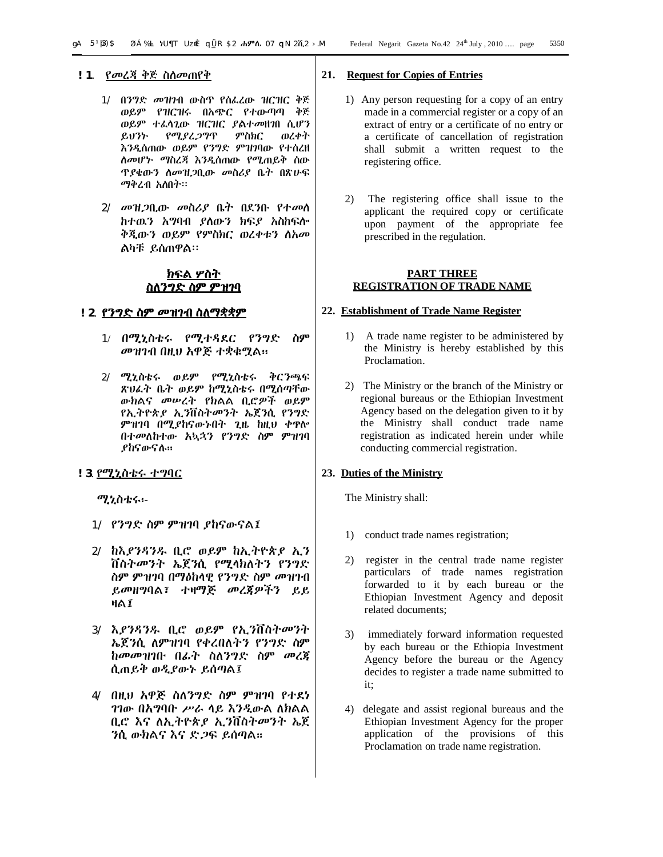- 1/ በንግድ መዝገብ ውስጥ የሰፈረው ዝርዝር ቅጅ ወይም የዝርዝሩ በአጭር የተውጣጣ ቅጅ ወይም ተፈላጊው ዝርዝር ያልተመዘገበ ሲሆን ይህንኑ የሚያረጋግጥ ምስክር ወረቀት እንዲሰጠው ወይም የንግድ ምዝገባው የተሰረዘ ለመሆኑ ማስረጃ እንዲሰጠው የሚጠይቅ ሰው ጥያቄውን ለመዝጋቢው መስሪያ ቤት በጽሁፍ ማቅረብ አለበት፡፡
- 2/ መዝጋቢው መስሪያ ቤት በደንቡ የተመለ ከተዉን አግባብ ያለውን ክፍያ አስከፍሎ ቅጂውን ወይም የምስክር ወረቀቱን ለአመ ልካቹ ይሰጠዋል፡፡

#### **ክፍል ሦስት ስለንግድ ስም ምዝገባ**

# **!2**. **የንግድ ስም መዝገብ ስለማቋቋም**

- 1/ በሚኒስቴሩ የሚተዳደር የንግድ ስም መዝገብ በዚህ አዋጅ ተቋቁሟል፡፡
- 2/ ሚኒስቴሩ ወይም የሚኒስቴሩ ቅርንጫፍ ጽህፈት ቤት ወይም ከሚኒስቴሩ በሚሰጣቸው ውክልና መሠረት የክልል ቢሮዎች ወይም የኢትዮጵያ ኢንቨስትመንት ኤጀንሲ የንግድ ምዝገባ በሚያከናውኑበት ጊዜ ከዚህ ቀጥሎ በተመለከተው አኳኋን የንግድ ስም ምዝገባ ያከናውናሉ፡፡

#### **!3**. የሚኒስቴሩ ተግባር

ሚኒስቴሩ፡-

- 1/ የንግድ ስም ምዝገባ ያከናውናል፤
- 2/ ከእያንዳንዱ ቢሮ ወይም ከኢትዮጵያ ኢን ቨስትመንት ኤጀንሲ የሚላክለትን የንግድ ስም ምዝገባ በማዕከላዊ የንግድ ስም መዝገብ ይመዘግባል፣ ተዛማጅ መረጃዎችን ይይ ዛል፤
- 3/ እያንዳንዱ ቢሮ ወይም የኢንቨስትመንት ኤጀንሲ ለምዝገባ የቀረበለትን የንግድ ስም ከመመዝገቡ በፊት ስለንግድ ስም መረጃ ሲጠይቅ ወዲያውኑ ይሰጣል፤
- 4/ በዚህ አዋጅ ስለንግድ ስም ምዝገባ የተደነ ገገው በአግባቡ ሥራ ላይ እንዲውል ለክልል ቢሮ እና ለኢትዮጵያ ኢንቨስትመንት ኤጀ ንሲ ውክልና እና ድጋፍ ይሰጣል፡፡

# **21. Request for Copies of Entries**

- 1) Any person requesting for a copy of an entry made in a commercial register or a copy of an extract of entry or a certificate of no entry or a certificate of cancellation of registration shall submit a written request to the registering office.
- 2) The registering office shall issue to the applicant the required copy or certificate upon payment of the appropriate fee prescribed in the regulation.

#### **PART THREE REGISTRATION OF TRADE NAME**

#### **22. Establishment of Trade Name Register**

- 1) A trade name register to be administered by the Ministry is hereby established by this Proclamation.
- 2) The Ministry or the branch of the Ministry or regional bureaus or the Ethiopian Investment Agency based on the delegation given to it by the Ministry shall conduct trade name registration as indicated herein under while conducting commercial registration.

# **23. Duties of the Ministry**

The Ministry shall:

- 1) conduct trade names registration;
- 2) register in the central trade name register particulars of trade names registration forwarded to it by each bureau or the Ethiopian Investment Agency and deposit related documents;
- 3) immediately forward information requested by each bureau or the Ethiopia Investment Agency before the bureau or the Agency decides to register a trade name submitted to it;
- 4) delegate and assist regional bureaus and the Ethiopian Investment Agency for the proper application of the provisions of this Proclamation on trade name registration.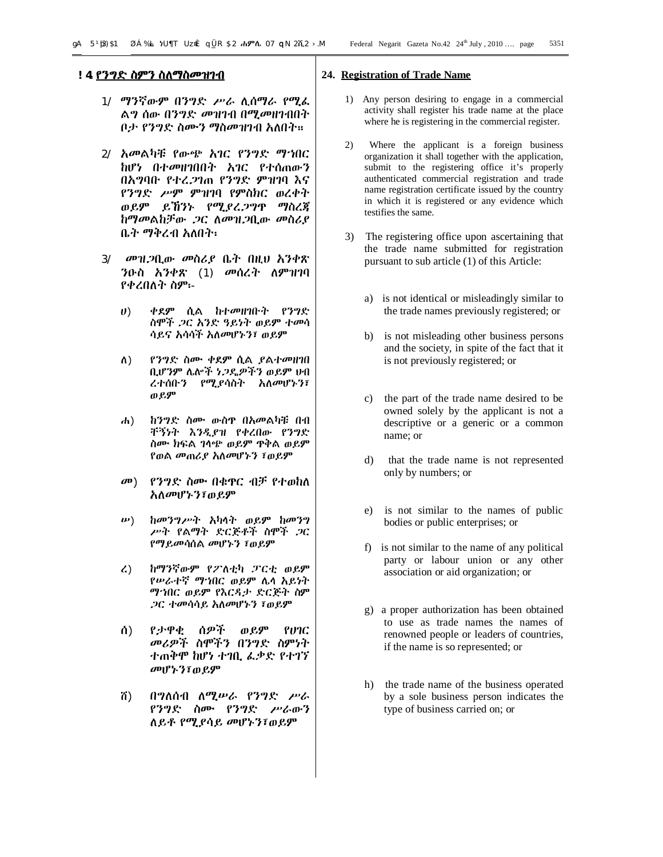- 1/ ማንኛውም በንግድ ሥራ ሊሰማራ የሚፈ ልግ ሰው በንግድ መዝገብ በሚመዘገብበት ቦታ የንግድ ስሙን ማስመዝገብ አለበት፡፡
- 2/ አመልካቹ የውጭ አገር የንግድ ማኀበር ከሆነ በተመዘገበበት አገር የተሰጠውን በአግባቡ የተረጋገጠ የንግድ ምዝገባ እና የንግድ ሥም ምዝገባ የምስክር ወረቀት ወይም ይኸንኑ የሚያረጋግጥ ማስረጃ ከማመልከቻው ጋር ለመዝጋቢው መስሪያ ቤት ማቅረብ አለበት፡
- 3/ መዝጋቢው መስሪያ ቤት በዚህ አንቀጽ ንዑስ አንቀጽ (1) መሰረት ለምዝገባ የቀረበለት ስም፡-
	- ሀ) ቀደም ሲል ከተመዘገቡት የንግድ ስሞች ጋር አንድ ዓይነት ወይም ተመሳ ሳይና አሳሳች አለመሆኑን፣ ወይም
	- ለ) የንግድ ስሙ ቀደም ሲል ያልተመዘገበ ቢሆንም ሌሎች ነጋዴዎችን ወይም ህብ ረተሰቡን የሚያሳስት አለመሆኑን፣ ወይም
	- ሐ) ከንግድ ስሙ ውስጥ በአመልካቹ በብ ቸኝነት እንዲያዝ የቀረበው የንግድ ስሙ ክፍል ገላጭ ወይም ጥቅል ወይም የወል መጠሪያ አለመሆኑን ፣ወይም
	- መ) የንግድ ስሙ በቁጥር ብቻ የተወከለ አለመሆኑን፣ወይም
	- ሠ) ከመንግሥት አካላት ወይም ከመንግ ሥት የልማት ድርጅቶች ስሞች ጋር የማይመሳሰል መሆኑን ፣ወይም
	- ረ) ከማንኛውም የፖለቲካ ፓርቲ ወይም የሠራተኛ ማኀበር ወይም ሌላ አይነት ማኀበር ወይም የእርዳታ ድርጅት ስም ጋር ተመሳሳይ አለመሆኑን ፣ወይም
	- ሰ) የታዋቂ ሰዎች ወይም የሀገር መሪዎች ስሞችን በንግድ ስምነት ተጠቅሞ ከሆነ ተገቢ ፈቃድ የተገኘ መሆኑን፣ወይም
	- ሸ) በግለሰብ ለሚሠራ የንግድ ሥራ የንግድ ስሙ የንግድ ሥራውን ለይቶ የሚያሳይ መሆኑን፣ወይም

# **24. Registration of Trade Name**

- 1) Any person desiring to engage in a commercial activity shall register his trade name at the place where he is registering in the commercial register.
- 2) Where the applicant is a foreign business organization it shall together with the application, submit to the registering office it's properly authenticated commercial registration and trade name registration certificate issued by the country in which it is registered or any evidence which testifies the same.
- 3) The registering office upon ascertaining that the trade name submitted for registration pursuant to sub article (1) of this Article:
	- a) is not identical or misleadingly similar to the trade names previously registered; or
	- b) is not misleading other business persons and the society, in spite of the fact that it is not previously registered; or
	- c) the part of the trade name desired to be owned solely by the applicant is not a descriptive or a generic or a common name; or
	- d) that the trade name is not represented only by numbers; or
	- e) is not similar to the names of public bodies or public enterprises; or
	- f) is not similar to the name of any political party or labour union or any other association or aid organization; or
	- g) a proper authorization has been obtained to use as trade names the names of renowned people or leaders of countries, if the name is so represented; or
	- h) the trade name of the business operated by a sole business person indicates the type of business carried on; or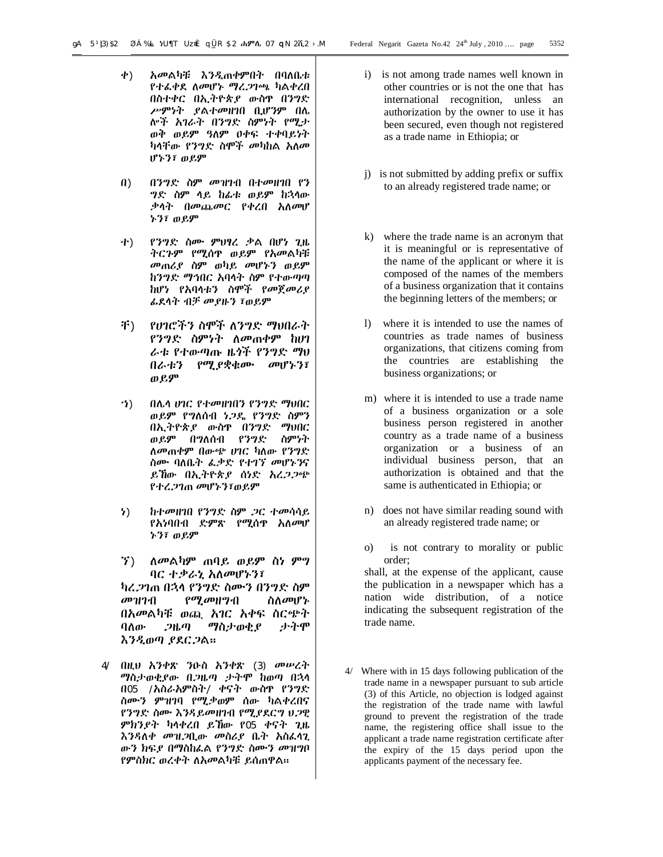- ቀ) አመልካቹ እንዲጠቀምበት በባለቤቱ የተፈቀደ ለመሆኑ ማረጋገጫ ካልቀረበ በስተቀር በኢትዮጵያ ውስጥ በንግድ ሥምነት ያልተመዘገበ ቢሆንም በሌ ሎች አገራት በንግድ ስምነት የሚታ ወቅ ወይም ዓለም ዐቀፍ ተቀባይነት ካላቸው የንግድ ስሞች መካከል አለመ ሆኑን፣ ወይም
- በ) በንግድ ስም መዝገብ በተመዘገበ የን ግድ ስም ላይ ከፊቱ ወይም ከኋላው ቃላት በመጨመር የቀረበ አለመሆ ኑን፣ ወይም
- ተ) የንግድ ስሙ ምህፃረ ቃል በሆነ ጊዜ ትርጉም የሚሰጥ ወይም የአመልካቹ መጠሪያ ስም ወካይ መሆኑን ወይም ከንግድ ማኅበር አባላት ስም የተውጣጣ ከሆነ የአባላቱን ስሞች የመጀመሪያ ፊደላት ብቻ መያዙን ፣ወይም
- ቸ) የሀገሮችን ስሞች ለንግድ ማህበራት የንግድ ስምነት ለመጠቀም ከሀገ ራቱ የተውጣጡ ዜጎች የንግድ ማህ በራቱን የሚያቋቁሙ መሆኑን፣ ወይም
- ኀ) በሌላ ሀገር የተመዘገበን የንግድ ማህበር ወይም የግለሰብ ነጋዴ የንግድ ስምን በኢትዮጵያ ውስጥ በንግድ ማህበር ወይም በግለሰብ የንግድ ስምነት ለመጠቀም በውጭ ሀገር ካለው የንግድ ስሙ ባለቤት ፈቃድ የተገኘ መሆኑንና ይኸው በኢትዮጵያ ሰነድ አረጋጋጭ የተረጋገጠ መሆኑን፣ወይም
- ነ) ከተመዘገበ የንግድ ስም ጋር ተመሳሳይ የአነባበብ ድምጽ የሚሰጥ አለመሆ ኑን፣ ወይም
- ኘ) ለመልካም ጠባይ ወይም ስነ ምግ ባር ተቃራኒ አለመሆኑን፣

ካረጋገጠ በኋላ የንግድ ስሙን በንግድ ስም መዝገብ የሚመዘግብ ስለመሆኑ በአመልካቹ ወጪ አገር አቀፍ ስርጭት ባለው ጋዜጣ ማስታወቂያ ታትሞ እንዲወጣ ያደርጋል፡፡

4/ በዚህ አንቀጽ ንዑስ አንቀጽ (3) መሠረት ማስታወቂያው በጋዜጣ ታትሞ ከወጣ በኋላ በ05 /አስራአምስት/ ቀናት ውስጥ የንግድ ስሙን ምዝገባ የሚቃወም ሰው ካልቀረበና የንግድ ስሙ እንዳይመዘገብ የሚያደርግ ህጋዊ ምክንያት ካላቀረበ ይኸው የ05 ቀናት ጊዜ እንዳለቀ መዝጋቢው መስሪያ ቤት አስፈላጊ ውን ክፍያ በማስከፈል የንግድ ስሙን መዝግቦ የምስክር ወረቀት ለአመልካቹ ይሰጠዋል፡፡

- i) is not among trade names well known in other countries or is not the one that has international recognition, unless an authorization by the owner to use it has been secured, even though not registered as a trade name in Ethiopia; or
- j) is not submitted by adding prefix or suffix to an already registered trade name; or
- k) where the trade name is an acronym that it is meaningful or is representative of the name of the applicant or where it is composed of the names of the members of a business organization that it contains the beginning letters of the members; or
- l) where it is intended to use the names of countries as trade names of business organizations, that citizens coming from the countries are establishing the business organizations; or
- m) where it is intended to use a trade name of a business organization or a sole business person registered in another country as a trade name of a business organization or a business of an individual business person, that an authorization is obtained and that the same is authenticated in Ethiopia; or
- n) does not have similar reading sound with an already registered trade name; or
- o) is not contrary to morality or public order;

shall, at the expense of the applicant, cause the publication in a newspaper which has a nation wide distribution, of a notice indicating the subsequent registration of the trade name.

4/ Where with in 15 days following publication of the trade name in a newspaper pursuant to sub article (3) of this Article, no objection is lodged against the registration of the trade name with lawful ground to prevent the registration of the trade name, the registering office shall issue to the applicant a trade name registration certificate after the expiry of the 15 days period upon the applicants payment of the necessary fee.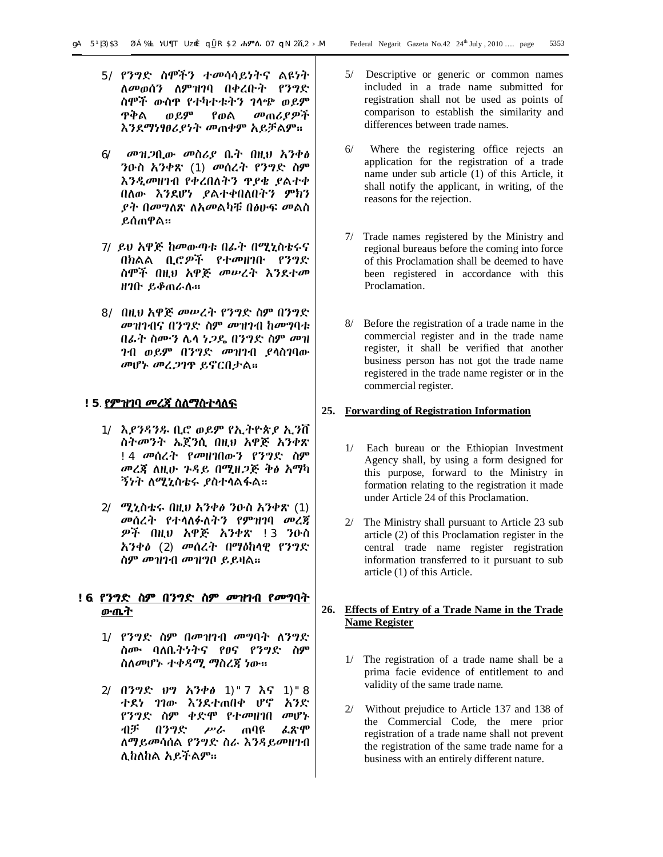- 5/ የንግድ ስሞችን ተመሳሳይነትና ልዩነት ለመወሰን ለምዝገባ በቀረቡት የንግድ ስሞች ውስጥ የተካተቱትን ገላጭ ወይም ጥቅል ወይም የወል መጠሪያዎች እንደማነፃፀሪያነት መጠቀም አይቻልም፡፡
- 6/ መዝጋቢው መስሪያ ቤት በዚህ አንቀፅ ንዑስ አንቀጽ (1) መሰረት የንግድ ስም እንዲመዘገብ የቀረበለትን ጥያቄ ያልተቀ በለው እንደሆነ ያልተቀበለበትን ምክን ያት በመግለጽ ለአመልካቹ በፅሁፍ መልስ ይሰጠዋል፡፡
- 7/ ይህ አዋጅ ከመውጣቱ በፊት በሚኒስቴሩና በክልል ቢሮዎች የተመዘገቡ የንግድ ስሞች በዚህ አዋጅ መሠረት እንደተመ ዘገቡ ይቆጠራሉ፡፡
- 8/ በዚህ አዋጅ መሠረት የንግድ ስም በንግድ መዝገብና በንግድ ስም መዝገብ ከመግባቱ በፊት ስሙን ሌላ ነጋዴ በንግድ ስም መዝ ገብ ወይም በንግድ መዝገብ ያላስገባው መሆኑ መረጋገጥ ይኖርበታል፡፡

# **!5**. **የምዝገባ መረጃ ስለማስተላለፍ**

- 1/ እያንዳንዱ ቢሮ ወይም የኢትዮጵያ ኢንቨ ስትመንት ኤጀንሲ በዚህ አዋጅ አንቀጽ !4 መሰረት የመዘገበውን የንግድ ስም መረጃ ለዚሁ ጉዳይ በሚዘጋጅ ቅፅ አማካ ኝነት ለሚኒስቴሩ ያስተላልፋል፡፡
- 2/ ሚኒስቴሩ በዚህ አንቀፅ ንዑስ አንቀጽ (1) መሰረት የተላለፉለትን የምዝገባ መረጃ ዎች በዚህ አዋጅ አንቀጽ !3 ንዑስ አንቀፅ (2) መሰረት በማዕከላዊ የንግድ ስም መዝገብ መዝግቦ ይይዛል።

# **!6**. **የንግድ ስም በንግድ ስም መዝገብ የመግባት ውጤት**

- 1/ የንግድ ስም በመዝገብ መግባት ለንግድ ስሙ ባለቤትነትና የፀና የንግድ ስም ስለመሆኑ ተቀዳሚ ማስረጃ ነው፡፡
- 2/ በንግድ ህግ አንቀፅ 1)"7 እና 1)"8 ተደነ ገገው እንደተጠበቀ ሆኖ አንድ የንግድ ስም ቀድሞ የተመዘገበ መሆኑ ብቻ በንግድ ሥራ ጠባዩ ፈጽሞ ለማይመሳሰል የንግድ ስራ እንዳይመዘገብ ሊከለከል አይችልም፡፡
- 5/ Descriptive or generic or common names included in a trade name submitted for registration shall not be used as points of comparison to establish the similarity and differences between trade names.
- 6/ Where the registering office rejects an application for the registration of a trade name under sub article (1) of this Article, it shall notify the applicant, in writing, of the reasons for the rejection.
- 7/ Trade names registered by the Ministry and regional bureaus before the coming into force of this Proclamation shall be deemed to have been registered in accordance with this Proclamation.
- 8/ Before the registration of a trade name in the commercial register and in the trade name register, it shall be verified that another business person has not got the trade name registered in the trade name register or in the commercial register.

# **25. Forwarding of Registration Information**

- 1/ Each bureau or the Ethiopian Investment Agency shall, by using a form designed for this purpose, forward to the Ministry in formation relating to the registration it made under Article 24 of this Proclamation.
- 2/ The Ministry shall pursuant to Article 23 sub article (2) of this Proclamation register in the central trade name register registration information transferred to it pursuant to sub article (1) of this Article.

# **26. Effects of Entry of a Trade Name in the Trade Name Register**

- 1/ The registration of a trade name shall be a prima facie evidence of entitlement to and validity of the same trade name.
- 2/ Without prejudice to Article 137 and 138 of the Commercial Code, the mere prior registration of a trade name shall not prevent the registration of the same trade name for a business with an entirely different nature.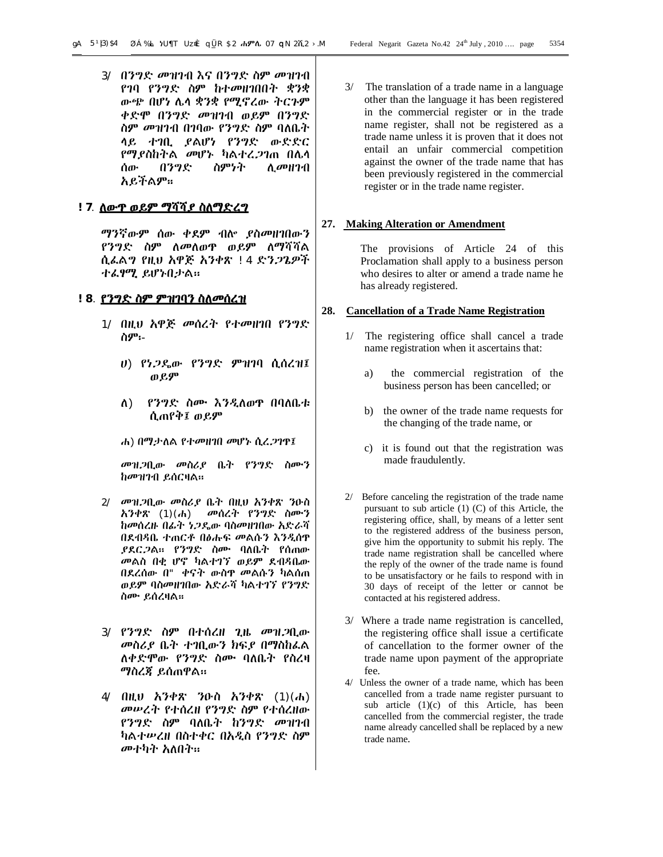3/ በንግድ መዝገብ እና በንግድ ስም መዝገብ የገባ የንግድ ስም ከተመዘገበበት ቋንቋ ውጭ በሆነ ሌላ ቋንቋ የሚኖረው ትርጉም ቀድሞ በንግድ መዝገብ ወይም በንግድ ስም መዝገብ በገባው የንግድ ስም ባለቤት ላይ ተገቢ ያልሆነ የንግድ ውድድር የማያስከትል መሆኑ ካልተረጋገጠ በሌላ ሰው በንግድ ስምነት ሊመዘገብ አይችልም፡፡

# **!7**. **ለውጥ ወይም ማሻሻያ ስለማድረግ**

ማንኛውም ሰው ቀደም ብሎ ያስመዘገበውን የንግድ ስም ለመለወጥ ወይም ለማሻሻል ሲፈልግ የዚህ አዋጅ አንቀጽ !4 ድንጋጌዎች ተፈፃሚ ይሆኑበታል፡፡

#### **!8**. **የንግድ ስም ምዝገባን ስለመሰረዝ**

- 1/ በዚህ አዋጅ መሰረት የተመዘገበ የንግድ ስም፡-
	- ሀ) የነጋዴው የንግድ ምዝገባ ሲሰረዝ፤ ወይም
	- ለ) የንግድ ስሙ እንዲለወጥ በባለቤቱ ሲጠየቅ፤ ወይም
	- ሐ) በማታለል የተመዘገበ መሆኑ ሲረጋገጥ፤

መዝጋቢው መስሪያ ቤት የንግድ ስሙን ከመዝገብ ይሰርዛል፡፡

- 2/ መዝጋቢው መስሪያ ቤት በዚህ አንቀጽ ንዑስ አንቀጽ (1)(ሐ) መሰረት የንግድ ስሙን ከመሰረዙ በፊት ነጋዴው ባስመዘገበው አድራሻ በደብዳቤ ተጠርቶ በፅሑፍ መልሱን እንዲሰጥ ያደርጋል፡፡ የንግድ ስሙ ባለቤት የሰጠው መልስ በቂ ሆኖ ካልተገኘ ወይም ደብዳቤው በደረሰው በ" ቀናት ውስጥ መልሱን ካልሰጠ ወይም ባስመዘገበው አድራሻ ካልተገኘ የንግድ ስሙ ይሰረዛል፡፡
- 3/ የንግድ ስም በተሰረዘ ጊዜ መዝጋቢው መስሪያ ቤት ተገቢውን ክፍያ በማስከፈል ለቀድሞው የንግድ ስሙ ባለቤት የስረዛ ማስረጃ ይሰጠዋል፡፡
- 4/ በዚህ አንቀጽ ንዑስ አንቀጽ (1)(ሐ) መሠረት የተሰረዘ የንግድ ስም የተሰረዘው የንግድ ስም ባለቤት ከንግድ መዝገብ ካልተሠረዘ በስተቀር በአዲስ የንግድ ስም መተካት አለበት፡፡

3/ The translation of a trade name in a language other than the language it has been registered in the commercial register or in the trade name register, shall not be registered as a trade name unless it is proven that it does not entail an unfair commercial competition against the owner of the trade name that has been previously registered in the commercial register or in the trade name register.

#### **27. Making Alteration or Amendment**

The provisions of Article 24 of this Proclamation shall apply to a business person who desires to alter or amend a trade name he has already registered.

#### **28. Cancellation of a Trade Name Registration**

- 1/ The registering office shall cancel a trade name registration when it ascertains that:
	- a) the commercial registration of the business person has been cancelled; or
	- b) the owner of the trade name requests for the changing of the trade name, or
	- c) it is found out that the registration was made fraudulently.
- 2/ Before canceling the registration of the trade name pursuant to sub article (1) (C) of this Article, the registering office, shall, by means of a letter sent to the registered address of the business person, give him the opportunity to submit his reply. The trade name registration shall be cancelled where the reply of the owner of the trade name is found to be unsatisfactory or he fails to respond with in 30 days of receipt of the letter or cannot be contacted at his registered address.
- 3/ Where a trade name registration is cancelled, the registering office shall issue a certificate of cancellation to the former owner of the trade name upon payment of the appropriate fee.
- 4/ Unless the owner of a trade name, which has been cancelled from a trade name register pursuant to sub article (1)(c) of this Article, has been cancelled from the commercial register, the trade name already cancelled shall be replaced by a new trade name.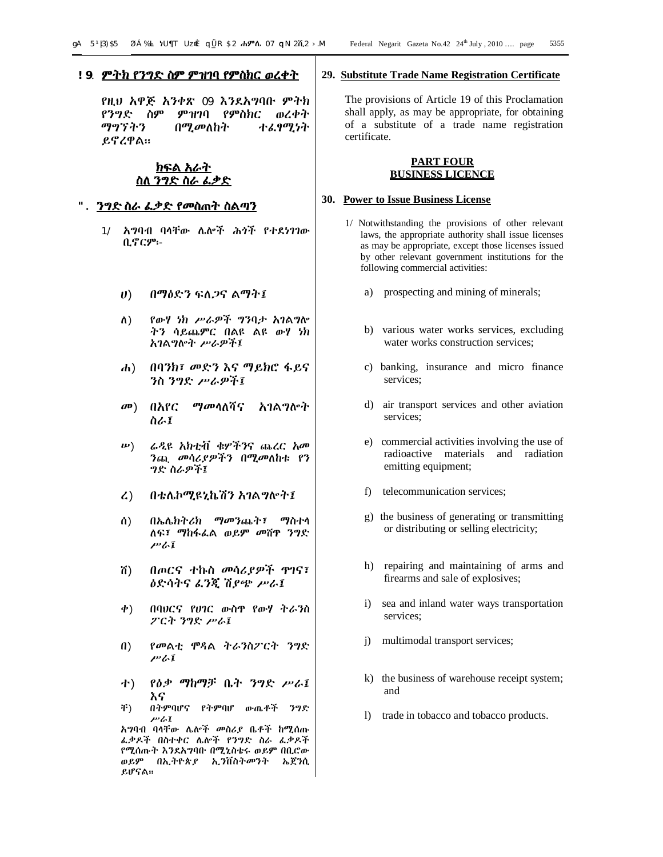#### **!9**. **ምትክ የንግድ ስም ምዝገባ የምስክር ወረቀት**

የዚህ አዋጅ አንቀጽ 09 እንደአግባቡ ምትክ የንግድ ስም ምዝገባ የምስክር ወረቀት ማግኘትን በሚመለከት ተፈፃሚነት ይኖረዋል፡፡

**ክፍል አራት ስለ ንግድ ስራ ፈቃድ**

#### **". ንግድ ስራ ፈቃድ የመስጠት ስልጣን**

- 1/ አግባብ ባላቸው ሌሎች ሕጎች የተደነገገው ቢኖርም፡-
	- ሀ) በማዕድን ፍለጋና ልማት፤
	- ለ) የውሃ ነክ ሥራዎች ግንባታ አገልግሎ ትን ሳይጨምር በልዩ ልዩ ውሃ ነክ አገልግሎት ሥራዎች፤
	- ሐ) በባንክ፣ መድን እና ማይክሮ ፋይና ንስ ንግድ ሥራዎች፤
	- መ) በአየር ማመላለሻና አገልግሎት ስራ፤
	- ሠ) ሬዲዩ አክቲቭ ቁሦችንና ጨረር አመ ንጪ መሳሪያዎችን በሚመለከቱ የን ግድ ስራዎች፤
	- ረ) በቴሌኮሚዩኒኬሽን አገልግሎት፤
	- ሰ) በኤሌክትሪክ ማመንጨት፣ ማስተላ ለፍ፣ ማከፋፈል ወይም መሸጥ ንግድ ሥራ፤
	- ሸ) በጦርና ተኩስ መሳሪያዎች ጥገና፣ ዕድሳትና ፈንጂ ሽያጭ ሥራ፤
	- ቀ) በባህርና የሀገር ውስጥ የውሃ ትራንስ ፖርት ንግድ ሥራ፤
	- በ) የመልቲ ሞዳል ትራንስፖርት ንግድ ሥራ፤
	- ተ) የዕቃ ማከማቻ ቤት ንግድ ሥራ፤ እና
	- ቸ) በትምባሆና የትምባሆ ውጤቶች ንግድ ሥራ፤

አግባብ ባላቸው ሌሎች መስሪያ ቤቶች ከሚሰጡ ፈቃዶች በስተቀር ሌሎች የንግድ ስራ ፈቃዶች የሚሰጡት እንደአግባቡ በሚኒስቴሩ ወይም በቢሮው ወይም በኢትዮጵያ ኢንቨስትመንት ኤጀንሲ ይሆናል፡፡

#### **29. Substitute Trade Name Registration Certificate**

The provisions of Article 19 of this Proclamation shall apply, as may be appropriate, for obtaining of a substitute of a trade name registration certificate.

#### **PART FOUR BUSINESS LICENCE**

#### **30. Power to Issue Business License**

- 1/ Notwithstanding the provisions of other relevant laws, the appropriate authority shall issue licenses as may be appropriate, except those licenses issued by other relevant government institutions for the following commercial activities:
	- a) prospecting and mining of minerals;
	- b) various water works services, excluding water works construction services;
	- c) banking, insurance and micro finance services;
	- d) air transport services and other aviation services;
	- e) commercial activities involving the use of radioactive materials and radiation emitting equipment;
	- f) telecommunication services;
	- g) the business of generating or transmitting or distributing or selling electricity;
	- h) repairing and maintaining of arms and firearms and sale of explosives;
	- i) sea and inland water ways transportation services;
	- j) multimodal transport services;
	- k) the business of warehouse receipt system; and
	- l) trade in tobacco and tobacco products.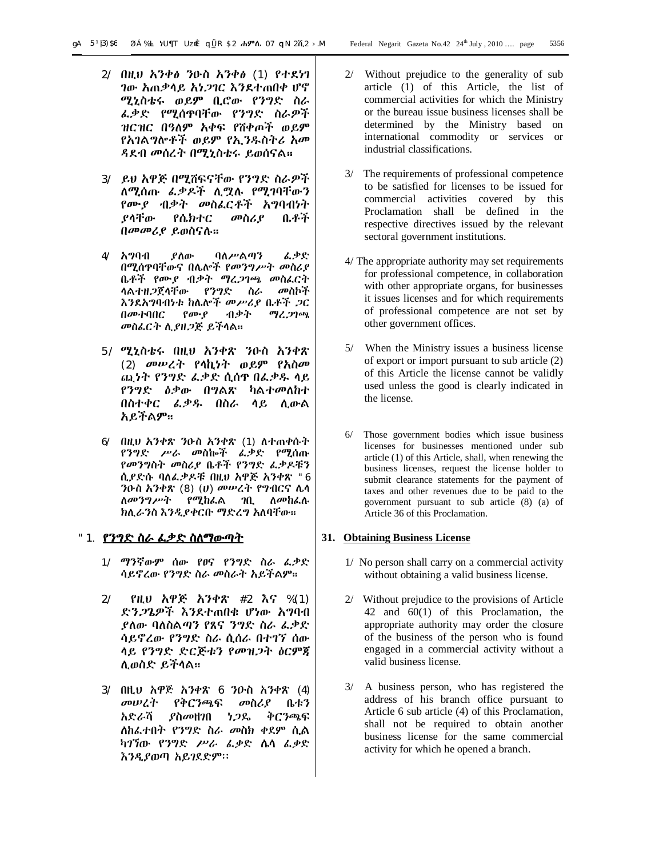- 2/ በዚህ አንቀፅ ንዑስ አንቀፅ (1) የተደነገ ገው አጠቃላይ አነጋገር እንደተጠበቀ ሆኖ ሚኒስቴሩ ወይም ቢሮው የንግድ ስራ ፈቃድ የሚሰጥባቸው የንግድ ስራዎች ዝርዝር በዓለም አቀፍ የሸቀጦች ወይም የአገልግሎቶች ወይም የኢንዱስትሪ አመ ዳደብ መሰረት በሚኒስቴሩ ይወሰናል፡፡
- 3/ ይህ አዋጅ በሚሸፍናቸው የንግድ ስራዎች ለሚሰጡ ፈቃዶች ሊሟሉ የሚገባቸውን የሙያ ብቃት መስፈርቶች አግባብነት ያላቸው የሴክተር መስሪያ ቤቶች በመመሪያ ይወስናሉ፡፡
- 4/ አግባብ ያለው ባለሥልጣን ፈቃድ በሚሰጥባቸውና በሌሎች የመንግሥት መስሪያ ቤቶች የሙያ ብቃት ማረጋገጫ መስፈርት ላልተዘጋጀላቸው የንግድ ስራ መስኮች እንደአግባብነቱ ከሌሎች መሥሪያ ቤቶች ጋር በመተባበር የሙያ ብቃት ማረጋገጫ መስፈርት ሊያዘጋጅ ይችላል፡፡
- 5/ ሚኒስቴሩ በዚህ አንቀጽ ንዑስ አንቀጽ (2) መሠረት የላኪነት ወይም የአስመ ጪነት የንግድ ፈቃድ ሲሰጥ በፈቃዱ ላይ የንግድ ዕቃው በግልጽ ካልተመለከተ በስተቀር ፈቃዱ በስራ ላይ ሊውል አይችልም፡፡
- 6/ በዚህ አንቀጽ ንዑስ አንቀጽ (1) ለተጠቀሱት የንግድ ሥራ መስኰች ፈቃድ የሚሰጡ የመንግስት መስሪያ ቤቶች የንግድ ፈቃዶቹን ሲያድሱ ባለፈቃዶቹ በዚህ አዋጅ አንቀጽ "6 ንዑስ አንቀጽ (8) (ሀ) መሠረት የግብርና ሌላ ለመንግሥት የሚከፈል ገቢ ለመከፈሉ ክሊራንስ እንዲያቀርቡ ማድረግ አለባቸው፡፡

# "1. **የንግድ ስራ ፈቃድ ስለማውጣት**

- 1/ ማንኛውም ሰው የፀና የንግድ ስራ ፈቃድ ሳይኖረው የንግድ ስራ መስራት አይችልም፡፡
- 2/ የዚህ አዋጅ አንቀጽ #2 እና %(1) ድንጋጌዎች እንደተጠበቁ ሆነው አግባብ ያለው ባለስልጣን የጸና ንግድ ስራ ፈቃድ ሳይኖረው የንግድ ስራ ሲሰራ በተገኘ ሰው ላይ የንግድ ድርጅቱን የመዝጋት ዕርምጃ ሊወስድ ይችላል፡፡
- 3/ በዚህ አዋጅ አንቀጽ 6 ንዑስ አንቀጽ (4) መሠረት የቅርንጫፍ መስሪያ ቤቱን አድራሻ ያስመዘገበ ነጋዴ ቅርንጫፍ ለከፈተበት የንግድ ስራ መስክ ቀደም ሲል ካገኘው የንግድ ሥራ ፈቃድ ሌላ ፈቃድ እንዲያወጣ አይገደድም፡፡
- 2/ Without prejudice to the generality of sub article (1) of this Article, the list of commercial activities for which the Ministry or the bureau issue business licenses shall be determined by the Ministry based on international commodity or services or industrial classifications.
- 3/ The requirements of professional competence to be satisfied for licenses to be issued for commercial activities covered by this Proclamation shall be defined in the respective directives issued by the relevant sectoral government institutions.
- 4/ The appropriate authority may set requirements for professional competence, in collaboration with other appropriate organs, for businesses it issues licenses and for which requirements of professional competence are not set by other government offices.
- 5/ When the Ministry issues a business license of export or import pursuant to sub article (2) of this Article the license cannot be validly used unless the good is clearly indicated in the license.
- 6/ Those government bodies which issue business licenses for businesses mentioned under sub article (1) of this Article, shall, when renewing the business licenses, request the license holder to submit clearance statements for the payment of taxes and other revenues due to be paid to the government pursuant to sub article (8) (a) of Article 36 of this Proclamation.

# **31. Obtaining Business License**

- 1/ No person shall carry on a commercial activity without obtaining a valid business license.
- 2/ Without prejudice to the provisions of Article 42 and 60(1) of this Proclamation, the appropriate authority may order the closure of the business of the person who is found engaged in a commercial activity without a valid business license.
- 3/ A business person, who has registered the address of his branch office pursuant to Article 6 sub article (4) of this Proclamation, shall not be required to obtain another business license for the same commercial activity for which he opened a branch.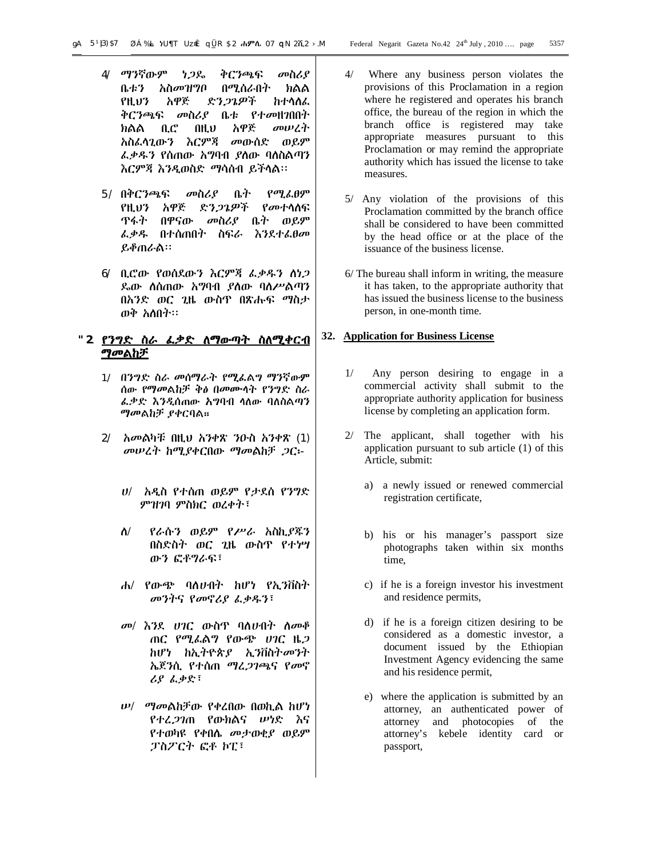- 4/ ማንኛውም ነጋዴ ቅርንጫፍ መስሪያ ቤቱን አስመዝግቦ በሚሰራበት ክልል የዚህን አዋጅ ድንጋጌዎች ከተላለፈ ቅርንጫፍ መስሪያ ቤቱ የተመዘገበበት ክልል ቢሮ በዚህ አዋጅ መሠረት አስፈላጊውን እርምጃ መውሰድ ወይም ፈቃዱን የሰጠው አግባብ ያለው ባለስልጣን እርምጃ እንዲወስድ ማሳሰብ ይችላል፡፡
- 5/ በቅርንጫፍ መስሪያ ቤት የሚፈፀም የዚህን አዋጅ ድንጋጌዎች የመተላለፍ ጥፋት በዋናው መስሪያ ቤት ወይም ፈቃዱ በተሰጠበት ስፍራ እንደተፈፀመ ይቆጠራል፡፡
- 6/ ቢሮው የወሰደውን እርምጃ ፈቃዱን ለነጋ ዴው ለሰጠው አግባብ ያለው ባለሥልጣን በአንድ ወር ጊዜ ውስጥ በጽሑፍ ማስታ ወቅ አለበት፡፡

# **"2**. **የንግድ ስራ ፈቃድ ለማውጣት ስለሚቀርብ ማመልከቻ**

- 1/ በንግድ ስራ መሰማራት የሚፈልግ ማንኛውም ሰው የማመልከቻ ቅፅ በመሙላት የንግድ ስራ ፈቃድ እንዲሰጠው አግባብ ላለው ባለስልጣን ማመልከቻ ያቀርባል፡፡
- 2/ አመልካቹ በዚህ አንቀጽ ንዑስ አንቀጽ (1) መሠረት ከሚያቀርበው ማመልከቻ ጋር፡-
	- ሀ/ አዲስ የተሰጠ ወይም የታደሰ የንግድ ምዝገባ ምስክር ወረቀት፣
	- ለ/ የራሱን ወይም የሥራ አስኪያጁን በስድስት ወር ጊዜ ውስጥ የተነሣ ውን ፎቶግራፍ፣
	- ሐ/ የውጭ ባለሀብት ከሆነ የኢንቨስት መንትና የመኖሪያ ፈቃዱን፣
	- መ/ እንደ ሀገር ውስጥ ባለሀብት ለመቆ ጠር የሚፈልግ የውጭ ሀገር ዜጋ ከሆነ ከኢትዮጵያ ኢንቨስትመንት ኤጀንሲ የተሰጠ ማረጋገጫና የመኖ ሪያ ፈቃድ፣
	- ሠ/ ማመልከቻው የቀረበው በወኪል ከሆነ የተረጋገጠ የውክልና ሠነድ እና የተወካዩ የቀበሌ መታወቂያ ወይም ፓስፖርት ፎቶ ኮፒ፣
- 4/ Where any business person violates the provisions of this Proclamation in a region where he registered and operates his branch office, the bureau of the region in which the branch office is registered may take appropriate measures pursuant to this Proclamation or may remind the appropriate authority which has issued the license to take measures.
- 5/ Any violation of the provisions of this Proclamation committed by the branch office shall be considered to have been committed by the head office or at the place of the issuance of the business license.
- 6/ The bureau shall inform in writing, the measure it has taken, to the appropriate authority that has issued the business license to the business person, in one-month time.

#### **32. Application for Business License**

- 1/ Any person desiring to engage in a commercial activity shall submit to the appropriate authority application for business license by completing an application form.
- 2/ The applicant, shall together with his application pursuant to sub article (1) of this Article, submit:
	- a) a newly issued or renewed commercial registration certificate,
	- b) his or his manager's passport size photographs taken within six months time,
	- c) if he is a foreign investor his investment and residence permits,
	- d) if he is a foreign citizen desiring to be considered as a domestic investor, a document issued by the Ethiopian Investment Agency evidencing the same and his residence permit,
	- e) where the application is submitted by an attorney, an authenticated power of attorney and photocopies of the attorney's kebele identity card or passport,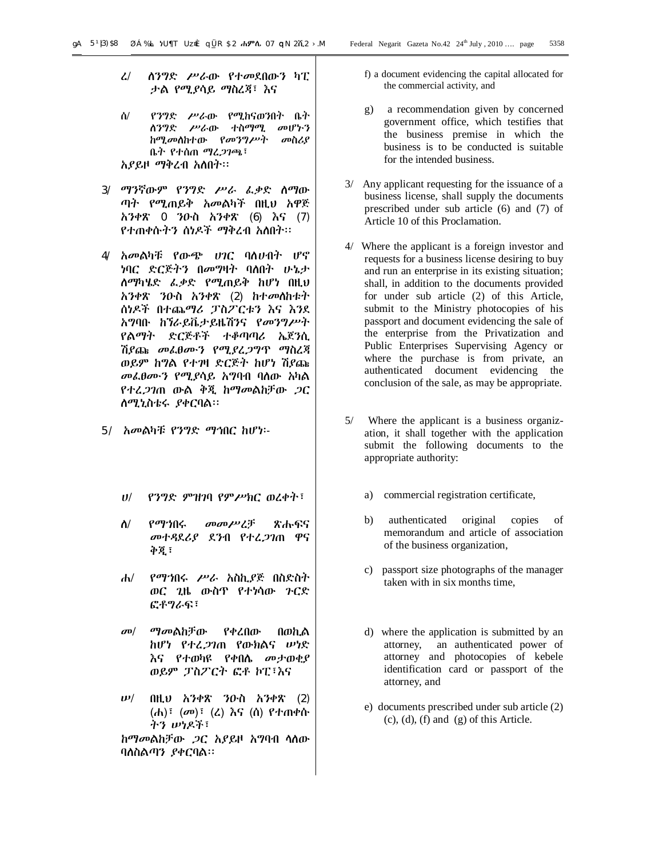- ረ/ ለንግድ ሥራው የተመደበውን ካፒ ታል የሚያሳይ ማስረጃ፣ እና
- ሰ/ የንግድ ሥራው የሚከናወንበት ቤት ለንግድ ሥራው ተስማሚ መሆኑን ከሚመለከተው የመንግሥት መስሪያ ቤት የተሰጠ ማረጋገጫ፣ አያይዞ ማቅረብ አለበት፡፡
- 3/ ማንኛውም የንግድ ሥራ ፈቃድ ለማው ጣት የሚጠይቅ አመልካች በዚህ አዋጅ አንቀጽ 0 ንዑስ አንቀጽ (6) እና (7) የተጠቀሱትን ሰነዶች ማቅረብ አለበት፡፡
- 4/ አመልካቹ የውጭ ሀገር ባለሀብት ሆኖ ነባር ድርጅትን በመግዛት ባለበት ሁኔታ ለማካሄድ ፈቃድ የሚጠይቅ ከሆነ በዚህ አንቀጽ ንዑስ አንቀጽ (2) ከተመለከቱት ሰነዶች በተጨማሪ ፓስፖርቱን እና እንደ አግባቡ ከኘራይቬታይዜሽንና የመንግሥት የልማት ድርጅቶች ተቆጣጣሪ ኤጀንሲ ሽያጩ መፈፀሙን የሚያረጋግጥ ማስረጃ ወይም ከግል የተገዛ ድርጅት ከሆነ ሽያጩ መፈፀሙን የሚያሳይ አግባብ ባለው አካል የተረጋገጠ ውል ቅጂ ከማመልከቻው ጋር ለሚኒስቴሩ ያቀርባል፡፡
- 5/ አመልካቹ የንግድ ማኅበር ከሆነ፡-
	- ሀ/ የንግድ ምዝገባ የምሥክር ወረቀት፣
	- ለ/ የማኀበሩ መመሥረቻ ጽሑፍና መተዳደሪያ ደንብ የተረጋገጠ ዋና ቅጂ፣
	- ሐ/ የማኀበሩ ሥራ አስኪያጅ በስድስት ወር ጊዜ ውስጥ የተነሳው ጉርድ ፎቶግራፍ፣
	- መ/ ማመልከቻው የቀረበው በወኪል ከሆነ የተረጋገጠ የውክልና ሠነድ እና የተወካዩ የቀበሌ መታወቂያ ወይም ፓስፖርት ፎቶ ኮፒ፣እና
	- ሠ/ በዚህ አንቀጽ ንዑስ አንቀጽ (2) (ሐ)፣ (መ)፣ (ረ) እና (ሰ) የተጠቀሱ ትን ሠነዶች፣

 ከማመልከቻው ጋር አያይዞ አግባብ ላለው ባለስልጣን ያቀርባል፡፡

- f) a document evidencing the capital allocated for the commercial activity, and
- g) a recommendation given by concerned government office, which testifies that the business premise in which the business is to be conducted is suitable for the intended business.
- 3/ Any applicant requesting for the issuance of a business license, shall supply the documents prescribed under sub article (6) and (7) of Article 10 of this Proclamation.
- 4/ Where the applicant is a foreign investor and requests for a business license desiring to buy and run an enterprise in its existing situation; shall, in addition to the documents provided for under sub article (2) of this Article, submit to the Ministry photocopies of his passport and document evidencing the sale of the enterprise from the Privatization and Public Enterprises Supervising Agency or where the purchase is from private, an authenticated document evidencing the conclusion of the sale, as may be appropriate.
- 5/ Where the applicant is a business organization, it shall together with the application submit the following documents to the appropriate authority:
	- a) commercial registration certificate,
	- b) authenticated original copies of memorandum and article of association of the business organization,
	- c) passport size photographs of the manager taken with in six months time,
	- d) where the application is submitted by an attorney, an authenticated power of attorney and photocopies of kebele identification card or passport of the attorney, and
	- e) documents prescribed under sub article (2)  $(c)$ ,  $(d)$ ,  $(f)$  and  $(g)$  of this Article.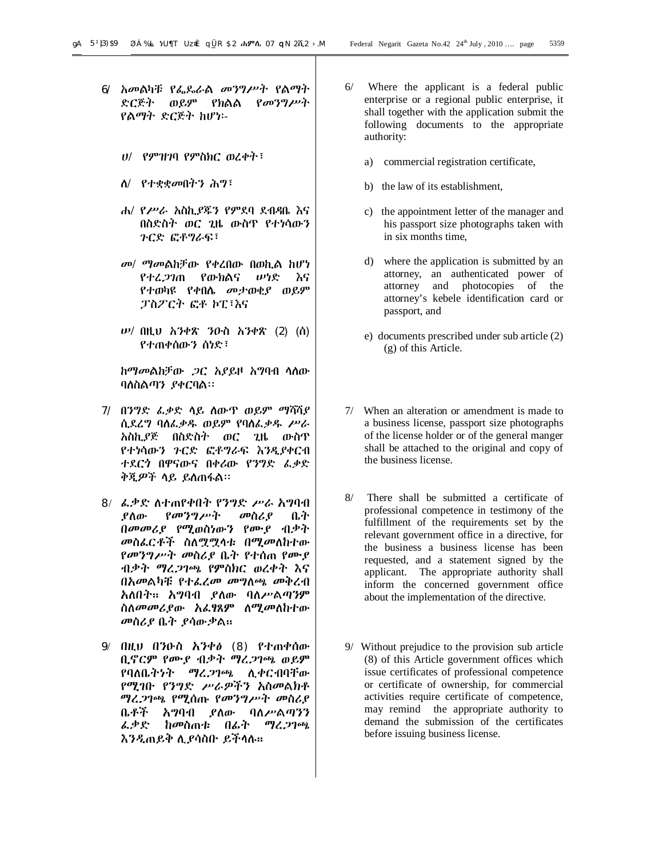- 6/ አመልካቹ የፌዴራል መንግሥት የልማት ድርጅት ወይም የክልል የመንግሥት የልማት ድርጅት ከሆነ፡-
	- ሀ/ የምዝገባ የምስክር ወረቀት፣
	- ለ/ የተቋቋመበትን ሕግ፣
	- ሐ/ የሥራ አስኪያጁን የምደባ ደብዳቤ እና በስድስት ወር ጊዜ ውስጥ የተነሳውን ጉርድ ፎቶግራፍ፣
	- መ/ ማመልከቻው የቀረበው በወኪል ከሆነ የተረጋገጠ የውክልና ሠነድ እና የተወካዩ የቀበሌ መታወቂያ ወይም ፓስፖርት ፎቶ ኮፒ፣እና
	- ሠ/ በዚህ አንቀጽ ንዑስ አንቀጽ (2) (ሰ) የተጠቀሰውን ሰነድ፣

ከማመልከቻው ጋር አያይዞ አግባብ ላለው ባለስልጣን ያቀርባል፡፡

- 7/ በንግድ ፈቃድ ላይ ለውጥ ወይም ማሻሻያ ሲደረግ ባለፈቃዱ ወይም የባለፈቃዱ ሥራ አስኪያጅ በስድስት ወር ጊዜ ውስጥ የተነሳውን ጉርድ ፎቶግራፍ እንዲያቀርብ ተደርጎ በዋናውና በቀሪው የንግድ ፈቃድ ቅጂዎች ላይ ይለጠፋል፡፡
- 8/ ፈቃድ ለተጠየቀበት የንግድ ሥራ አግባብ ያለው የመንግሥት መስሪያ ቤት በመመሪያ የሚወስነውን የሙያ ብቃት መስፈርቶች ስለሟሟላቱ በሚመለከተው የመንግሥት መስሪያ ቤት የተሰጠ የሙያ ብቃት ማረጋገጫ የምስክር ወረቀት እና በአመልካቹ የተፈረመ መግለጫ መቅረብ አለበት፡፡ አግባብ ያለው ባለሥልጣንም ስለመመሪያው አፈፃጸም ለሚመለከተው መስሪያ ቤት ያሳውቃል፡፡
- 9/ በዚህ በንዑስ አንቀፅ (8) የተጠቀሰው ቢኖርም የሙያ ብቃት ማረጋገጫ ወይም የባለቤትነት ማረጋገጫ ሊቀርብባቸው የሚገቡ የንግድ ሥራዎችን አስመልክቶ ማረጋገጫ የሚሰጡ የመንግሥት መስሪያ ቤቶች አግባብ ያለው ባለሥልጣንን ፈቃድ ከመስጠቱ በፊት ማረጋገጫ እንዲጠይቅ ሊያሳስቡ ይችላሉ፡፡
- 6/ Where the applicant is a federal public enterprise or a regional public enterprise, it shall together with the application submit the following documents to the appropriate authority:
	- a) commercial registration certificate,
	- b) the law of its establishment,
	- c) the appointment letter of the manager and his passport size photographs taken with in six months time,
	- d) where the application is submitted by an attorney, an authenticated power of attorney and photocopies of the attorney's kebele identification card or passport, and
	- e) documents prescribed under sub article (2) (g) of this Article.
- 7/ When an alteration or amendment is made to a business license, passport size photographs of the license holder or of the general manger shall be attached to the original and copy of the business license.
- 8/ There shall be submitted a certificate of professional competence in testimony of the fulfillment of the requirements set by the relevant government office in a directive, for the business a business license has been requested, and a statement signed by the applicant. The appropriate authority shall inform the concerned government office about the implementation of the directive.
- 9/ Without prejudice to the provision sub article (8) of this Article government offices which issue certificates of professional competence or certificate of ownership, for commercial activities require certificate of competence, may remind the appropriate authority to demand the submission of the certificates before issuing business license.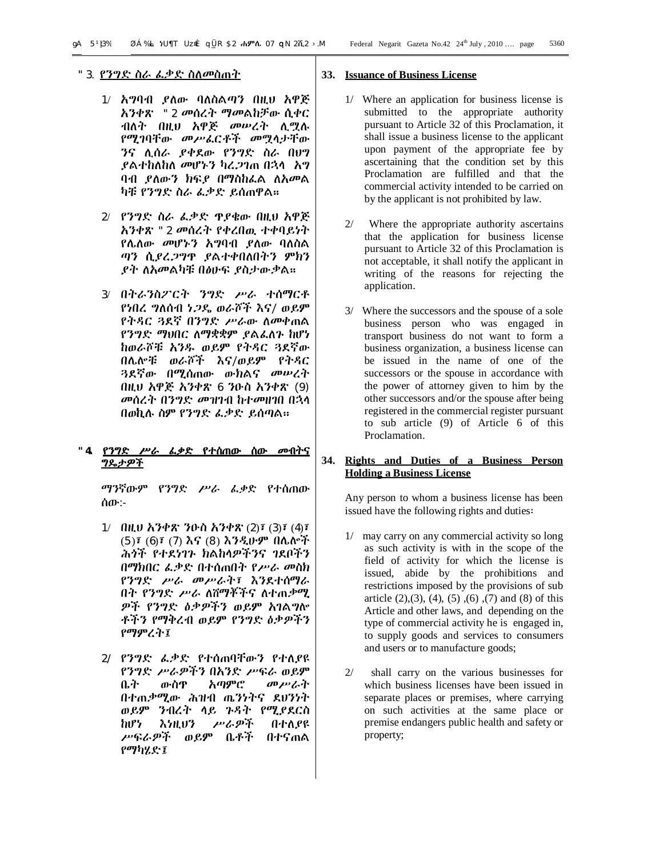- 1/ አግባብ ያለው ባለስልጣን በዚህ አዋጅ አንቀጽ "2 መሰረት ማመልከቻው ሲቀር ብለት በዚህ አዋጅ መሠረት ሊሟሉ የሚገባቸው መሥፈርቶች መሟላታቸው ንና ሊሰራ ያቀደው የንግድ ስራ በህግ ያልተከለከለ መሆኑን ካረጋገጠ በኋላ አግ ባብ ያለውን ክፍያ በማስከፈል ለአመል ካቹ የንግድ ስራ ፈቃድ ይሰጠዋል፡፡
- 2/ የንግድ ስራ ፈቃድ ጥያቄው በዚህ አዋጅ አንቀጽ "2 መሰረት የቀረበዉ ተቀባይነት የሌለው መሆኑን አግባብ ያለው ባለስል ጣን ሲያረጋግጥ ያልተቀበለበትን ምክን ያት ለአመልካቹ በፅሁፍ ያስታውቃል፡፡
- 3/ በትራንስፖርት ንግድ ሥራ ተሰማርቶ የነበረ ግለሰብ ነጋዴ ወራሾች እና/ ወይም የትዳር ጓደኛ በንግድ ሥራው ለመቀጠል የንግድ ማህበር ለማቋቋም ያልፈለጉ ከሆነ ከወራሾቹ አንዱ ወይም የትዳር ጓደኛው በሌሎቹ ወራሾች እና/ወይም የትዳር ጓደኛው በሚሰጠው ውክልና መሠረት በዚህ አዋጅ አንቀጽ 6 ንዑስ አንቀጽ (9) መሰረት በንግድ መዝገብ ከተመዘገበ በኋላ በወኪሉ ስም የንግድ ፈቃድ ይሰጣል፡፡

# **"4. የንግድ ሥራ ፈቃድ የተሰጠው ሰው መብትና ግዴታዎች**

ማንኛውም የንግድ ሥራ ፈቃድ የተሰጠው ሰው:-

- 1/ በዚህ አንቀጽ ንዑስ አንቀጽ (2)፣ (3)፣ (4)፣ (5)፣ (6)፣ (7) እና (8) እንዲሁም በሌሎች ሕጎች የተደነገጉ ክልከላዎችንና ገደቦችን በማክበር ፈቃድ በተሰጠበት የሥራ መስክ የንግድ ሥራ መሥራት፣ እንደተሰማራ በት የንግድ ሥራ ለሸማቾችና ለተጠቃሚ ዎች የንግድ ዕቃዎችን ወይም አገልግሎ ቶችን የማቅረብ ወይም የንግድ ዕቃዎችን የማምረት፤
- 2/ የንግድ ፈቃድ የተሰጠባቸውን የተለያዩ የንግድ ሥራዎችን በአንድ ሥፍራ ወይም<br>ቤት - ውስዋ - አጣምሮ - *መሥራ*ት ቤት ውስጥ አጣምሮ መሥራት በተጠቃሚው ሕዝብ ጤንነትና ደህንነት ወይም ንብረት ላይ ጉዳት የሚያደርስ ከሆነ እነዚህን ሥራዎች በተለያዩ ሥፍራዎች ወይም ቤቶች በተናጠል የማካሄድ፤

#### **33. Issuance of Business License**

- 1/ Where an application for business license is submitted to the appropriate authority pursuant to Article 32 of this Proclamation, it shall issue a business license to the applicant upon payment of the appropriate fee by ascertaining that the condition set by this Proclamation are fulfilled and that the commercial activity intended to be carried on by the applicant is not prohibited by law.
- 2/ Where the appropriate authority ascertains that the application for business license pursuant to Article 32 of this Proclamation is not acceptable, it shall notify the applicant in writing of the reasons for rejecting the application.
- 3/ Where the successors and the spouse of a sole business person who was engaged in transport business do not want to form a business organization, a business license can be issued in the name of one of the successors or the spouse in accordance with the power of attorney given to him by the other successors and/or the spouse after being registered in the commercial register pursuant to sub article (9) of Article 6 of this Proclamation.

#### **34. Rights and Duties of a Business Person Holding a Business License**

Any person to whom a business license has been issued have the following rights and duties፡

- 1/ may carry on any commercial activity so long as such activity is with in the scope of the field of activity for which the license is issued, abide by the prohibitions and restrictions imposed by the provisions of sub article  $(2),(3), (4), (5), (6), (7)$  and  $(8)$  of this Article and other laws, and depending on the type of commercial activity he is engaged in, to supply goods and services to consumers and users or to manufacture goods;
- 2/ shall carry on the various businesses for which business licenses have been issued in separate places or premises, where carrying on such activities at the same place or premise endangers public health and safety or property;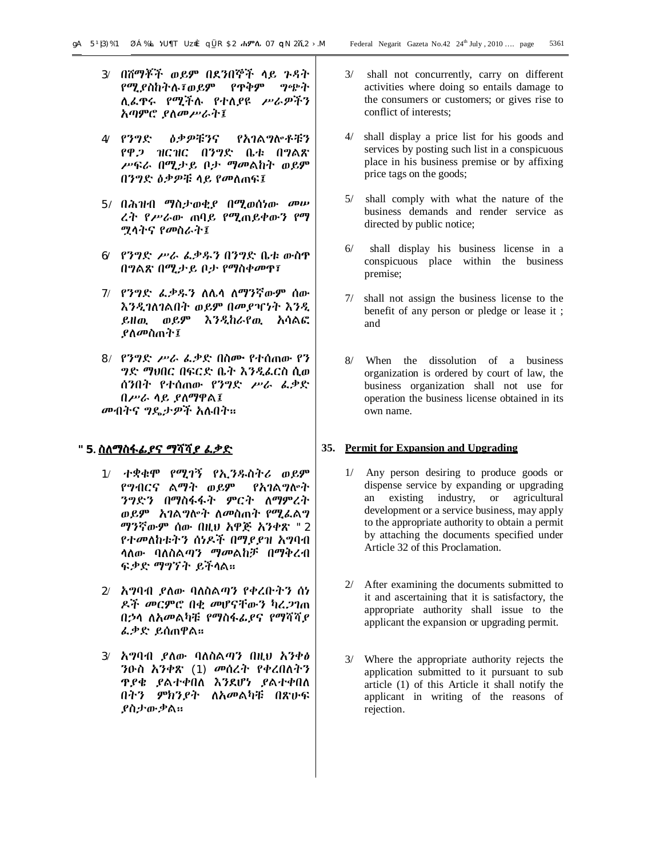- 3/ በሸማቾች ወይም በደንበኞች ላይ ጉዳት የሚያስከትሉ፣ወይም የጥቅም ግጭት ሊፈጥሩ የሚችሉ የተለያዩ ሥራዎችን አጣምሮ ያለመሥራት፤
- 4**/** የንግድ ዕቃዎቹንና የአገልግሎቶቹን የዋጋ ዝርዝር በንግድ ቤቱ በግልጽ ሥፍራ በሚታይ ቦታ ማመልከት ወይም በንግድ ዕቃዎቹ ላይ የመለጠፍ፤
- 5**/** በሕዝብ ማስታወቂያ በሚወሰነው መሠ ረት የሥራው ጠባይ የሚጠይቀውን የማ ሟላትና የመስራት፤
- 6**/** የንግድ ሥራ ፈቃዱን በንግድ ቤቱ ውስጥ በግልጽ በሚታይ ቦታ የማስቀመጥ፣
- 7/ የንግድ ፈቃዱን ለሌላ ለማንኛውም ሰው እንዲገለገልበት ወይም በመያዣነት እንዲ ይዘዉ ወይም እንዲከራየዉ አሳልፎ ያለመስጠት፤
- 8/ የንግድ ሥራ ፈቃድ በስሙ የተሰጠው የን ግድ ማህበር በፍርድ ቤት እንዲፈርስ ሲወ ሰንበት የተሰጠው የንግድ ሥራ ፈቃድ በሥራ ላይ ያለማዋል፤ መብትና ግዴታዎች አሉበት፡፡

# **"5. ስለማስፋፊያና ማሻሻያ ፈቃድ**

- 1/ ተቋቁሞ የሚገኝ የኢንዱስትሪ ወይም የግብርና ልማት ወይም የአገልግሎት ንግድን በማስፋፋት ምርት ለማምረት ወይም አገልግሎት ለመስጠት የሚፈልግ ማንኛውም ሰው በዚህ አዋጅ አንቀጽ "2 የተመለከቱትን ሰነዶች በማያያዝ አግባብ ላለው ባለስልጣን ማመልከቻ በማቅረብ ፍቃድ ማግኘት ይችላል፡፡
- 2/ አግባብ ያለው ባለስልጣን የቀረቡትን ሰነ ዶች መርምሮ በቂ መሆናቸውን ካረጋገጠ በኃላ ለአመልካቹ የማስፋፊያና የማሻሻያ ፈቃድ ይሰጠዋል፡፡
- 3/ አግባብ ያለው ባለስልጣን በዚህ አንቀፅ ንዑስ አንቀጽ (1) መሰረት የቀረበለትን ጥያቄ ያልተቀበለ እንደሆነ ያልተቀበለ በትን ምክንያት ለአመልካቹ በጽሁፍ ያስታውቃል፡፡
- 3/ shall not concurrently, carry on different activities where doing so entails damage to the consumers or customers; or gives rise to conflict of interests;
- 4/ shall display a price list for his goods and services by posting such list in a conspicuous place in his business premise or by affixing price tags on the goods;
- 5/ shall comply with what the nature of the business demands and render service as directed by public notice;
- 6/ shall display his business license in a conspicuous place within the business premise;
- 7/ shall not assign the business license to the benefit of any person or pledge or lease it ; and
- 8/ When the dissolution of a business organization is ordered by court of law, the business organization shall not use for operation the business license obtained in its own name.

### **35. Permit for Expansion and Upgrading**

- 1/ Any person desiring to produce goods or dispense service by expanding or upgrading an existing industry, or agricultural development or a service business, may apply to the appropriate authority to obtain a permit by attaching the documents specified under Article 32 of this Proclamation.
- 2/ After examining the documents submitted to it and ascertaining that it is satisfactory, the appropriate authority shall issue to the applicant the expansion or upgrading permit.
- 3/ Where the appropriate authority rejects the application submitted to it pursuant to sub article (1) of this Article it shall notify the applicant in writing of the reasons of rejection.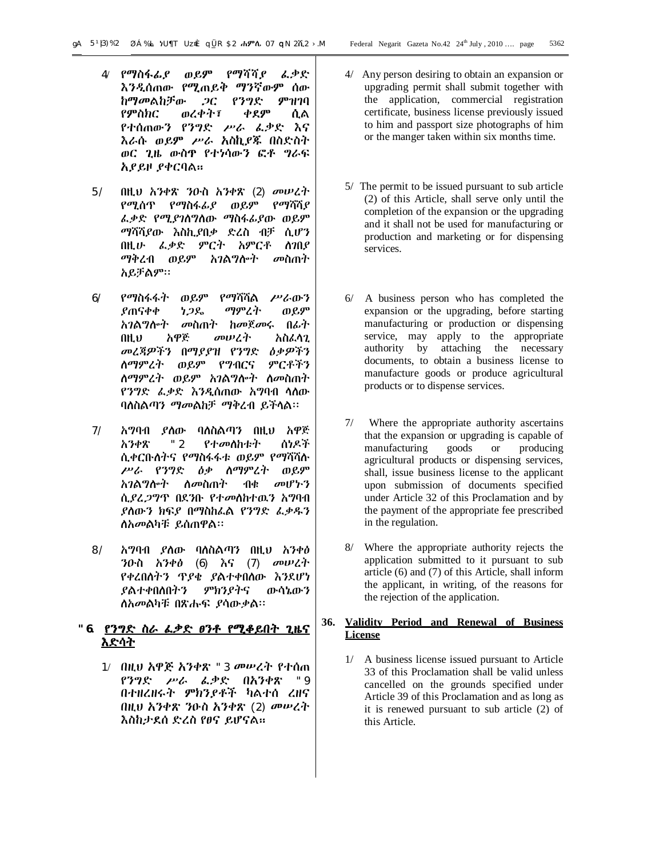- 4/ የማስፋፊያ ወይም የማሻሻያ ፈቃድ እንዲሰጠው የሚጠይቅ ማንኛውም ሰው ከማመልከቻው ጋር የንግድ ምዝገባ የምስክር ወረቀት፣ ቀደም ሲል የተሰጠውን የንግድ ሥራ ፈቃድ እና እራሱ ወይም ሥራ አስኪያጁ በስድስት ወር ጊዜ ውስጥ የተነሳውን ፎቶ ግራፍ አያይዞ ያቀርባል፡፡
- 5/ በዚህ አንቀጽ ንዑስ አንቀጽ (2) መሠረት የሚሰጥ የማስፋፊያ ወይም የማሻሻያ ፈቃድ የሚያገለግለው ማስፋፊያው ወይም ማሻሻያው እስኪያበቃ ድረስ ብቻ ሲሆን በዚሁ ፈቃድ ምርት አምርቶ ለገበያ ማቅረብ ወይም አገልግሎት መስጠት አይቻልም፡፡
- 6/ የማስፋፋት ወይም የማሻሻል ሥራውን ያጠናቀቀ ነጋዴ ማምረት ወይም አገልግሎት መስጠት ከመጀመሩ በፊት በዚህ አዋጅ መሠረት አስፈላጊ መረጃዎችን በማያያዝ የንግድ ዕቃዎችን ለማምረት ወይም የግብርና ምርቶችን ለማምረት ወይም አገልግሎት ለመስጠት የንግድ ፈቃድ እንዲሰጠው አግባብ ላለው ባለስልጣን ማመልከቻ ማቅረብ ይችላል፡፡
- 7/ አግባብ ያለው ባለስልጣን በዚህ አዋጅ አንቀጽ "2 የተመለከቱት ሰነዶች ሲቀርቡለትና የማስፋፋቱ ወይም የማሻሻሉ ሥራ የንግድ ዕቃ ለማምረት ወይም አገልግሎት ለመስጠት ብቁ መሆኑን ሲያረጋግጥ በደንቡ የተመለከተዉን አግባብ ያለውን ክፍያ በማስከፈል የንግድ ፈቃዱን ለአመልካቹ ይሰጠዋል፡፡
- 8/ አግባብ ያለው ባለስልጣን በዚህ አንቀፅ ንዑስ አንቀፅ (6) እና (7) መሠረት የቀረበለትን ጥያቄ ያልተቀበለው እንደሆነ ያልተቀበለበትን ምክንያትና ውሳኔውን ለአመልካቹ በጽሑፍ ያሳውቃል፡፡

# **"6. የንግድ ስራ ፈቃድ ፀንቶ የሚቆይበት ጊዜና እድሳት**

1/ በዚህ አዋጅ አንቀጽ "3 መሠረት የተሰጠ የንግድ ሥራ ፈቃድ በአንቀጽ "9 በተዘረዘሩት ምክንያቶች ካልተሰ ረዘና በዚህ አንቀጽ ንዑስ አንቀጽ (2) መሠረት እስከታደሰ ድረስ የፀና ይሆናል፡፡

- 4/ Any person desiring to obtain an expansion or upgrading permit shall submit together with the application, commercial registration certificate, business license previously issued to him and passport size photographs of him or the manger taken within six months time.
- 5/ The permit to be issued pursuant to sub article (2) of this Article, shall serve only until the completion of the expansion or the upgrading and it shall not be used for manufacturing or production and marketing or for dispensing services.
- 6/ A business person who has completed the expansion or the upgrading, before starting manufacturing or production or dispensing service, may apply to the appropriate authority by attaching the necessary documents, to obtain a business license to manufacture goods or produce agricultural products or to dispense services.
- 7/ Where the appropriate authority ascertains that the expansion or upgrading is capable of manufacturing goods or producing agricultural products or dispensing services, shall, issue business license to the applicant upon submission of documents specified under Article 32 of this Proclamation and by the payment of the appropriate fee prescribed in the regulation.
- 8/ Where the appropriate authority rejects the application submitted to it pursuant to sub article (6) and (7) of this Article, shall inform the applicant, in writing, of the reasons for the rejection of the application.

# **36. Validity Period and Renewal of Business License**

1/ A business license issued pursuant to Article 33 of this Proclamation shall be valid unless cancelled on the grounds specified under Article 39 of this Proclamation and as long as it is renewed pursuant to sub article (2) of this Article.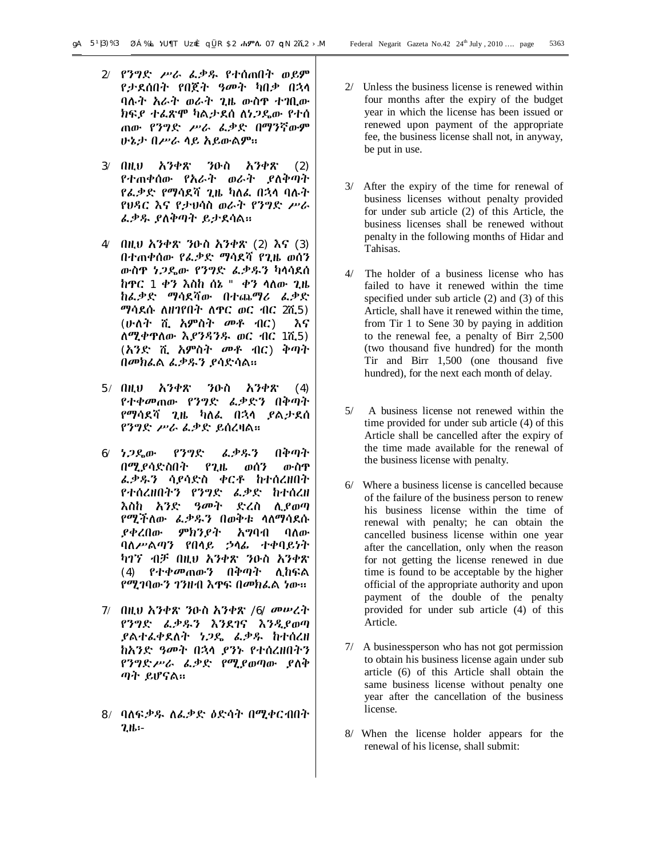- 2/ የንግድ ሥራ ፈቃዱ የተሰጠበት ወይም የታደሰበት የበጀት ዓመት ካበቃ በኋላ ባሉት አራት ወራት ጊዜ ውስጥ ተገቢው ክፍያ ተፈጽሞ ካልታደሰ ለነጋዴው የተሰ ጠው የንግድ ሥራ ፈቃድ በማንኛውም ሁኔታ በሥራ ላይ አይውልም፡፡
- 3/ በዚህ አንቀጽ ንዑስ አንቀጽ (2) የተጠቀሰው የአራት ወራት ያለቅጣት የፈቃድ የማሳደሻ ጊዜ ካለፈ በኋላ ባሉት የህዳር እና የታህሳስ ወራት የንግድ ሥራ ፈቃዱ ያለቅጣት ይታደሳል፡፡
- 4/ በዚህ አንቀጽ ንዑስ አንቀጽ (2) እና (3) በተጠቀሰው የፈቃድ ማሳደሻ የጊዜ ወሰን ውስጥ ነጋዴው የንግድ ፈቃዱን ካላሳደሰ ከጥር 1 ቀን እስከ ሰኔ " ቀን ላለው ጊዜ ከፈቃድ ማሳደሻው በተጨማሪ ፈቃድ ማሳደሱ ለዘገየበት ለጥር ወር ብር 2ሺ5) (ሁለት ሺ አምስት መቶ ብር) እና ለሚቀጥለው እያንዳንዱ ወር ብር 1ሺ5) (አንድ ሺ አምስት መቶ ብር) ቅጣት በመክፈል ፈቃዱን ያሳድሳል፡፡
- 5/ በዚህ አንቀጽ ንዑስ አንቀጽ (4) የተቀመጠው የንግድ ፈቃድን በቅጣት የማሳደሻ ጊዜ ካለፈ በኋላ ያልታደሰ የንግድ ሥራ ፈቃድ ይሰረዛል፡፡
- 6/ ነጋዴው የንግድ ፈቃዱን በቅጣት በሚያሳድስበት የጊዜ ወሰን ውስጥ ፈቃዱን ሳያሳድስ ቀርቶ ከተሰረዘበት የተሰረዘበትን የንግድ ፈቃድ ከተሰረዘ እስከ አንድ ዓመት ድረስ ሊያወጣ የሚችለው ፈቃዱን በወቅቱ ላለማሳደሱ ያቀረበው ምክንያት አግባብ ባለው ባለሥልጣን የበላይ ኃላፊ ተቀባይነት ካገኘ ብቻ በዚህ አንቀጽ ንዑስ አንቀጽ (4) የተቀመጠውን በቅጣት ሊከፍል የሚገባውን ገንዘብ እጥፍ በመክፈል ነው፡፡
- 7/ በዚህ አንቀጽ ንዑስ አንቀጽ /6/ መሠረት የንግድ ፈቃዱን እንደገና እንዲያወጣ ያልተፈቀደለት ነጋዴ ፈቃዱ ከተሰረዘ ከአንድ ዓመት በኋላ ያንኑ የተሰረዘበትን የንግድሥራ ፈቃድ የሚያወጣው ያለቅ ጣት ይሆናል፡፡
- 8/ ባለፍቃዱ ለፈቃድ ዕድሳት በሚቀርብበት ጊዜ፡-
- 2/ Unless the business license is renewed within four months after the expiry of the budget year in which the license has been issued or renewed upon payment of the appropriate fee, the business license shall not, in anyway, be put in use.
- 3/ After the expiry of the time for renewal of business licenses without penalty provided for under sub article (2) of this Article, the business licenses shall be renewed without penalty in the following months of Hidar and Tahisas.
- 4/ The holder of a business license who has failed to have it renewed within the time specified under sub article (2) and (3) of this Article, shall have it renewed within the time, from Tir 1 to Sene 30 by paying in addition to the renewal fee, a penalty of Birr 2,500 (two thousand five hundred) for the month Tir and Birr 1,500 (one thousand five hundred), for the next each month of delay.
- 5/ A business license not renewed within the time provided for under sub article (4) of this Article shall be cancelled after the expiry of the time made available for the renewal of the business license with penalty.
- 6/ Where a business license is cancelled because of the failure of the business person to renew his business license within the time of renewal with penalty; he can obtain the cancelled business license within one year after the cancellation, only when the reason for not getting the license renewed in due time is found to be acceptable by the higher official of the appropriate authority and upon payment of the double of the penalty provided for under sub article (4) of this Article.
- 7/ A businessperson who has not got permission to obtain his business license again under sub article (6) of this Article shall obtain the same business license without penalty one year after the cancellation of the business license.
- 8/ When the license holder appears for the renewal of his license, shall submit: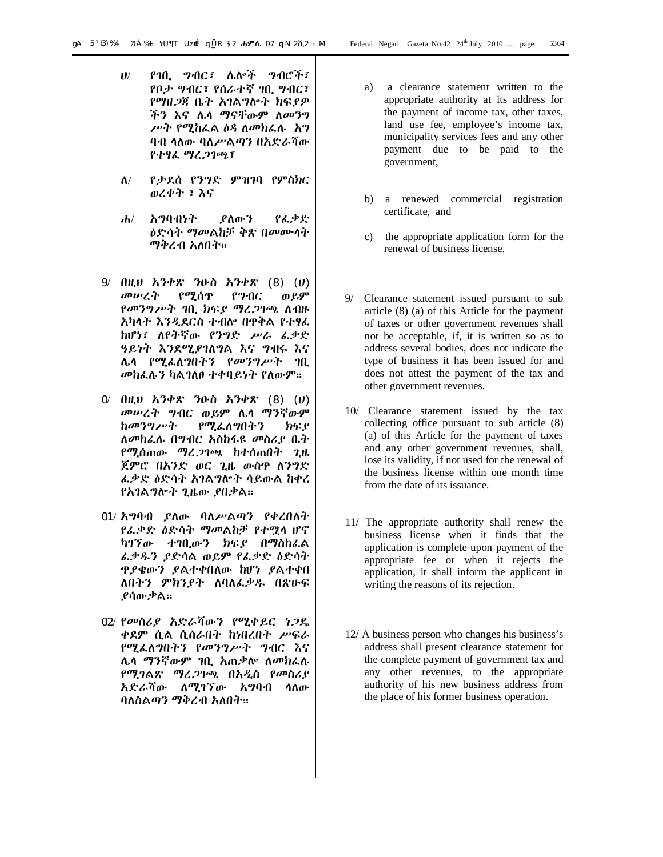- ሀ/ የገቢ ግብር፣ ሌሎች ግብሮች፣ የቦታ ግብር፣ የሰራተኛ ገቢ ግብር፣ የማዘጋጃ ቤት አገልግሎት ክፍያዎ ችን እና ሌላ ማናቸውም ለመንግ ሥት የሚከፈል ዕዳ ለመክፈሉ አግ ባብ ላለው ባለሥልጣን በአድራሻው የተፃፈ ማረጋገጫ፣
- ለ/ የታደሰ የንግድ ምዝገባ የምስክር ወረቀት ፣ እና
- ሐ/ አግባብነት ያለውን የፈቃድ ዕድሳት ማመልከቻ ቅጽ በመሙላት ማቅረብ አለበት፡፡
- 9/ በዚህ አንቀጽ ንዑስ አንቀጽ (8) (ሀ) መሠረት የሚሰጥ የግብር ወይም የመንግሥት ገቢ ክፍያ ማረጋገጫ ለብዙ አካላት እንዲደርስ ተብሎ በጥቅል የተፃፈ ከሆነ፣ ለየትኛው የንግድ ሥራ ፈቃድ ዓይነት እንደሚያገለግል እና ግብሩ እና ሌላ የሚፈለግበትን የመንግሥት ገቢ መከፈሉን ካልገለፀ ተቀባይነት የለውም፡፡
- 0/ በዚህ አንቀጽ ንዑስ አንቀጽ (8) (ሀ) መሠረት ግብር ወይም ሌላ ማንኛውም ከመንግሥት የሚፈለግበትን ክፍያ ለመከፈሉ በግብር አስከፋዩ መስሪያ ቤት የሚሰጠው ማረጋገጫ ከተሰጠበት ጊዜ ጀምሮ በአንድ ወር ጊዜ ውስጥ ለንግድ ፈቃድ ዕድሳት አገልግሎት ሳይውል ከቀረ የአገልግሎት ጊዜው ያበቃል፡፡
- 01/ አግባብ ያለው ባለሥልጣን የቀረበለት የፈቃድ ዕድሳት ማመልከቻ የተሟላ ሆኖ ካገኘው ተገቢውን ክፍያ በማስከፈል ፈቃዱን ያድሳል ወይም የፈቃድ ዕድሳት ጥያቄውን ያልተቀበለው ከሆነ ያልተቀበ ለበትን ምክንያት ለባለፈቃዱ በጽሁፍ ያሳውቃል፡፡
- 02/ የመስሪያ አድራሻውን የሚቀይር ነጋዴ ቀደም ሲል ሲሰራበት ከነበረበት ሥፍራ የሚፈለግበትን የመንግሥት ግብር እና ሌላ ማንኛውም ገቢ አጠቃሎ ለመክፈሉ የሚገልጽ ማረጋገጫ በአዲስ የመስሪያ አድራሻው ለሚገኘው አግባብ ላለው ባለስልጣን ማቅረብ አለበት፡፡
- a) a clearance statement written to the appropriate authority at its address for the payment of income tax, other taxes, land use fee, employee's income tax, municipality services fees and any other payment due to be paid to the government,
- b) a renewed commercial registration certificate, and
- c) the appropriate application form for the renewal of business license.
- 9/ Clearance statement issued pursuant to sub article (8) (a) of this Article for the payment of taxes or other government revenues shall not be acceptable, if, it is written so as to address several bodies, does not indicate the type of business it has been issued for and does not attest the payment of the tax and other government revenues.
- 10/ Clearance statement issued by the tax collecting office pursuant to sub article (8) (a) of this Article for the payment of taxes and any other government revenues, shall, lose its validity, if not used for the renewal of the business license within one month time from the date of its issuance.
- 11/ The appropriate authority shall renew the business license when it finds that the application is complete upon payment of the appropriate fee or when it rejects the application, it shall inform the applicant in writing the reasons of its rejection.
- 12/ A business person who changes his business's address shall present clearance statement for the complete payment of government tax and any other revenues, to the appropriate authority of his new business address from the place of his former business operation.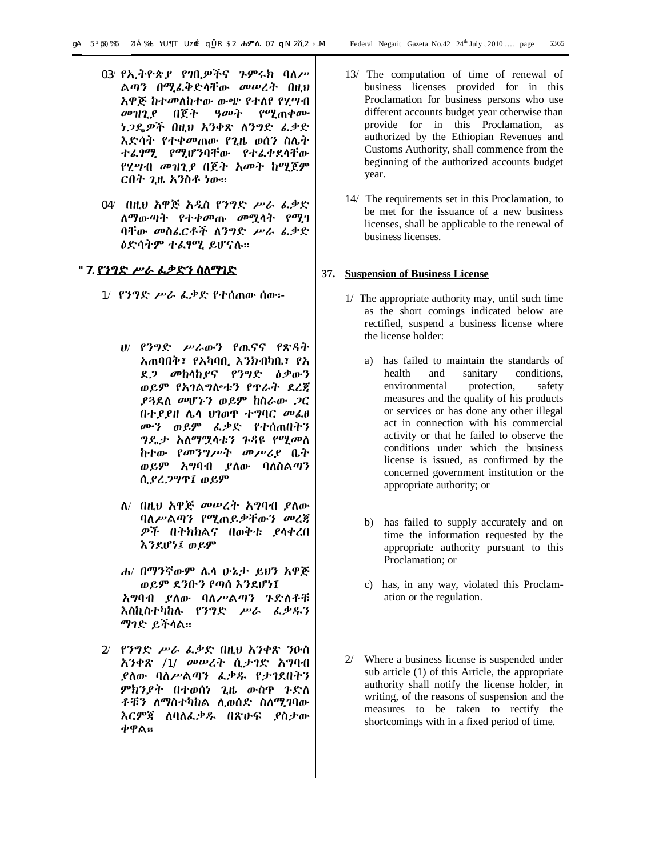- 03/ የኢትዮጵያ የገቢዎችና ጉምሩክ ባለሥ ልጣን በሚፈቅድላቸው መሠረት በዚህ አዋጅ ከተመለከተው ውጭ የተለየ የሂሣብ መዝጊያ በጀት ዓመት የሚጠቀሙ ነጋዴዎች በዚህ አንቀጽ ለንግድ ፈቃድ እድሳት የተቀመጠው የጊዜ ወሰን ስሌት ተፈፃሚ የሚሆንባቸው የተፈቀደላቸው የሂሣብ መዝጊያ በጀት አመት ከሚጀም ርበት ጊዜ አንስቶ ነው፡፡
- 04/ በዚህ አዋጅ አዲስ የንግድ ሥራ ፈቃድ ለማውጣት የተቀመጡ መሟላት የሚገ ባቸው መስፈርቶች ለንግድ ሥራ ፈቃድ ዕድሳትም ተፈፃሚ ይሆናሉ፡፡

# **"7. የንግድ ሥራ ፈቃድን ስለማገድ**

- 1/ የንግድ ሥራ ፈቃድ የተሰጠው ሰው፡-
	- ሀ/ የንግድ ሥራውን የጤናና የጽዳት አጠባበቅ፣ የአካባቢ እንክብካቤ፣ የአ ደጋ መከላከያና የንግድ ዕቃውን ወይም የአገልግሎቱን የጥራት ደረጃ ያጓደለ መሆኑን ወይም ከስራው ጋር በተያያዘ ሌላ ህገወጥ ተግባር መፈፀ ሙን ወይም ፈቃድ የተሰጠበትን ግዴታ አለማሟላቱን ጉዳዩ የሚመለ ከተው የመንግሥት መሥሪያ ቤት ወይም አግባብ ያለው ባለስልጣን ሲያረጋግጥ፤ ወይም
	- ለ/ በዚህ አዋጅ መሠረት አግባብ ያለው ባለሥልጣን የሚጠይቃቸውን መረጃ ዎች በትክክልና በወቅቱ ያላቀረበ እንደሆነ፤ ወይም
	- ሐ/ በማንኛውም ሌላ ሁኔታ ይህን አዋጅ ወይም ደንቡን የጣሰ እንደሆነ፤ አግባብ ያለው ባለሥልጣን ጉድለቶቹ እስኪስተካከሉ የንግድ ሥራ ፈቃዱን ማገድ ይችላል፡፡
- 2/ የንግድ ሥራ ፈቃድ በዚህ አንቀጽ ንዑስ አንቀጽ /1/ መሠረት ሲታገድ አግባብ ያለው ባለሥልጣን ፈቃዱ የታገደበትን ምክንያት በተወሰነ ጊዜ ውስጥ ጉድለ ቶቹን ለማስተካከል ሊወሰድ ስለሚገባው እርምጃ ለባለፈቃዱ በጽሁፍ ያስታው ቀዋል፡፡
- 13/ The computation of time of renewal of business licenses provided for in this Proclamation for business persons who use different accounts budget year otherwise than provide for in this Proclamation, as authorized by the Ethiopian Revenues and Customs Authority, shall commence from the beginning of the authorized accounts budget year.
- 14/ The requirements set in this Proclamation, to be met for the issuance of a new business licenses, shall be applicable to the renewal of business licenses.

# **37. Suspension of Business License**

- 1/ The appropriate authority may, until such time as the short comings indicated below are rectified, suspend a business license where the license holder:
	- a) has failed to maintain the standards of health and sanitary conditions, environmental protection, safety measures and the quality of his products or services or has done any other illegal act in connection with his commercial activity or that he failed to observe the conditions under which the business license is issued, as confirmed by the concerned government institution or the appropriate authority; or
	- b) has failed to supply accurately and on time the information requested by the appropriate authority pursuant to this Proclamation; or
	- c) has, in any way, violated this Proclamation or the regulation.
- 2/ Where a business license is suspended under sub article (1) of this Article, the appropriate authority shall notify the license holder, in writing, of the reasons of suspension and the measures to be taken to rectify the shortcomings with in a fixed period of time.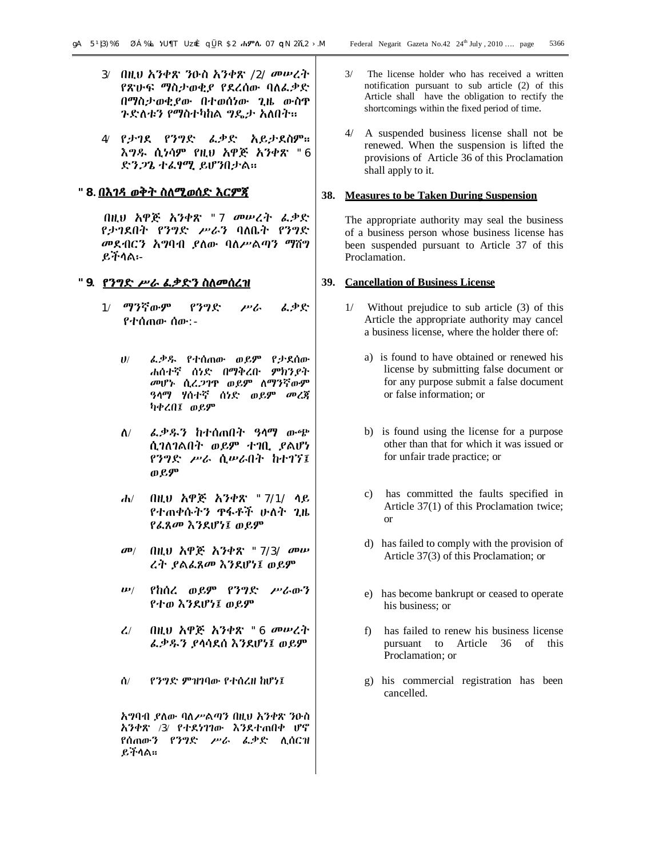- 3/ በዚህ አንቀጽ ንዑስ አንቀጽ /2/ መሠረት የጽሁፍ ማስታወቂያ የደረሰው ባለፈቃድ በማስታወቂያው በተወሰነው ጊዜ ውስጥ ጉድለቱን የማስተካከል ግዴታ አለበት፡፡
- 4/ የታገደ የንግድ ፈቃድ አይታደስም፡፡ እግዱ ሲነሳም የዚህ አዋጅ አንቀጽ "6 ድንጋጌ ተፈፃሚ ይሆንበታል፡፡

# **"8. በእገዳ ወቅት ስለሚወሰድ እርምጃ**

በዚህ አዋጅ አንቀጽ "7 መሠረት ፈቃድ የታገደበት የንግድ ሥራን ባለቤት የንግድ መደብርን አግባብ ያለው ባለሥልጣን ማሸግ ይችላል፡-

#### **"9. የንግድ ሥራ ፈቃድን ስለመሰረዝ**

- 1/ ማንኛውም የንግድ ሥራ ፈቃድ የተሰጠው ሰው:-
	- ሀ/ ፈቃዱ የተሰጠው ወይም የታደሰው ሐሰተኛ ሰነድ በማቅረቡ ምክንያት መሆኑ ሲረጋገጥ ወይም ለማንኛውም ዓላማ ሃሰተኛ ሰነድ ወይም መረጃ ካቀረበ፤ ወይም
	- ለ/ ፈቃዱን ከተሰጠበት ዓላማ ውጭ ሲገለገልበት ወይም ተገቢ ያልሆነ የንግድ ሥራ ሲሠራበት ከተገኘ፤ ወይም
	- ሐ/ በዚህ አዋጅ አንቀጽ "7/1/ ላይ የተጠቀሱትን ጥፋቶች ሁለት ጊዜ የፈጸመ እንደሆነ፤ ወይም
	- መ/ በዚህ አዋጅ አንቀጽ "7/3/ መሠ ረት ያልፈጸመ እንደሆነ፤ ወይም
	- ሠ/ የከሰረ ወይም የንግድ ሥራውን የተወ እንደሆነ፤ ወይም
	- ረ/ በዚህ አዋጅ አንቀጽ "6 መሠረት ፈቃዱን ያላሳደሰ እንደሆነ፤ ወይም
	- ሰ/ የንግድ ምዝገባው የተሰረዘ ከሆነ፤

አግባብ ያለው ባለሥልጣን በዚህ አንቀጽ ንዑስ አንቀጽ /3/ የተደነገገው እንደተጠበቀ ሆኖ የሰጠውን የንግድ ሥራ ፈቃድ ሊሰርዝ ይችላል፡፡

- 3/ The license holder who has received a written notification pursuant to sub article (2) of this Article shall have the obligation to rectify the shortcomings within the fixed period of time.
- 4/ A suspended business license shall not be renewed. When the suspension is lifted the provisions of Article 36 of this Proclamation shall apply to it.

# **38. Measures to be Taken During Suspension**

The appropriate authority may seal the business of a business person whose business license has been suspended pursuant to Article 37 of this Proclamation.

#### **39. Cancellation of Business License**

- 1/ Without prejudice to sub article (3) of this Article the appropriate authority may cancel a business license, where the holder there of:
	- a) is found to have obtained or renewed his license by submitting false document or for any purpose submit a false document or false information; or
	- b) is found using the license for a purpose other than that for which it was issued or for unfair trade practice; or
	- c) has committed the faults specified in Article 37(1) of this Proclamation twice; or
	- d) has failed to comply with the provision of Article 37(3) of this Proclamation; or
	- e) has become bankrupt or ceased to operate his business; or
	- f) has failed to renew his business license pursuant to Article 36 of this Proclamation; or
	- g) his commercial registration has been cancelled.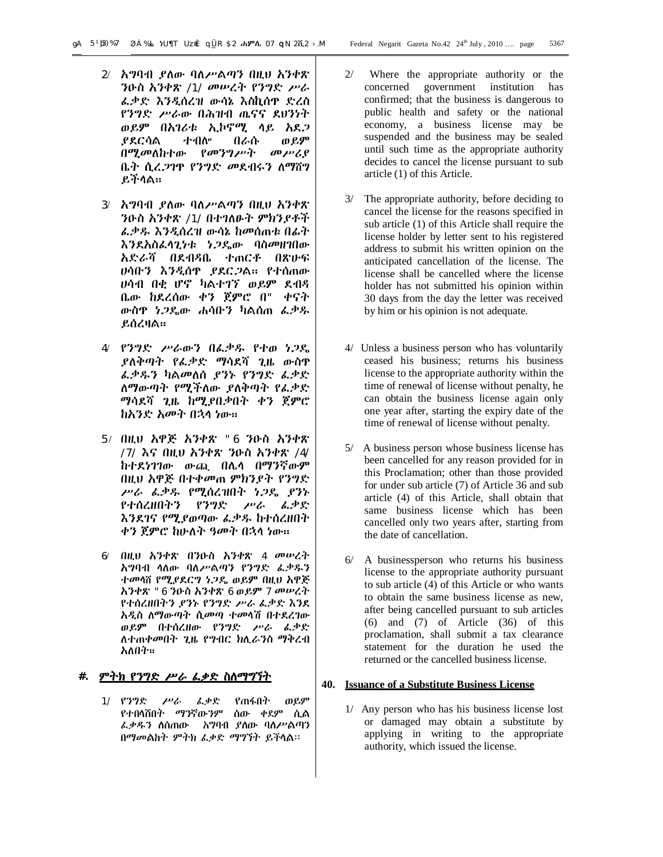- 2/ አግባብ ያለው ባለሥልጣን በዚህ አንቀጽ ንዑስ አንቀጽ /1/ መሠረት የንግድ ሥራ ፈቃድ እንዲሰረዝ ውሳኔ እስኪሰጥ ድረስ የንግድ ሥራው በሕዝብ ጤናና ደህንነት ወይም በአገሪቱ ኢኮኖሚ ላይ አደጋ ያደርሳል ተብሎ በራሱ ወይም በሚመለከተው የመንግሥት መሥሪያ ቤት ሲረጋገጥ የንግድ መደብሩን ለማሸግ ይችላል፡፡
- 3/ አግባብ ያለው ባለሥልጣን በዚህ አንቀጽ ንዑስ አንቀጽ /1/ በተገለፁት ምክንያቶች ፈቃዱ እንዲሰረዝ ውሳኔ ከመሰጠቱ በፊት እንደአስፈላጊነቱ ነጋዴው ባስመዘገበው አድራሻ በደብዳቤ ተጠርቶ በጽሁፍ ሀሳቡን እንዲሰጥ ያደርጋል፡፡ የተሰጠው ሀሳብ በቂ ሆኖ ካልተገኘ ወይም ደብዳ ቤው ከደረሰው ቀን ጀምሮ በ" ቀናት ውስጥ ነጋዴው ሐሳቡን ካልሰጠ ፈቃዱ ይሰረዛል፡፡
- 4/ የንግድ ሥራውን በፈቃዱ የተወ ነጋዴ ያለቅጣት የፈቃድ ማሳደሻ ጊዜ ውስጥ ፈቃዱን ካልመለሰ ያንኑ የንግድ ፈቃድ ለማውጣት የሚችለው ያለቅጣት የፈቃድ ማሳደሻ ጊዜ ከሚያበቃበት ቀን ጀምሮ ከአንድ አመት በኋላ ነው፡፡
- 5/ በዚህ አዋጅ አንቀጽ "6 ንዑስ አንቀጽ /7/ እና በዚህ አንቀጽ ንዑስ አንቀጽ /4/ ከተደነገገው ውጪ በሌላ በማንኛውም በዚህ አዋጅ በተቀመጠ ምክንያት የንግድ ሥራ ፈቃዱ የሚሰረዝበት ነጋዴ ያንኑ የተሰረዘበትን የንግድ ሥራ ፈቃድ እንደገና የሚያወጣው ፈቃዱ ከተሰረዘበት ቀን ጀምሮ ከሁለት ዓመት በኋላ ነው፡፡
- 6/ በዚህ አንቀጽ በንዑስ አንቀጽ 4 መሠረት አግባብ ላለው ባለሥልጣን የንግድ ፈቃዱን ተመላሸ የሚያደርግ ነጋዴ ወይም በዚህ አዋጅ አንቀጽ "6 ንዑስ አንቀጽ 6 ወይም 7 መሠረት የተሰረዘበትን ያንኑ የንግድ ሥራ ፈቃድ እንደ አዲስ ለማውጣት ሲመጣ ተመላሽ በተደረገው ወይም በተሰረዘው የንግድ ሥራ ፈቃድ ለተጠቀመበት ጊዜ የግብር ክሊራንስ ማቅረብ አለበት፡፡

# **#. ምትክ የንግድ ሥራ ፈቃድ ስለማግኘት**

1/ የንግድ ሥራ ፈቃድ የጠፋበት ወይም የተበላሸበት ማንኛውንም ሰው ቀደም ሲል ፈቃዱን ለሰጠው አግባብ ያለው ባለሥልጣን በማመልከት ምትክ ፈቃድ ማግኘት ይችላል፡፡

- 2/ Where the appropriate authority or the concerned government institution has confirmed; that the business is dangerous to public health and safety or the national economy, a business license may be suspended and the business may be sealed until such time as the appropriate authority decides to cancel the license pursuant to sub article (1) of this Article.
- 3/ The appropriate authority, before deciding to cancel the license for the reasons specified in sub article (1) of this Article shall require the license holder by letter sent to his registered address to submit his written opinion on the anticipated cancellation of the license. The license shall be cancelled where the license holder has not submitted his opinion within 30 days from the day the letter was received by him or his opinion is not adequate.
- 4/ Unless a business person who has voluntarily ceased his business; returns his business license to the appropriate authority within the time of renewal of license without penalty, he can obtain the business license again only one year after, starting the expiry date of the time of renewal of license without penalty.
- 5/ A business person whose business license has been cancelled for any reason provided for in this Proclamation; other than those provided for under sub article (7) of Article 36 and sub article (4) of this Article, shall obtain that same business license which has been cancelled only two years after, starting from the date of cancellation.
- 6/ A businessperson who returns his business license to the appropriate authority pursuant to sub article (4) of this Article or who wants to obtain the same business license as new, after being cancelled pursuant to sub articles (6) and (7) of Article (36) of this proclamation, shall submit a tax clearance statement for the duration he used the returned or the cancelled business license.

#### **40. Issuance of a Substitute Business License**

1/ Any person who has his business license lost or damaged may obtain a substitute by applying in writing to the appropriate authority, which issued the license.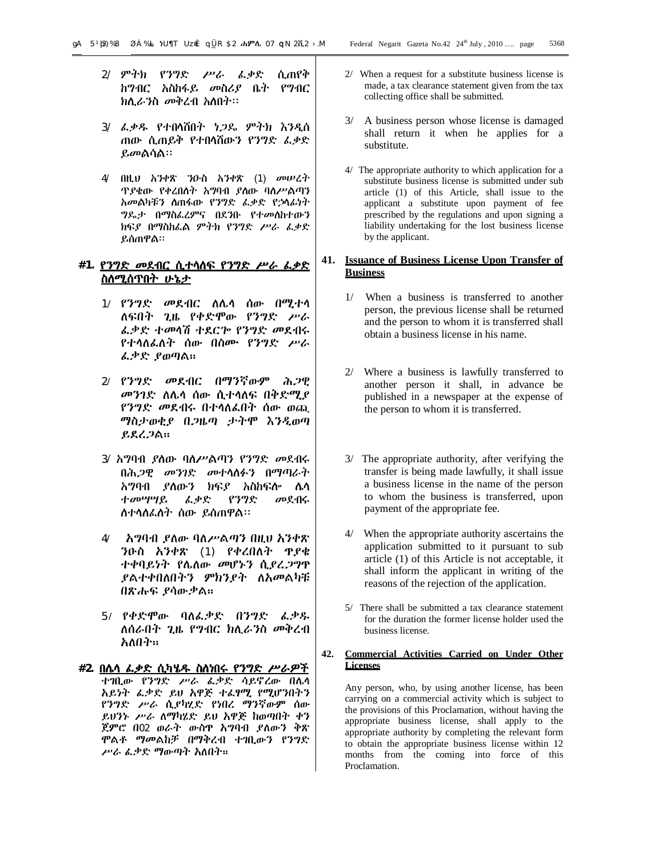- 2/ ምትክ የንግድ ሥራ ፈቃድ ሲጠየቅ ከግብር አስከፋይ መስሪያ ቤት የግብር ክሊራንስ መቅረብ አለበት፡፡
- 3/ ፈቃዱ የተበላሸበት ነጋዴ ምትክ እንዲሰ ጠው ሲጠይቅ የተበላሸውን የንግድ ፈቃድ ይመልሳል፡፡
- 4/ በዚህ አንቀጽ ንዑስ አንቀጽ (1) መሠረት ጥያቄው የቀረበለት አግባብ ያለው ባለሥልጣን አመልካቹን ለጠፋው የንግድ ፈቃድ የኃላፊነት ግዴታ በማስፈረምና በደንቡ የተመለከተውን ክፍያ በማስከፈል ምትክ የንግድ ሥራ ፈቃድ ይሰጠዋል፡፡

# **#1. የንግድ መደብር ሲተላለፍ የንግድ ሥራ ፈቃድ ስለሚሰጥበት ሁኔታ**

- 1**/** የንግድ መደብር ለሌላ ሰው በሚተላ ለፍበት ጊዜ የቀድሞው የንግድ ሥራ ፈቃድ ተመላሽ ተደርጐ የንግድ መደብሩ የተላለፈለት ሰው በስሙ የንግድ ሥራ ፈቃድ ያወጣል፡፡
- 2**/** የንግድ መደብር በማንኛውም ሕጋዊ መንገድ ለሌላ ሰው ሲተላለፍ በቅድሚያ የንግድ መደብሩ በተላለፈበት ሰው ወጪ ማስታወቂያ በጋዜጣ ታትሞ እንዲወጣ ይደረጋል፡፡
- 3/ አግባብ ያለው ባለሥልጣን የንግድ መደብሩ በሕጋዊ መንገድ መተላለፉን በማጣራት አግባብ ያለውን ክፍያ አስከፍሎ ሌላ ተመሣሣይ ፈቃድ የንግድ መደብሩ ለተላለፈለት ሰው ይሰጠዋል፡፡
- 4**/** አግባብ ያለው ባለሥልጣን በዚህ አንቀጽ ንዑስ አንቀጽ (1) የቀረበለት ጥያቄ ተቀባይነት የሌለው መሆኑን ሲያረጋግጥ ያልተቀበለበትን ምክንያት ለአመልካቹ በጽሑፍ ያሳውቃል፡፡
- 5**/** የቀድሞው ባለፈቃድ በንግድ ፈቃዱ ለሰራበት ጊዜ የግብር ክሊራንስ መቅረብ አለበት፡፡
- **#2. በሌላ ፈቃድ ሲካሄዱ ስለነበሩ የንግድ ሥራዎች** ተገቢው የንግድ ሥራ ፈቃድ ሳይኖረው በሌላ አይነት ፈቃድ ይህ አዋጅ ተፈፃሚ የሚሆንበትን የንግድ ሥራ ሲያካሂድ የነበረ ማንኛውም ሰው ይህንኑ ሥራ ለማካሄድ ይህ አዋጅ ከወጣበት ቀን ጀምሮ በ02 ወራት ውስጥ አግባብ ያለውን ቅጽ ሞልቶ ማመልከቻ በማቅረብ ተገቢውን የንግድ ሥራ ፈቃድ ማውጣት አለበት፡፡
- 2/ When a request for a substitute business license is made, a tax clearance statement given from the tax collecting office shall be submitted.
- 3/ A business person whose license is damaged shall return it when he applies for a substitute.
- 4/ The appropriate authority to which application for a substitute business license is submitted under sub article (1) of this Article, shall issue to the applicant a substitute upon payment of fee prescribed by the regulations and upon signing a liability undertaking for the lost business license by the applicant.

# **41. Issuance of Business License Upon Transfer of Business**

- 1/ When a business is transferred to another person, the previous license shall be returned and the person to whom it is transferred shall obtain a business license in his name.
- 2/ Where a business is lawfully transferred to another person it shall, in advance be published in a newspaper at the expense of the person to whom it is transferred.
- 3/ The appropriate authority, after verifying the transfer is being made lawfully, it shall issue a business license in the name of the person to whom the business is transferred, upon payment of the appropriate fee.
- 4/ When the appropriate authority ascertains the application submitted to it pursuant to sub article (1) of this Article is not acceptable, it shall inform the applicant in writing of the reasons of the rejection of the application.
- 5/ There shall be submitted a tax clearance statement for the duration the former license holder used the business license.

#### **42. Commercial Activities Carried on Under Other Licenses**

Any person, who, by using another license, has been carrying on a commercial activity which is subject to the provisions of this Proclamation, without having the appropriate business license, shall apply to the appropriate authority by completing the relevant form to obtain the appropriate business license within 12 months from the coming into force of this Proclamation.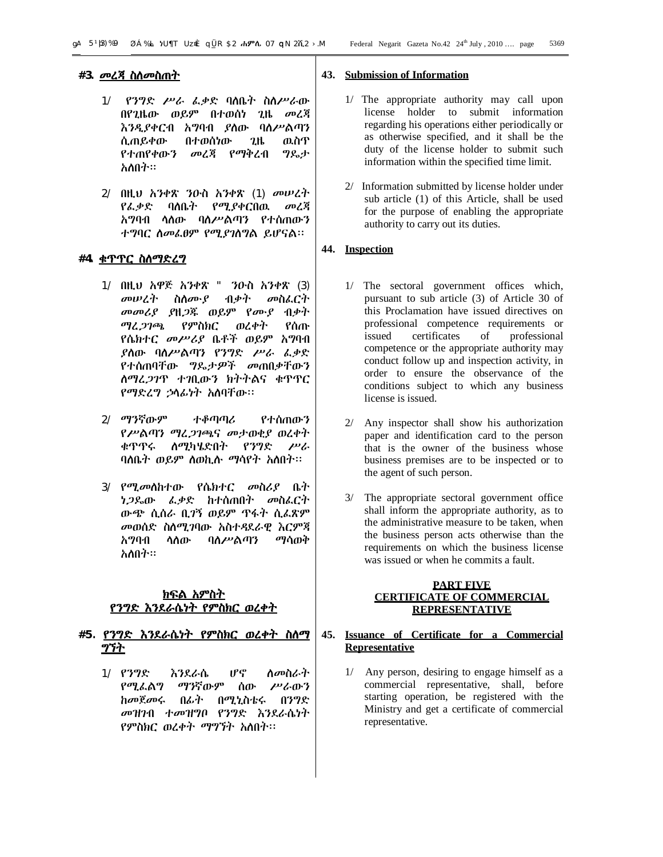- 1/ የንግድ ሥራ ፈቃድ ባለቤት ስለሥራው በየጊዜው ወይም በተወሰነ ጊዜ መረጃ እንዲያቀርብ አግባብ ያለው ባለሥልጣን ሲጠይቀው በተወሰነው ጊዜ ዉስጥ የተጠየቀውን መረጃ የማቅረብ ግዴታ አለበት፡፡
- 2/ በዚህ አንቀጽ ንዑስ አንቀጽ (1) መሠረት የፈቃድ ባለቤት የሚያቀርበዉ መረጃ አግባብ ላለው ባለሥልጣን የተሰጠውን ተግባር ለመፈፀም የሚያገለግል ይሆናል፡፡

# **#4. ቁጥጥር ስለማድረግ**

- 1/ በዚህ አዋጅ አንቀጽ " ንዑስ አንቀጽ (3) መሠረት ስለሙያ ብቃት መስፈርት መመሪያ ያዘጋጁ ወይም የሙያ ብቃት ማረጋገጫ የምስክር ወረቀት የሰጡ የሴክተር መሥሪያ ቤቶች ወይም አግባብ ያለው ባለሥልጣን የንግድ ሥራ ፈቃድ የተሰጠባቸው ግዴታዎች መጠበቃቸውን ለማረጋገጥ ተገቢውን ክትትልና ቁጥጥር የማድረግ ኃላፊነት አለባቸው፡፡
- 2/ ማንኛውም ተቆጣጣሪ የተሰጠውን የሥልጣን ማረጋገጫና መታወቂያ ወረቀት ቁጥጥሩ ለሚካሄድበት የንግድ ሥራ ባለቤት ወይም ለወኪሉ ማሳየት አለበት፡፡
- 3/ የሚመለከተው የሴክተር መስሪያ ቤት ነጋዴው ፈቃድ ከተሰጠበት መስፈርት ውጭ ሲሰራ ቢገኝ ወይም ጥፋት ሲፈጽም መወሰድ ስለሚገባው አስተዳደራዊ እርምጃ አግባብ ላለው ባለሥልጣን ማሳወቅ አለበት፡፡

# **ክፍል አምስት የንግድ እንደራሴነት የምስክር ወረቀት**

# **#5. የንግድ እንደራሴነት የምስክር ወረቀት ስለማ ግኘት**

1/ የንግድ እንደራሴ ሆኖ ለመስራት የሚፈልግ ማንኛውም ሰው ሥራውን ከመጀመሩ በፊት በሚኒስቴሩ በንግድ መዝገብ ተመዝግቦ የንግድ እንደራሴነት የምስክር ወረቀት ማግኘት አለበት፡፡

#### **43. Submission of Information**

- 1/ The appropriate authority may call upon license holder to submit information regarding his operations either periodically or as otherwise specified, and it shall be the duty of the license holder to submit such information within the specified time limit.
- 2/ Information submitted by license holder under sub article (1) of this Article, shall be used for the purpose of enabling the appropriate authority to carry out its duties.

# **44. Inspection**

- 1/ The sectoral government offices which, pursuant to sub article (3) of Article 30 of this Proclamation have issued directives on professional competence requirements or issued certificates of professional competence or the appropriate authority may conduct follow up and inspection activity, in order to ensure the observance of the conditions subject to which any business license is issued.
- 2/ Any inspector shall show his authorization paper and identification card to the person that is the owner of the business whose business premises are to be inspected or to the agent of such person.
- 3/ The appropriate sectoral government office shall inform the appropriate authority, as to the administrative measure to be taken, when the business person acts otherwise than the requirements on which the business license was issued or when he commits a fault.

# **PART FIVE CERTIFICATE OF COMMERCIAL REPRESENTATIVE**

# **45. Issuance of Certificate for a Commercial Representative**

1/ Any person, desiring to engage himself as a commercial representative, shall, before starting operation, be registered with the Ministry and get a certificate of commercial representative.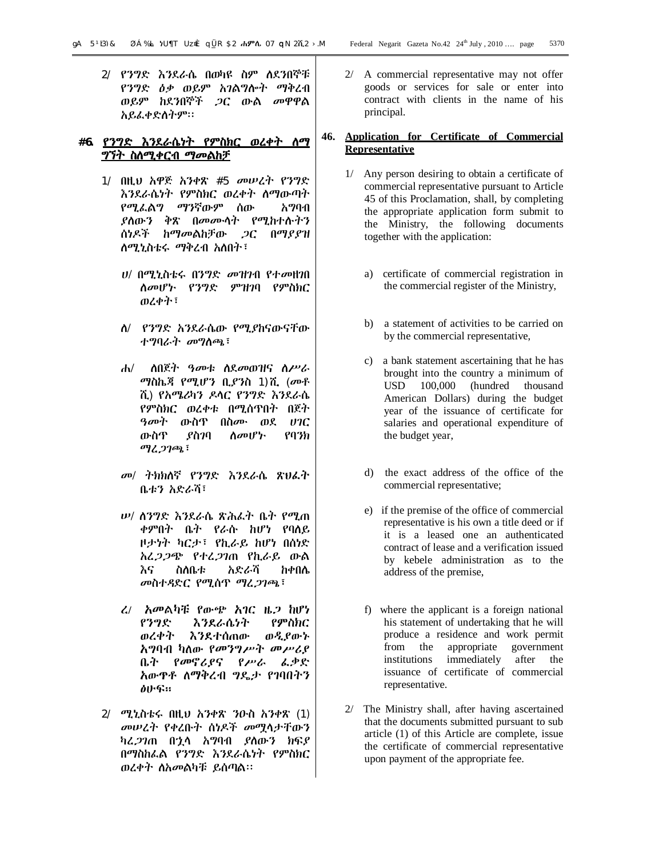2/ የንግድ እንደራሴ በወካዩ ስም ለደንበኞቹ የንግድ ዕቃ ወይም አገልግሎት ማቅረብ ወይም ከደንበኞች ጋር ውል መዋዋል አይፈቀድለትም፡፡

# **#6. የንግድ እንደራሴነት የምስክር ወረቀት ለማ ግኘት ስለሚቀርብ ማመልከቻ**

- 1/ በዚህ አዋጅ አንቀጽ #5 መሠረት የንግድ እንደራሴነት የምስክር ወረቀት ለማውጣት የሚፈልግ ማንኛውም ሰው አግባብ ያለውን ቅጽ በመሙላት የሚከተሉትን ሰነዶች ከማመልከቻው ጋር በማያያዝ ለሚኒስቴሩ ማቅረብ አለበት፣
	- ሀ/ በሚኒስቴሩ በንግድ መዝገብ የተመዘገበ ለመሆኑ የንግድ ምዝገባ የምስክር ወረቀት፣
	- ለ/ የንግድ አንደራሴው የሚያከናውናቸው ተግባራት መግለጫ፣
	- ሐ/ ለበጀት ዓመቱ ለደመወዝና ለሥራ ማስኬጃ የሚሆን ቢያንስ 1)ሺ (መቶ ሺ) የአሜሪካን ዶላር የንግድ እንደራሴ የምስክር ወረቀቱ በሚሰጥበት በጀት ዓመት ውስጥ በስሙ ወደ ሀገር ውስጥ ያስገባ ለመሆኑ የባንክ ማረጋገጫ፣
	- መ/ ትክክለኛ የንግድ እንደራሴ ጽህፈት ቤቱን አድራሻ፣
	- ሠ/ ለንግድ እንደራሴ ጽሕፈት ቤት የሚጠ ቀምበት ቤት የራሱ ከሆነ የባለይ ዞታነት ካርታ፣ የኪራይ ከሆነ በሰነድ አረጋጋጭ የተረጋገጠ የኪራይ ውል እና ስለቤቱ አድራሻ ከቀበሌ መስተዳድር የሚሰጥ ማረጋገጫ፣
	- ረ**/** አመልካቹ የውጭ አገር ዜጋ ከሆነ የንግድ እንደራሴነት የምስክር ወረቀት እንደተሰጠው ወዲያውኑ አግባብ ካለው የመንግሥት መሥሪያ ቤት የመኖሪያና የሥራ ፈቃድ አውጥቶ ለማቅረብ ግዴታ የገባበትን ፅሁፍ፡፡
- 2/ ሚኒስቴሩ በዚህ አንቀጽ ንዑስ አንቀጽ (1) መሠረት የቀረቡት ሰነዶች መሟላታቸውን ካረጋገጠ በኋላ አግባብ ያለውን ክፍያ በማስከፈል የንግድ እንደራሴነት የምስክር ወረቀት ለአመልካቹ ይሰጣል፡፡

2/ A commercial representative may not offer goods or services for sale or enter into contract with clients in the name of his principal.

# **46. Application for Certificate of Commercial Representative**

- 1/ Any person desiring to obtain a certificate of commercial representative pursuant to Article 45 of this Proclamation, shall, by completing the appropriate application form submit to the Ministry, the following documents together with the application:
	- a) certificate of commercial registration in the commercial register of the Ministry,
	- b) a statement of activities to be carried on by the commercial representative,
	- c) a bank statement ascertaining that he has brought into the country a minimum of USD 100,000 (hundred thousand American Dollars) during the budget year of the issuance of certificate for salaries and operational expenditure of the budget year,
	- d) the exact address of the office of the commercial representative;
	- e) if the premise of the office of commercial representative is his own a title deed or if it is a leased one an authenticated contract of lease and a verification issued by kebele administration as to the address of the premise,
	- f) where the applicant is a foreign national his statement of undertaking that he will produce a residence and work permit from the appropriate government institutions immediately after the issuance of certificate of commercial representative.
- 2/ The Ministry shall, after having ascertained that the documents submitted pursuant to sub article (1) of this Article are complete, issue the certificate of commercial representative upon payment of the appropriate fee.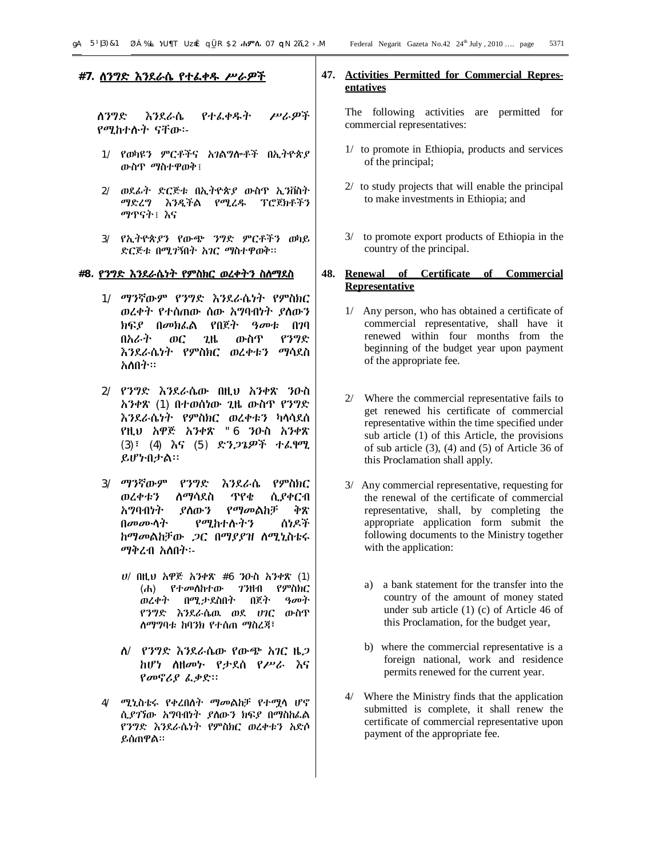# **#7. ለንግድ እንደራሴ የተፈቀዱ ሥራዎች**

ለንግድ እንደራሴ የተፈቀዱት ሥራዎች የሚከተሉት ናቸው፡-

- 1/ የወካዩን ምርቶችና አገልግሎቶች በኢትዮጵያ ውስጥ ማስተዋወቅ፤
- 2/ ወደፊት ድርጅቱ በኢትዮጵያ ውስጥ ኢንቨስት ማድረግ እንዲችል የሚረዱ ፕሮጀክቶችን ማጥናት፤ እና
- 3/ የኢትዮጵያን የውጭ ንግድ ምርቶችን ወካይ ድርጅቱ በሚገኝበት አገር ማስተዋወቅ፡፡

#### **#8. የንግድ እንደራሴነት የምስክር ወረቀትን ስለማደስ**

- 1/ ማንኛውም የንግድ እንደራሴነት የምስክር ወረቀት የተሰጠው ሰው አግባብነት ያለውን ክፍያ በመክፈል የበጀት ዓመቱ በገባ በአራት ወር ጊዜ ውስጥ የንግድ እንደራሴነት የምስክር ወረቀቱን ማሳደስ አለበት፡፡
- 2/ የንግድ እንደራሴው በዚህ አንቀጽ ንዑስ አንቀጽ (1) በተወሰነው ጊዜ ውስጥ የንግድ እንደራሴነት የምስክር ወረቀቱን ካላሳደሰ የዚህ አዋጅ አንቀጽ "6 ንዑስ አንቀጽ (3)፣ (4) እና (5) ድንጋጌዎች ተፈፃሚ ይሆኑበታል፡፡
- 3/ ማንኛውም የንግድ እንደራሴ የምስክር ወረቀቱን ለማሳደስ ጥየቄ ሲያቀርብ አግባብነት ያለውን የማመልከቻ ቅጽ በመሙላት የሚከተሉትን ሰነዶች ከማመልከቻው ጋር በማያያዝ ለሚኒስቴሩ ማቅረብ አለበት፡-
	- ሀ/ በዚህ አዋጅ አንቀጽ #6 ንዑስ አንቀጽ (1) (ሐ) የተመለከተው ገንዘብ የምስክር ወረቀት በሚታደስበት በጀት ዓመት የንግድ እንደራሴዉ ወደ ሀገር ውስጥ ለማግባቱ ከባንክ የተሰጠ ማስረጃ፣
	- ለ/ የንግድ እንደራሴው የውጭ አገር ዜጋ ከሆነ ለዘመኑ የታደሰ የሥራ እና የመኖሪያ ፈቃድ፡፡
- 4/ ሚኒስቴሩ የቀረበለት ማመልከቻ የተሟላ ሆኖ ሲያገኘው አግባብነት ያለውን ክፍያ በማስከፈል የንግድ እንደራሴነት የምስክር ወረቀቱን አድሶ ይሰጠዋል፡፡

# **47. Activities Permitted for Commercial Representatives**

The following activities are permitted for commercial representatives:

- 1/ to promote in Ethiopia, products and services of the principal;
- 2/ to study projects that will enable the principal to make investments in Ethiopia; and
- 3/ to promote export products of Ethiopia in the country of the principal.

# **48. Renewal of Certificate of Commercial Representative**

- 1/ Any person, who has obtained a certificate of commercial representative, shall have it renewed within four months from the beginning of the budget year upon payment of the appropriate fee.
- 2/ Where the commercial representative fails to get renewed his certificate of commercial representative within the time specified under sub article (1) of this Article, the provisions of sub article (3), (4) and (5) of Article 36 of this Proclamation shall apply.
- 3/ Any commercial representative, requesting for the renewal of the certificate of commercial representative, shall, by completing the appropriate application form submit the following documents to the Ministry together with the application:
	- a) a bank statement for the transfer into the country of the amount of money stated under sub article (1) (c) of Article 46 of this Proclamation, for the budget year,
	- b) where the commercial representative is a foreign national, work and residence permits renewed for the current year.
- 4/ Where the Ministry finds that the application submitted is complete, it shall renew the certificate of commercial representative upon payment of the appropriate fee.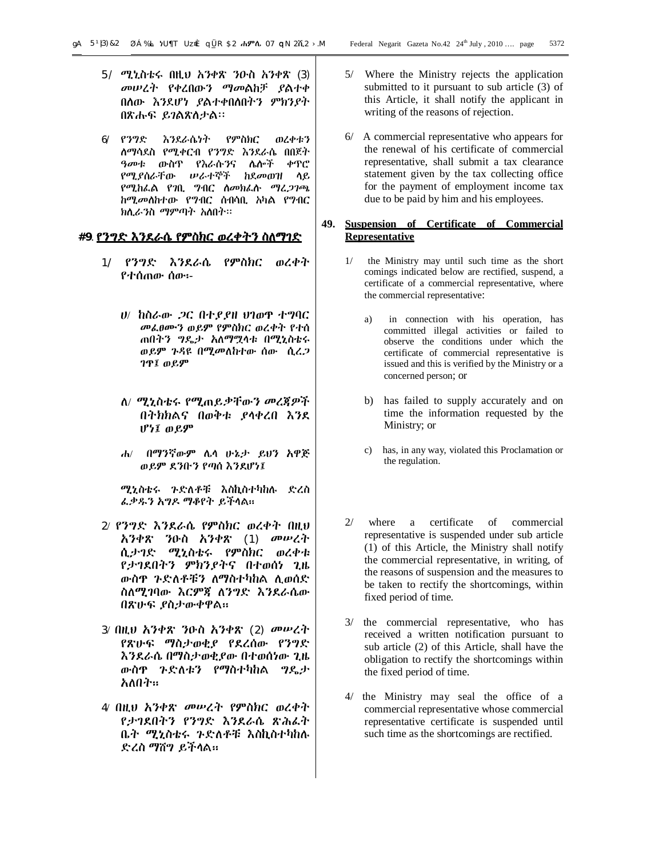- 5/ ሚኒስቴሩ በዚህ አንቀጽ ንዑስ አንቀጽ (3) መሠረት የቀረበውን ማመልከቻ ያልተቀ በለው እንደሆነ ያልተቀበለበትን ምክንያት በጽሑፍ ይገልጽለታል፡፡
- 6/ የንግድ እንደራሴነት የምስክር ወረቀቱን ለማሳደስ የሚቀርብ የንግድ እንደራሴ በበጀት ዓመቱ ውስጥ የእራሱንና ሌሎች ቀጥሮ የሚያሰራቸው ሠራተኞች ከደመወዝ ላይ የሚከፈል የገቢ ግብር ለመክፈሉ ማረጋገጫ ከሚመለከተው የግብር ሰብሳቢ አካል የግብር ክሊራንስ ማምጣት አለበት፡፡

#### **#9**. **የንግድ እንደራሴ የምስክር ወረቀትን ስለማገድ**

- 1/ የንግድ እንደራሴ የምስክር ወረቀት የተሰጠው ሰው፡-
	- ሀ/ ከስራው ጋር በተያያዘ ህገወጥ ተግባር መፈፀሙን ወይም የምስክር ወረቀት የተሰ ጠበትን ግዴታ አለማሟላቱ በሚኒስቴሩ ወይም ጉዳዩ በሚመለከተው ሰው ሲረጋ ገጥ፤ ወይም
	- ለ/ ሚኒስቴሩ የሚጠይቃቸውን መረጃዎች በትክክልና በወቅቱ ያላቀረበ እንደ ሆነ፤ ወይም
	- ሐ/ በማንኛውም ሌላ ሁኔታ ይህን አዋጅ ወይም ደንቡን የጣሰ እንደሆነ፤

ሚኒስቴሩ ጉድለቶቹ እስኪስተካከሉ ድረስ ፈቃዱን አግዶ ማቆየት ይችላል፡፡

- 2/ የንግድ እንደራሴ የምስክር ወረቀት በዚህ አንቀጽ ንዑስ አንቀጽ (1) መሠረት ሲታገድ ሚኒስቴሩ የምስክር ወረቀቱ የታገደበትን ምክንያትና በተወሰነ ጊዜ ውስጥ ጉድለቶቹን ለማስተካከል ሊወሰድ ስለሚገባው እርምጃ ለንግድ እንደራሴው በጽሁፍ ያስታውቀዋል፡፡
- 3/ በዚህ አንቀጽ ንዑስ አንቀጽ (2) መሠረት የጽሁፍ ማስታወቂያ የደረሰው የንግድ እንደራሴ በማስታወቂያው በተወሰነው ጊዜ ውስጥ ጉድለቱን የማስተካከል ግዴታ አለበት፡፡
- 4/ በዚህ አንቀጽ መሠረት የምስክር ወረቀት የታገደበትን የንግድ እንደራሴ ጽሕፈት ቤት ሚኒስቴሩ ጉድለቶቹ እስኪስተካከሉ ድረስ ማሸግ ይችላል፡፡
- 5/ Where the Ministry rejects the application submitted to it pursuant to sub article (3) of this Article, it shall notify the applicant in writing of the reasons of rejection.
- 6/ A commercial representative who appears for the renewal of his certificate of commercial representative, shall submit a tax clearance statement given by the tax collecting office for the payment of employment income tax due to be paid by him and his employees.

# **49. Suspension of Certificate of Commercial Representative**

- 1/ the Ministry may until such time as the short comings indicated below are rectified, suspend, a certificate of a commercial representative, where the commercial representative:
	- a) in connection with his operation, has committed illegal activities or failed to observe the conditions under which the certificate of commercial representative is issued and this is verified by the Ministry or a concerned person; or
	- b) has failed to supply accurately and on time the information requested by the Ministry; or
	- c) has, in any way, violated this Proclamation or the regulation.
- 2/ where a certificate of commercial representative is suspended under sub article (1) of this Article, the Ministry shall notify the commercial representative, in writing, of the reasons of suspension and the measures to be taken to rectify the shortcomings, within fixed period of time.
- 3/ the commercial representative, who has received a written notification pursuant to sub article (2) of this Article, shall have the obligation to rectify the shortcomings within the fixed period of time.
- 4/ the Ministry may seal the office of a commercial representative whose commercial representative certificate is suspended until such time as the shortcomings are rectified.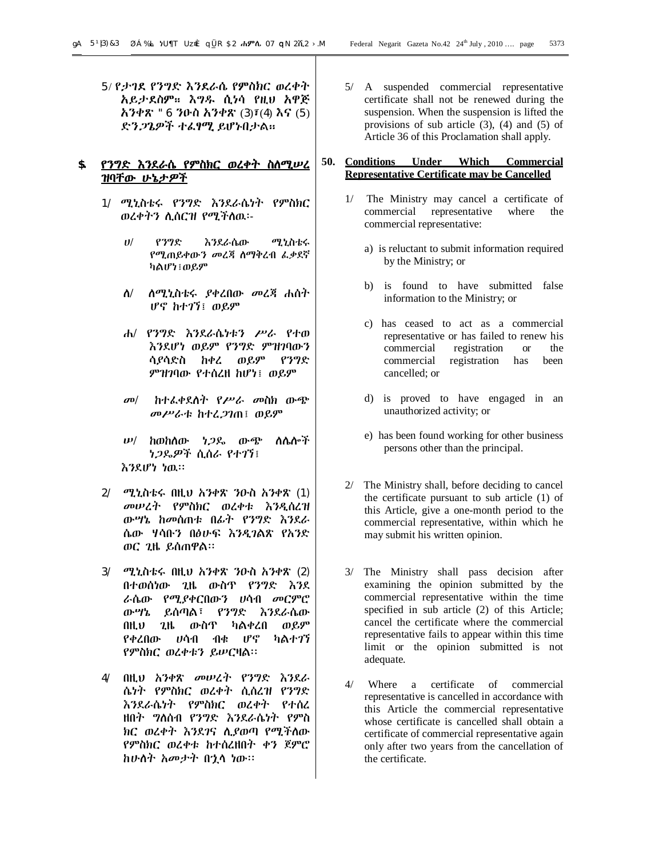5/ የታገደ የንግድ እንደራሴ የምስክር ወረቀት አይታደስም፡፡ እግዱ ሲነሳ የዚህ አዋጅ አንቀጽ "6 ንዑስ አንቀጽ (3)፣(4) እና (5) ድንጋጌዎች ተፈፃሚ ይሆኑበታል፡፡

# **\$. የንግድ እንደራሴ የምስክር ወረቀት ስለሚሠረ ዝባቸው ሁኔታዎች**

- 1/ ሚኒስቴሩ የንግድ እንደራሴነት የምስክር ወረቀትን ሊሰርዝ የሚችለዉ፡-
	- ሀ/ የንግድ እንደራሴው ሚኒስቴሩ የሚጠይቀውን መረጃ ለማቅረብ ፈቃደኛ ካልሆነ፤ወይም
	- ለ/ ለሚኒስቴሩ ያቀረበው መረጃ ሐሰት ሆኖ ከተገኘ፤ ወይም
	- ሐ/ የንግድ እንደራሴነቱን ሥራ የተወ እንደሆነ ወይም የንግድ ምዝገባውን ሳያሳድስ ከቀረ ወይም የንግድ ምዝገባው የተሰረዘ ከሆነ፤ ወይም
	- መ/ ከተፈቀደለት የሥራ መስክ ውጭ መሥራቱ ከተረጋገጠ፤ ወይም
	- ሠ/ ከወከለው ነጋዴ ውጭ ለሌሎች ነጋዴዎች ሲሰራ የተገኘ፤ እንደሆነ ነዉ፡፡
- 2/ ሚኒስቴሩ በዚህ አንቀጽ ንዑስ አንቀጽ (1) መሠረት የምስክር ወረቀቱ እንዲሰረዝ ውሣኔ ከመሰጠቱ በፊት የንግድ እንደራ ሴው ሃሳቡን በፅሁፍ እንዲገልጽ የአንድ ወር ጊዜ ይሰጠዋል፡፡
- 3/ ሚኒስቴሩ በዚህ አንቀጽ ንዑስ አንቀጽ (2) በተወሰነው ጊዜ ውስጥ የንግድ እንደ ራሴው የሚያቀርበውን ሀሳብ መርምሮ ውሣኔ ይሰጣል፣ የንግድ እንደራሴው በዚህ ጊዜ ውስጥ ካልቀረበ ወይም የቀረበው ሀሳብ ብቁ ሆኖ ካልተገኘ የምስክር ወረቀቱን ይሠርዛል፡፡
- 4/ በዚህ አንቀጽ መሠረት የንግድ እንደራ ሴነት የምስክር ወረቀት ሲሰረዝ የንግድ እንደራሴነት የምስክር ወረቀት የተሰረ ዘበት ግለሰብ የንግድ እንደራሴነት የምስ ክር ወረቀት እንደገና ሊያወጣ የሚችለው የምስክር ወረቀቱ ከተሰረዘበት ቀን ጀምሮ ከሁለት አመታት በኋላ ነው፡፡

5/ A suspended commercial representative certificate shall not be renewed during the suspension. When the suspension is lifted the provisions of sub article (3), (4) and (5) of Article 36 of this Proclamation shall apply.

#### **50. Conditions Under Which Commercial Representative Certificate may be Cancelled**

- 1/ The Ministry may cancel a certificate of commercial representative where the commercial representative:
	- a) is reluctant to submit information required by the Ministry; or
	- b) is found to have submitted false information to the Ministry; or
	- c) has ceased to act as a commercial representative or has failed to renew his commercial registration or the commercial registration has been cancelled; or
	- d) is proved to have engaged in an unauthorized activity; or
	- e) has been found working for other business persons other than the principal.
- 2/ The Ministry shall, before deciding to cancel the certificate pursuant to sub article (1) of this Article, give a one-month period to the commercial representative, within which he may submit his written opinion.
- 3/ The Ministry shall pass decision after examining the opinion submitted by the commercial representative within the time specified in sub article (2) of this Article; cancel the certificate where the commercial representative fails to appear within this time limit or the opinion submitted is not adequate.
- 4/ Where a certificate of commercial representative is cancelled in accordance with this Article the commercial representative whose certificate is cancelled shall obtain a certificate of commercial representative again only after two years from the cancellation of the certificate.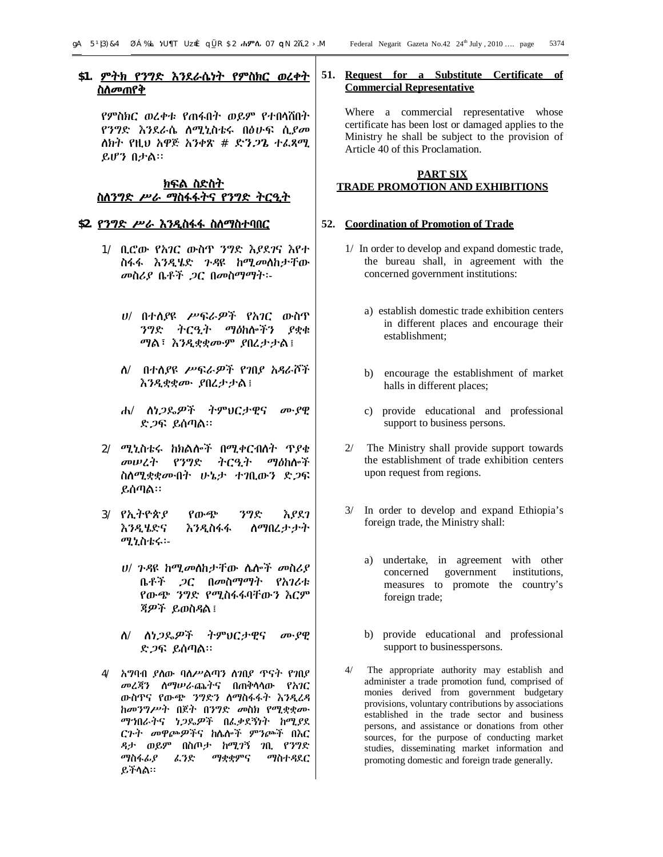# **\$1. ምትክ የንግድ እንደራሴነት የምስክር ወረቀት ስለመጠየቅ**

የምስክር ወረቀቱ የጠፋበት ወይም የተበላሸበት የንግድ እንደራሴ ለሚኒስቴሩ በፅሁፍ ሲያመ ለክት የዚህ አዋጅ አንቀጽ # ድንጋጌ ተፈጻሚ ይሆን በታል፡፡

# **ክፍል ስድስት ስለንግድ ሥራ ማስፋፋትና የንግድ ትርዒት**

# **\$2. የንግድ ሥራ እንዲስፋፋ ስለማስተባበር**

- 1/ ቢሮው የአገር ውስጥ ንግድ እያደገና እየተ ስፋፋ እንዲሄድ ጉዳዩ ከሚመለከታቸው መስሪያ ቤቶች ጋር በመስማማት፡-
	- ሀ/ በተለያዩ ሥፍራዎች የአገር ውስጥ ንግድ ትርዒት ማዕከሎችን ያቋቁ ማል፣ እንዲቋቋሙም ያበረታታል፤
	- ለ/ በተለያዩ ሥፍራዎች የገበያ አዳራሾች እንዲቋቋሙ ያበረታታል፤
	- ሐ/ ለነጋዴዎች ትምህርታዊና ሙያዊ ድጋፍ ይሰጣል፡፡
- 2/ ሚኒስቴሩ ከክልሎች በሚቀርብለት ጥያቄ መሠረት የንግድ ትርዒት ማዕከሎች ስለሚቋቋሙበት ሁኔታ ተገቢውን ድጋፍ ይሰጣል፡፡
- 3/ የኢትዮጵያ የውጭ ንግድ እያደገ እንዲሄድና እንዲስፋፋ ለማበረታታት ሚኒስቴሩ፡-
	- ሀ/ ጉዳዩ ከሚመለከታቸው ሌሎች መስሪያ ቤቶች ጋር በመስማማት የአገሪቱ የውጭ ንግድ የሚስፋፋባቸውን እርም ጃዎች ይወስዳል፤
	- ለ/ ለነጋዴዎች ትምህርታዊና ሙያዊ ድጋፍ ይሰጣል፡፡
- 4/ አግባብ ያለው ባለሥልጣን ለገበያ ጥናት የገበያ መረጃን ለማሠራጨትና በጠቅላላው የአገር ውስጥና የውጭ ንግድን ለማስፋፋት እንዲረዳ ከመንግሥት በጀት በንግድ መስክ የሚቋቋሙ ማኀበራትና ነጋዴዎች በፈቃደኝነት ከሚያደ ርጉት መዋጮዎችና ከሌሎች ምንጮች በእር ዳታ ወይም በስጦታ ከሚገኝ ገቢ የንግድ ማስፋፊያ ፈንድ ማቋቋምና ማስተዳደር ይችላል፡፡

# **51. Request for a Substitute Certificate of Commercial Representative**

Where a commercial representative whose certificate has been lost or damaged applies to the Ministry he shall be subject to the provision of Article 40 of this Proclamation.

# **PART SIX TRADE PROMOTION AND EXHIBITIONS**

#### **52. Coordination of Promotion of Trade**

- 1/ In order to develop and expand domestic trade, the bureau shall, in agreement with the concerned government institutions:
	- a) establish domestic trade exhibition centers in different places and encourage their establishment;
	- b) encourage the establishment of market halls in different places;
	- c) provide educational and professional support to business persons.
- 2/ The Ministry shall provide support towards the establishment of trade exhibition centers upon request from regions.
- 3/ In order to develop and expand Ethiopia's foreign trade, the Ministry shall:
	- a) undertake, in agreement with other concerned government institutions, measures to promote the country's foreign trade;
	- b) provide educational and professional support to businesspersons.
- 4/ The appropriate authority may establish and administer a trade promotion fund, comprised of monies derived from government budgetary provisions, voluntary contributions by associations established in the trade sector and business persons, and assistance or donations from other sources, for the purpose of conducting market studies, disseminating market information and promoting domestic and foreign trade generally.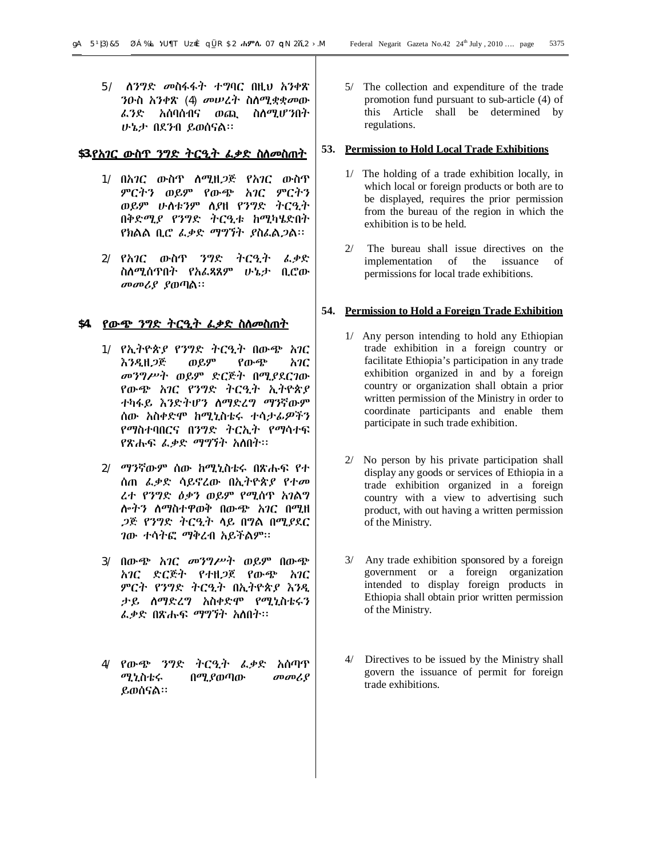5/ ለንግድ መስፋፋት ተግባር በዚህ አንቀጽ ንዑስ አንቀጽ (4) መሠረት ስለሚቋቋመው ፈንድ አሰባሰብና ወጪ ስለሚሆንበት ሁኔታ በደንብ ይወሰናል፡፡

#### **\$3.የአገር ውስጥ ንግድ ትርዒት ፈቃድ ስለመስጠት**

- 1/ በአገር ውስጥ ለሚዘጋጅ የአገር ውስጥ ምርትን ወይም የውጭ አገር ምርትን ወይም ሁለቱንም ለያዘ የንግድ ትርዒት በቅድሚያ የንግድ ትርዒቱ ከሚካሄድበት የክልል ቢሮ ፈቃድ ማግኘት ያስፈልጋል፡፡
- 2/ የአገር ውስጥ ንግድ ትርዒት ፈቃድ ስለሚሰጥበት የአፈጻጸም ሁኔታ ቢሮው መመሪያ ያወጣል፡፡

# **\$4. የውጭ ንግድ ትርዒት ፈቃድ ስለመስጠት**

- 1/ የኢትዮጵያ የንግድ ትርዒት በውጭ አገር እንዲዘጋጅ ወይም የውጭ አገር መንግሥት ወይም ድርጅት በሚያደርገው የውጭ አገር የንግድ ትርዒት ኢትዮጵያ ተካፋይ እንድትሆን ለማድረግ ማንኛውም ሰው አስቀድሞ ከሚኒስቴሩ ተሳታፊዎችን የማስተባበርና በንግድ ትርኢት የማሳተፍ የጽሑፍ ፈቃድ ማግኘት አለበት፡፡
- 2/ ማንኛውም ሰው ከሚኒስቴሩ በጽሑፍ የተ ሰጠ ፈቃድ ሳይኖረው በኢትዮጵያ የተመ ረተ የንግድ ዕቃን ወይም የሚሰጥ አገልግ ሎትን ለማስተዋወቅ በውጭ አገር በሚዘ ጋጅ የንግድ ትርዒት ላይ በግል በሚያደር ገው ተሳትፎ ማቅረብ አይችልም፡፡
- 3/ በውጭ አገር መንግሥት ወይም በውጭ አገር ድርጅት የተዘጋጀ የውጭ አገር ምርት የንግድ ትርዒት በኢትዮጵያ እንዲ ታይ ለማድረግ አስቀድሞ የሚኒስቴሩን ፈቃድ በጽሑፍ ማግኘት አለበት፡፡
- 4/ የውጭ ንግድ ትርዒት ፈቃድ አሰጣጥ ሚኒስቴሩ በሚያወጣው መመሪያ ይወሰናል፡፡

5/ The collection and expenditure of the trade promotion fund pursuant to sub-article (4) of this Article shall be determined by regulations.

#### **53. Permission to Hold Local Trade Exhibitions**

- 1/ The holding of a trade exhibition locally, in which local or foreign products or both are to be displayed, requires the prior permission from the bureau of the region in which the exhibition is to be held.
- 2/ The bureau shall issue directives on the implementation of the issuance of permissions for local trade exhibitions.

#### **54. Permission to Hold a Foreign Trade Exhibition**

- 1/ Any person intending to hold any Ethiopian trade exhibition in a foreign country or facilitate Ethiopia's participation in any trade exhibition organized in and by a foreign country or organization shall obtain a prior written permission of the Ministry in order to coordinate participants and enable them participate in such trade exhibition.
- 2/ No person by his private participation shall display any goods or services of Ethiopia in a trade exhibition organized in a foreign country with a view to advertising such product, with out having a written permission of the Ministry.
- 3/ Any trade exhibition sponsored by a foreign government or a foreign organization intended to display foreign products in Ethiopia shall obtain prior written permission of the Ministry.
- 4/ Directives to be issued by the Ministry shall govern the issuance of permit for foreign trade exhibitions.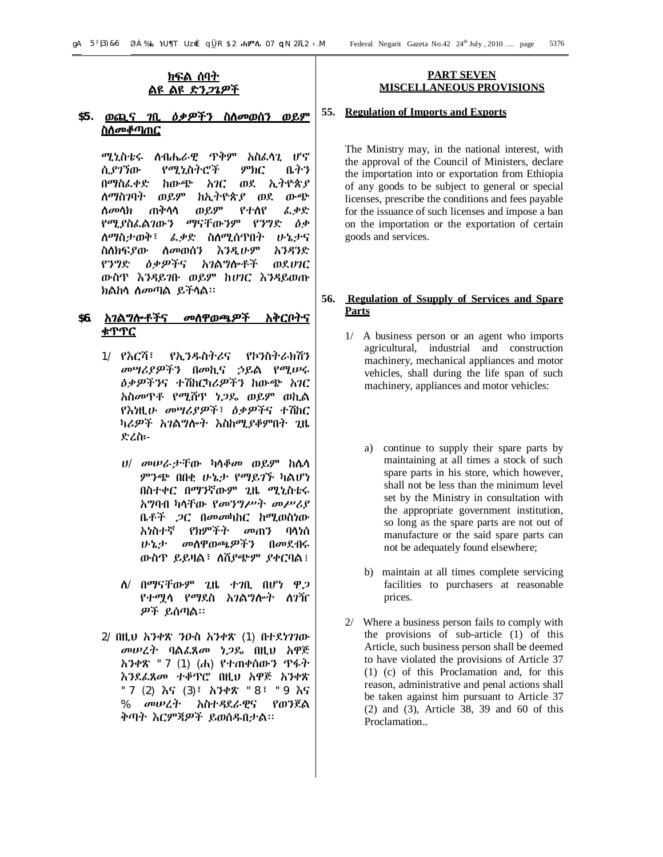# **ክፍል ሰባት ልዩ ልዩ ድንጋጌዎች**

# **\$5. ወጪና ገቢ ዕቃዎችን ስለመወሰን ወይም ስለመቆጣጠር**

ሚኒስቴሩ ለብሔራዊ ጥቅም አስፈላጊ ሆኖ ሲያገኘው የሚኒስትሮች ምክር ቤትን በማስፈቀድ ከውጭ አገር ወደ ኢትዮጵያ ለማስገባት ወይም ከኢትዮጵያ ወደ ውጭ ለመላክ ጠቅላላ ወይም የተለየ ፈቃድ የሚያስፈልገውን ማናቸውንም የንግድ ዕቃ ለማስታወቅ፣ ፈቃድ ስለሚሰጥበት ሁኔታና ስለክፍያው ለመወሰን እንዲሁም አንዳንድ የንግድ ዕቃዎችና አገልግሎቶች ወደሀገር ውስጥ እንዳይገቡ ወይም ከሀገር እንዳይወጡ ክልከላ ለመጣል ይችላል፡፡

# **\$6. አገልግሎቶችና መለዋወጫዎች አቅርቦትና ቁጥጥር**

- 1/ የእርሻ፣ የኢንዱስትሪና የኮንስትራክሽን መሣሪያዎችን በመኪና ኃይል የሚሠሩ ዕቃዎችንና ተሽከርካሪዎችን ከውጭ አገር አስመጥቶ የሚሸጥ ነጋዴ ወይም ወኪል የእነዚሁ መሣሪያዎች፣ ዕቃዎችና ተሽከር ካሪዎች አገልግሎት እስከሚያቆምበት ጊዜ ድረስ፡-
	- ሀ/ መሠራታቸው ካላቆመ ወይም ከሌላ ምንጭ በበቂ ሁኔታ የማይገኙ ካልሆነ በስተቀር በማንኛውም ጊዜ ሚኒስቴሩ አግባብ ካላቸው የመንግሥት መሥሪያ ቤቶች ጋር በመመካከር ከሚወስነው አነስተኛ የክምችት መጠን ባላነሰ ሁኔታ መለዋወጫዎችን በመደብሩ ውስጥ ይይዛል፣ ለሸያጭም ያቀርባል፤
	- ለ/ በማናቸውም ጊዜ ተገቢ በሆነ ዋጋ የተሟላ የማደስ አገልግሎት ለገዥ ዎች ይሰጣል፡፡
- 2/ በዚህ አንቀጽ ንዑስ አንቀጽ (1) በተደነገገው መሠረት ባልፈጸመ ነጋዴ በዚህ አዋጅ አንቀጽ "7 (1) (ሐ) የተጠቀሰውን ጥፋት እንደፈጸመ ተቆጥሮ በዚህ አዋጅ አንቀጽ "7 (2) እና (3)፣ አንቀጽ "8፣ "9 እና % መሠረት አስተዳደራዊና የወንጀል ቅጣት እርምጃዎች ይወሰዱበታል፡፡

#### **PART SEVEN MISCELLANEOUS PROVISIONS**

#### **55. Regulation of Imports and Exports**

The Ministry may, in the national interest, with the approval of the Council of Ministers, declare the importation into or exportation from Ethiopia of any goods to be subject to general or special licenses, prescribe the conditions and fees payable for the issuance of such licenses and impose a ban on the importation or the exportation of certain goods and services.

# **56. Regulation of Ssupply of Services and Spare Parts**

- 1/ A business person or an agent who imports agricultural, industrial and construction machinery, mechanical appliances and motor vehicles, shall during the life span of such machinery, appliances and motor vehicles:
	- a) continue to supply their spare parts by maintaining at all times a stock of such spare parts in his store, which however, shall not be less than the minimum level set by the Ministry in consultation with the appropriate government institution, so long as the spare parts are not out of manufacture or the said spare parts can not be adequately found elsewhere;
	- b) maintain at all times complete servicing facilities to purchasers at reasonable prices.
- 2/ Where a business person fails to comply with the provisions of sub-article (1) of this Article, such business person shall be deemed to have violated the provisions of Article 37 (1) (c) of this Proclamation and, for this reason, administrative and penal actions shall be taken against him pursuant to Article 37 (2) and (3), Article 38, 39 and 60 of this Proclamation..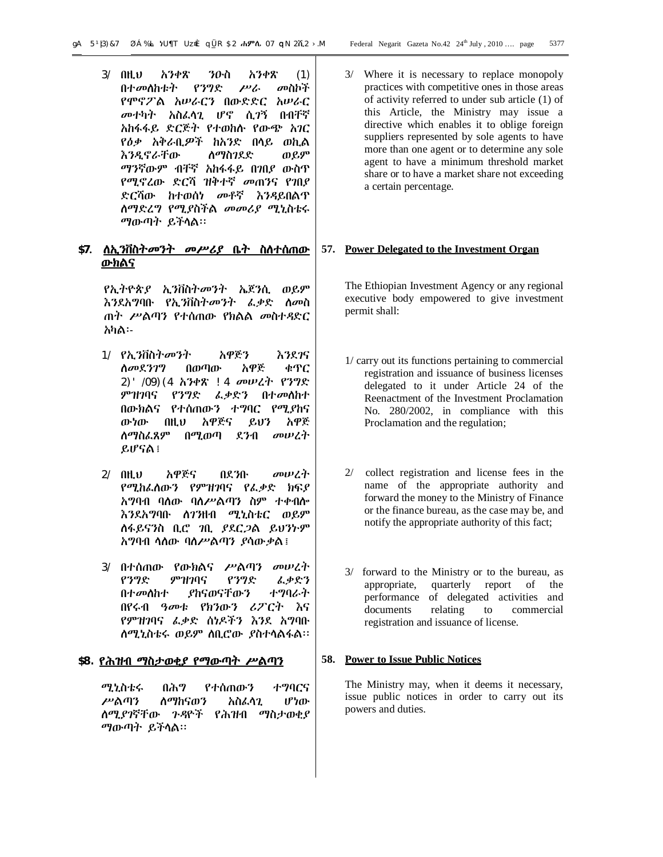3/ በዚህ አንቀጽ ንዑስ አንቀጽ (1) በተመለከቱት የንግድ ሥራ መስኮች የሞኖፖል አሠራርን በውድድር አሠራር መተካት አስፈላጊ ሆኖ ሲገኝ በብቸኛ አከፋፋይ ድርጅት የተወከሉ የውጭ አገር የዕቃ አቅራቢዎች ከአንድ በላይ ወኪል እንዲኖራቸው ለማስገደድ ወይም ማንኛውም ብቸኛ አከፋፋይ በገበያ ውስጥ የሚኖረው ድርሻ ዝቅተኛ መጠንና የገበያ ድርሻው ከተወሰነ መቶኛ እንዳይበልጥ ለማድረግ የሚያስችል መመሪያ ሚኒስቴሩ ማውጣት ይችላል፡፡

# **\$7. ለኢንቨስትመንት መሥሪያ ቤት ስለተሰጠው ውክልና**

የኢትዮጵያ ኢንቨስትመንት ኤጀንሲ ወይም እንደአግባቡ የኢንቨስትመንት ፈቃድ ለመስ ጠት ሥልጣን የተሰጠው የክልል መስተዳድር አካል፡-

- 1/ የኢንቨስትመንት አዋጅን እንደገና ለመደንገግ በወጣው አዋጅ ቁጥር 2)'/09)(4 አንቀጽ !4 መሠረት የንግድ ምዝገባና የንግድ ፈቃድን በተመለከተ በውክልና የተሰጠውን ተግባር የሚያከና ውነው በዚህ አዋጅና ይህን አዋጅ ለማስፈጸም በሚወጣ ደንብ መሠረት ይሆናል፤
- 2/ በዚህ አዋጅና በደንቡ መሠረት የሚከፈለውን የምዝገባና የፈቃድ ክፍያ አግባብ ባለው ባለሥልጣን ስም ተቀብሎ እንደአግባቡ ለገንዘብ ሚኒስቴር ወይም ለፋይናንስ ቢሮ ገቢ ያደርጋል ይህንኑም አግባብ ላለው ባለሥልጣን ያሳውቃል፤
- 3/ በተሰጠው የውክልና ሥልጣን መሠረት የንግድ ምዝገባና የንግድ ፈቃድን በተመለከተ ያከናወናቸውን ተግባራት በየሩብ ዓመቱ የክንውን ሪፖርት እና የምዝገባና ፈቃድ ሰነዶችን እንደ አግባቡ ለሚኒስቴሩ ወይም ለቢሮው ያስተላልፋል፡፡

# **\$8. የሕዝብ ማስታወቂያ የማውጣት ሥልጣን**

ሚኒስቴሩ በሕግ የተሰጠውን ተግባርና ሥልጣን ለማከናወን አስፈላጊ ሆነው ለሚያገኛቸው ጉዳዮች የሕዝብ ማስታወቂያ ማውጣት ይችላል፡፡

3/ Where it is necessary to replace monopoly practices with competitive ones in those areas of activity referred to under sub article (1) of this Article, the Ministry may issue a directive which enables it to oblige foreign suppliers represented by sole agents to have more than one agent or to determine any sole agent to have a minimum threshold market share or to have a market share not exceeding a certain percentage.

# **57. Power Delegated to the Investment Organ**

The Ethiopian Investment Agency or any regional executive body empowered to give investment permit shall:

- 1/ carry out its functions pertaining to commercial registration and issuance of business licenses delegated to it under Article 24 of the Reenactment of the Investment Proclamation No. 280/2002, in compliance with this Proclamation and the regulation;
- 2/ collect registration and license fees in the name of the appropriate authority and forward the money to the Ministry of Finance or the finance bureau, as the case may be, and notify the appropriate authority of this fact;
- 3/ forward to the Ministry or to the bureau, as appropriate, quarterly report of the performance of delegated activities and documents relating to commercial registration and issuance of license.

#### **58. Power to Issue Public Notices**

The Ministry may, when it deems it necessary, issue public notices in order to carry out its powers and duties.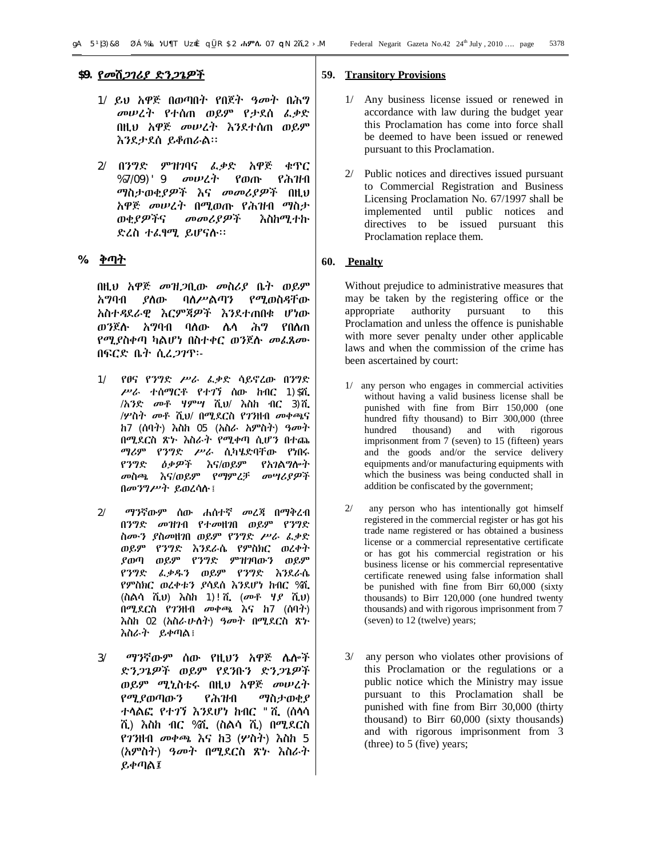- 1/ ይህ አዋጅ በወጣበት የበጀት ዓመት በሕግ መሠረት የተሰጠ ወይም የታደሰ ፈቃድ በዚህ አዋጅ መሠረት እንደተሰጠ ወይም እንደታደሰ ይቆጠራል፡፡
- 2/ በንግድ ምዝገባና ፈቃድ አዋጅ ቁጥር %7/09)'9 መሠረት የወጡ የሕዝብ ማስታወቂያዎች እና መመሪያዎች በዚህ አዋጅ መሠረት በሚወጡ የሕዝብ ማስታ ወቂያዎችና መመሪያዎች እስከሚተኩ ድረስ ተፈፃሚ ይሆናሉ፡፡

# **%. ቅጣት**

በዚህ አዋጅ መዝጋቢው መስሪያ ቤት ወይም አግባብ ያለው ባለሥልጣን የሚወስዳቸው አስተዳደራዊ እርምጃዎች እንደተጠበቁ ሆነው ወንጀሉ አግባብ ባለው ሌላ ሕግ የበለጠ የሚያስቀጣ ካልሆነ በስተቀር ወንጀሉ መፈጸሙ በፍርድ ቤት ሲረጋገጥ፡-

- 1/ የፀና የንግድ ሥራ ፈቃድ ሳይኖረው በንግድ ሥራ ተሰማርቶ የተገኘ ሰው ከብር 1)\$ሺ /አንድ መቶ ሃምሣ ሺህ/ እስከ ብር 3)ሺ /ሦስት መቶ ሺህ/ በሚደርስ የገንዘብ መቀጫና ከ7 (ሰባት) እስከ 05 (አስራ አምስት) ዓመት በሚደርስ ጽኑ እስራት የሚቀጣ ሲሆን በተጨ ማሪም የንግድ ሥራ ሲካሄድባቸው የነበሩ የንግድ ዕቃዎች እና/ወይም የአገልግሎት መስጫ እና/ወይም የማምረቻ መሣሪያዎች በመንግሥት ይወረሳሉ፤
- 2/ ማንኛውም ሰው ሐሰተኛ መረጃ በማቅረብ በንግድ መዝገብ የተመዘገበ ወይም የንግድ ስሙን ያስመዘገበ ወይም የንግድ ሥራ ፈቃድ ወይም የንግድ እንደራሴ የምስክር ወረቀት ያወጣ ወይም የንግድ ምዝገባውን ወይም የንግድ ፈቃዱን ወይም የንግድ እንደራሴ የምስክር ወረቀቱን ያሳደሰ እንደሆነ ከብር %ሺ (ስልሳ ሺህ) እስከ 1)!ሺ (መቶ ሃያ ሺህ) በሚደርስ የገንዘብ መቀጫ እና ከ7 (ሰባት) እስከ 02 (አስራሁለት) ዓመት በሚደርስ ጽኑ እስራት ይቀጣል፤
- 3/ ማንኛውም ሰው የዚህን አዋጅ ሌሎች ድንጋጌዎች ወይም የደንቡን ድንጋጌዎች ወይም ሚኒስቴሩ በዚህ አዋጅ መሠረት የሚያወጣውን የሕዝብ ማስታወቂያ ተላልፎ የተገኘ እንደሆነ ከብር "ሺ (ሰላሳ ሺ) እስከ ብር %ሺ (ስልሳ ሺ) በሚደርስ የገንዘብ መቀጫ እና ከ3 (ሦስት) እስከ 5 (አምስት) ዓመት በሚደርስ ጽኑ እስራት ይቀጣል፤

#### **59. Transitory Provisions**

- 1/ Any business license issued or renewed in accordance with law during the budget year this Proclamation has come into force shall be deemed to have been issued or renewed pursuant to this Proclamation.
- 2/ Public notices and directives issued pursuant to Commercial Registration and Business Licensing Proclamation No. 67/1997 shall be implemented until public notices and directives to be issued pursuant this Proclamation replace them.

#### **60. Penalty**

Without prejudice to administrative measures that may be taken by the registering office or the appropriate authority pursuant to Proclamation and unless the offence is punishable with more sever penalty under other applicable laws and when the commission of the crime has been ascertained by court:

- any person who engages in commercial activities without having a valid business license shall be punished with fine from Birr 150,000 (one hundred fifty thousand) to Birr 300,000 (three hundred thousand) and with rigorous imprisonment from 7 (seven) to 15 (fifteen) years and the goods and/or the service delivery equipments and/or manufacturing equipments with which the business was being conducted shall in addition be confiscated by the government;
- 2/ any person who has intentionally got himself registered in the commercial register or has got his trade name registered or has obtained a business license or a commercial representative certificate or has got his commercial registration or his business license or his commercial representative certificate renewed using false information shall be punished with fine from Birr 60,000 (sixty thousands) to Birr 120,000 (one hundred twenty thousands) and with rigorous imprisonment from 7 (seven) to 12 (twelve) years;
- 3/ any person who violates other provisions of this Proclamation or the regulations or a public notice which the Ministry may issue pursuant to this Proclamation shall be punished with fine from Birr 30,000 (thirty thousand) to Birr 60,000 (sixty thousands) and with rigorous imprisonment from 3 (three) to 5 (five) years;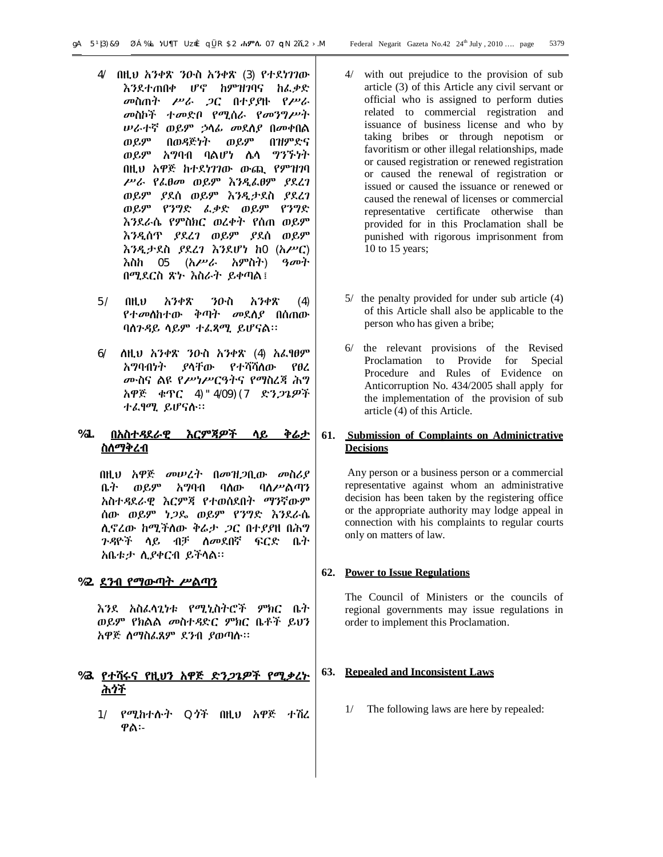- 4/ በዚህ አንቀጽ ንዑስ አንቀጽ (3) የተደነገገው እንደተጠበቀ ሆኖ ከምዝገባና ከፈቃድ መስጠት ሥራ ጋር በተያያዙ የሥራ መስኮች ተመድቦ የሚሰራ የመንግሥት ሠራተኛ ወይም ኃላፊ መደለያ በመቀበል ወይም በወዳጅነት ወይም በዝምድና ወይም አግባብ ባልሆነ ሌላ ግንኙነት በዚህ አዋጅ ከተደነገገው ውጪ የምዝገባ ሥራ የፈፀመ ወይም እንዲፈፀም ያደረገ ወይም ያደሰ ወይም እንዲታደስ ያደረገ ወይም የንግድ ፈቃድ ወይም የንግድ እንደራሴ የምስክር ወረቀት የሰጠ ወይም እንዲሰጥ ያደረገ ወይም ያደሰ ወይም እንዲታደስ ያደረገ እንደሆነ ከ0 (አሥር) እስከ 05 (አሥራ አምስት) ዓመት በሚደርስ ጽኑ እስራት ይቀጣል፤
- 5/ በዚህ አንቀጽ ንዑስ አንቀጽ (4) የተመለከተው ቅጣት መደለያ በሰጠው ባለጉዳይ ላይም ተፈጻሚ ይሆናል፡፡
- 6/ ለዚህ አንቀጽ ንዑስ አንቀጽ (4) አፈፃፀም አግባብነት ያላቸው የተሻሻለው የፀረ ሙስና ልዩ የሥነሥርዓትና የማስረጃ ሕግ አዋጅ ቁጥር 4)"4/09)(7 ድንጋጌዎች ተፈፃሚ ይሆናሉ፡፡

# **%1. በአስተዳደራዊ እርምጃዎች ላይ ቅሬታ ስለማቅረብ**

 በዚህ አዋጅ መሠረት በመዝጋቢው መስሪያ ቤት ወይም አግባብ ባለው ባለሥልጣን አስተዳደራዊ እርምጃ የተወሰደበት ማንኛውም ሰው ወይም ነጋዴ ወይም የንግድ እንደራሴ ሊኖረው ከሚችለው ቅሬታ ጋር በተያያዘ በሕግ ጉዳዮች ላይ ብቻ ለመደበኛ ፍርድ ቤት አቤቱታ ሊያቀርብ ይችላል፡፡

# **%2. ደንብ የማውጣት ሥልጣን**

እንደ አስፈላጊነቱ የሚኒስትሮች ምክር ቤት ወይም የክልል መስተዳድር ምክር ቤቶች ይህን አዋጅ ለማስፈጸም ደንብ ያወጣሉ፡፡

# **%3. የተሻሩና የዚህን አዋጅ ድንጋጌዎች የሚቃረኑ ሕጎች**

1/ የሚከተሉት Qጎች በዚህ አዋጅ ተሽረ ዋል፡-

- 4/ with out prejudice to the provision of sub article (3) of this Article any civil servant or official who is assigned to perform duties related to commercial registration and issuance of business license and who by taking bribes or through nepotism or favoritism or other illegal relationships, made or caused registration or renewed registration or caused the renewal of registration or issued or caused the issuance or renewed or caused the renewal of licenses or commercial representative certificate otherwise than provided for in this Proclamation shall be punished with rigorous imprisonment from 10 to 15 years;
- 5/ the penalty provided for under sub article (4) of this Article shall also be applicable to the person who has given a bribe;
- 6/ the relevant provisions of the Revised Proclamation to Provide for Special Procedure and Rules of Evidence on Anticorruption No. 434/2005 shall apply for the implementation of the provision of sub article (4) of this Article.

# **61. Submission of Complaints on Adminictrative Decisions**

Any person or a business person or a commercial representative against whom an administrative decision has been taken by the registering office or the appropriate authority may lodge appeal in connection with his complaints to regular courts only on matters of law.

# **62. Power to Issue Regulations**

The Council of Ministers or the councils of regional governments may issue regulations in order to implement this Proclamation.

# **63. Repealed and Inconsistent Laws**

1/ The following laws are here by repealed: